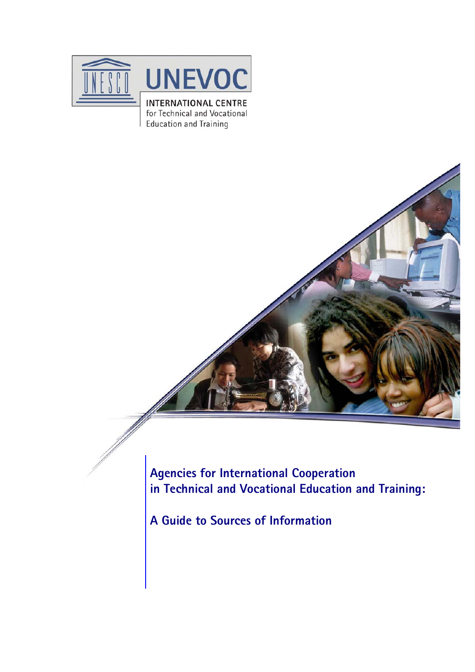

**Education and Training** 

**Agencies for International Cooperation in Technical and Vocational Education and Training:** 

**A Guide to Sources of Information**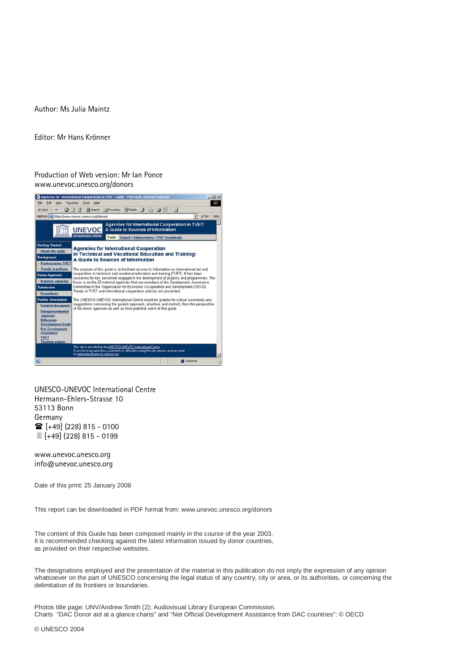Author: Ms Julia Maintz

Editor: Mr Hans Krönner

Production of Web version: Mr Ian Ponce www.unevoc.unesco.org/donors



UNESCO-UNEVOC International Centre Hermann-Ehlers-Strasse 10 53113 Bonn Germany  $\circ$  [+49] (228) 815 - 0100 [+49] (228) 815 - 0199

www.unevoc.unesco.org info@unevoc.unesco.org

Date of this print: 25 January 2008

This report can be downloaded in PDF format from: www.unevoc.unesco.org/donors

The content of this Guide has been composed mainly in the course of the year 2003. It is recommended checking against the latest information issued by donor countries, as provided on their respective websites.

The designations employed and the presentation of the material in this publication do not imply the expression of any opinion whatsoever on the part of UNESCO concerning the legal status of any country, city or area, or its authorities, or concerning the delimitation of its frontiers or boundaries.

Photos title page: UNV/Andrew Smith (2); Audiovisual Library European Commission. Charts "DAC Donor aid at a glance charts" and "Net Official Development Assistance from DAC countries": © OECD

© UNESCO 2004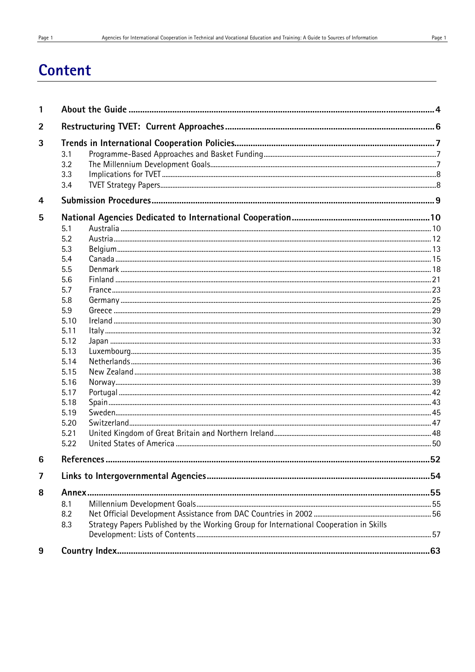| 1 |                                                                                               |    |
|---|-----------------------------------------------------------------------------------------------|----|
| 2 |                                                                                               |    |
| 3 |                                                                                               |    |
|   | 3.1                                                                                           |    |
|   | 3.2                                                                                           |    |
|   | 3.3                                                                                           |    |
|   | 3.4                                                                                           |    |
| 4 |                                                                                               |    |
| 5 |                                                                                               |    |
|   | 5.1                                                                                           |    |
|   | 5.2                                                                                           |    |
|   | 5.3                                                                                           |    |
|   | 5.4                                                                                           |    |
|   | 5.5                                                                                           |    |
|   | 5.6                                                                                           |    |
|   | 5.7                                                                                           |    |
|   | 5.8                                                                                           |    |
|   | 5.9                                                                                           |    |
|   | 5.10                                                                                          |    |
|   | 5.11                                                                                          |    |
|   | 5.12                                                                                          |    |
|   | 5.13                                                                                          |    |
|   | 5.14                                                                                          |    |
|   | 5.15                                                                                          |    |
|   | 5.16                                                                                          |    |
|   | 5.17                                                                                          |    |
|   | 5.18                                                                                          |    |
|   | 5.19                                                                                          |    |
|   | 5.20                                                                                          |    |
|   | 5.21                                                                                          |    |
|   | 5.22                                                                                          |    |
| 6 |                                                                                               | 52 |
| 7 |                                                                                               |    |
| 8 |                                                                                               |    |
|   | 8.1                                                                                           |    |
|   | 8.2                                                                                           |    |
|   | Strategy Papers Published by the Working Group for International Cooperation in Skills<br>8.3 |    |
|   |                                                                                               |    |
|   |                                                                                               |    |
| 9 |                                                                                               |    |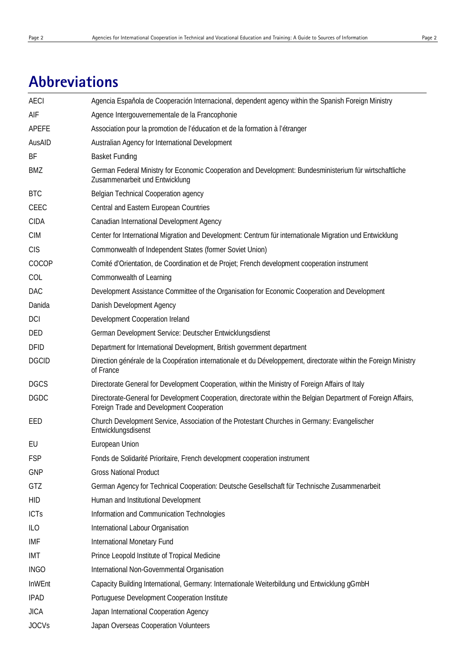# **Abbreviations**

| <b>AECI</b>   | Agencia Española de Cooperación Internacional, dependent agency within the Spanish Foreign Ministry                                                         |
|---------------|-------------------------------------------------------------------------------------------------------------------------------------------------------------|
| AIF           | Agence Intergouvernementale de la Francophonie                                                                                                              |
| APEFE         | Association pour la promotion de l'éducation et de la formation à l'étranger                                                                                |
| AusAID        | Australian Agency for International Development                                                                                                             |
| ΒF            | <b>Basket Funding</b>                                                                                                                                       |
| BMZ           | German Federal Ministry for Economic Cooperation and Development: Bundesministerium für wirtschaftliche<br>Zusammenarbeit und Entwicklung                   |
| <b>BTC</b>    | Belgian Technical Cooperation agency                                                                                                                        |
| CEEC          | Central and Eastern European Countries                                                                                                                      |
| <b>CIDA</b>   | Canadian International Development Agency                                                                                                                   |
| <b>CIM</b>    | Center for International Migration and Development: Centrum für internationale Migration und Entwicklung                                                    |
| <b>CIS</b>    | Commonwealth of Independent States (former Soviet Union)                                                                                                    |
| COCOP         | Comité d'Orientation, de Coordination et de Projet; French development cooperation instrument                                                               |
| COL           | Commonwealth of Learning                                                                                                                                    |
| DAC           | Development Assistance Committee of the Organisation for Economic Cooperation and Development                                                               |
| Danida        | Danish Development Agency                                                                                                                                   |
| <b>DCI</b>    | Development Cooperation Ireland                                                                                                                             |
| DED           | German Development Service: Deutscher Entwicklungsdienst                                                                                                    |
| <b>DFID</b>   | Department for International Development, British government department                                                                                     |
| <b>DGCID</b>  | Direction générale de la Coopération internationale et du Développement, directorate within the Foreign Ministry<br>of France                               |
| <b>DGCS</b>   | Directorate General for Development Cooperation, within the Ministry of Foreign Affairs of Italy                                                            |
| <b>DGDC</b>   | Directorate-General for Development Cooperation, directorate within the Belgian Department of Foreign Affairs,<br>Foreign Trade and Development Cooperation |
| EED           | Church Development Service, Association of the Protestant Churches in Germany: Evangelischer<br>Entwicklungsdisenst                                         |
| EU            | <b>European Union</b>                                                                                                                                       |
| <b>FSP</b>    | Fonds de Solidarité Prioritaire, French development cooperation instrument                                                                                  |
| <b>GNP</b>    | <b>Gross National Product</b>                                                                                                                               |
| GTZ           | German Agency for Technical Cooperation: Deutsche Gesellschaft für Technische Zusammenarbeit                                                                |
| <b>HID</b>    | Human and Institutional Development                                                                                                                         |
| <b>ICTs</b>   | Information and Communication Technologies                                                                                                                  |
| ILO           | International Labour Organisation                                                                                                                           |
| IMF           | <b>International Monetary Fund</b>                                                                                                                          |
| IMT           | Prince Leopold Institute of Tropical Medicine                                                                                                               |
| <b>INGO</b>   | International Non-Governmental Organisation                                                                                                                 |
| <b>InWEnt</b> | Capacity Building International, Germany: Internationale Weiterbildung und Entwicklung gGmbH                                                                |
| <b>IPAD</b>   | Portuguese Development Cooperation Institute                                                                                                                |
| <b>JICA</b>   | Japan International Cooperation Agency                                                                                                                      |
| <b>JOCVs</b>  | Japan Overseas Cooperation Volunteers                                                                                                                       |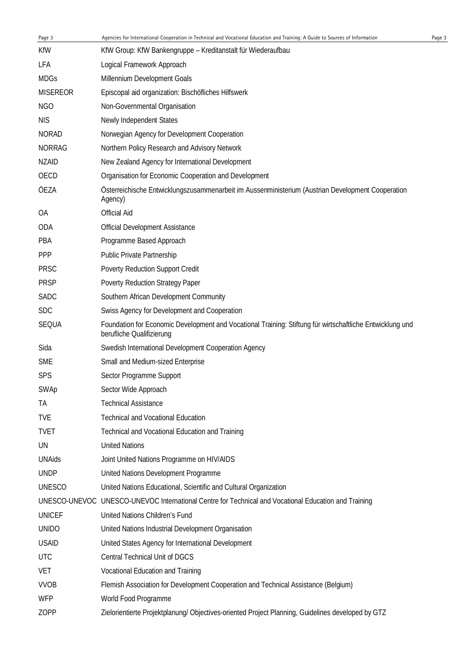| Page 3          | Agencies for International Cooperation in Technical and Vocational Education and Training: A Guide to Sources of Information           | Page 3 |
|-----------------|----------------------------------------------------------------------------------------------------------------------------------------|--------|
| <b>KfW</b>      | KfW Group: KfW Bankengruppe - Kreditanstalt für Wiederaufbau                                                                           |        |
| LFA             | Logical Framework Approach                                                                                                             |        |
| <b>MDGs</b>     | Millennium Development Goals                                                                                                           |        |
| <b>MISEREOR</b> | Episcopal aid organization: Bischöfliches Hilfswerk                                                                                    |        |
| NGO             | Non-Governmental Organisation                                                                                                          |        |
| <b>NIS</b>      | Newly Independent States                                                                                                               |        |
| <b>NORAD</b>    | Norwegian Agency for Development Cooperation                                                                                           |        |
| <b>NORRAG</b>   | Northern Policy Research and Advisory Network                                                                                          |        |
| <b>NZAID</b>    | New Zealand Agency for International Development                                                                                       |        |
| OECD            | Organisation for Economic Cooperation and Development                                                                                  |        |
| ÖEZA            | Österreichische Entwicklungszusammenarbeit im Aussenministerium (Austrian Development Cooperation<br>Agency)                           |        |
| OA              | <b>Official Aid</b>                                                                                                                    |        |
| ODA             | <b>Official Development Assistance</b>                                                                                                 |        |
| PBA             | Programme Based Approach                                                                                                               |        |
| <b>PPP</b>      | Public Private Partnership                                                                                                             |        |
| <b>PRSC</b>     | Poverty Reduction Support Credit                                                                                                       |        |
| <b>PRSP</b>     | Poverty Reduction Strategy Paper                                                                                                       |        |
| <b>SADC</b>     | Southern African Development Community                                                                                                 |        |
| <b>SDC</b>      | Swiss Agency for Development and Cooperation                                                                                           |        |
| SEQUA           | Foundation for Economic Development and Vocational Training: Stiftung für wirtschaftliche Entwicklung und<br>berufliche Qualifizierung |        |
| Sida            | Swedish International Development Cooperation Agency                                                                                   |        |
| <b>SME</b>      | Small and Medium-sized Enterprise                                                                                                      |        |
| <b>SPS</b>      | Sector Programme Support                                                                                                               |        |
| SWAp            | Sector Wide Approach                                                                                                                   |        |
| ТA              | <b>Technical Assistance</b>                                                                                                            |        |
| <b>TVE</b>      | <b>Technical and Vocational Education</b>                                                                                              |        |
| <b>TVET</b>     | Technical and Vocational Education and Training                                                                                        |        |
| UN              | <b>United Nations</b>                                                                                                                  |        |
| <b>UNAids</b>   | Joint United Nations Programme on HIV/AIDS                                                                                             |        |
| <b>UNDP</b>     | United Nations Development Programme                                                                                                   |        |
| <b>UNESCO</b>   | United Nations Educational, Scientific and Cultural Organization                                                                       |        |
|                 | UNESCO-UNEVOC UNESCO-UNEVOC International Centre for Technical and Vocational Education and Training                                   |        |
| <b>UNICEF</b>   | United Nations Children's Fund                                                                                                         |        |
| <b>UNIDO</b>    | United Nations Industrial Development Organisation                                                                                     |        |
| <b>USAID</b>    | United States Agency for International Development                                                                                     |        |
| <b>UTC</b>      | Central Technical Unit of DGCS                                                                                                         |        |
| <b>VET</b>      | Vocational Education and Training                                                                                                      |        |
| <b>VVOB</b>     | Flemish Association for Development Cooperation and Technical Assistance (Belgium)                                                     |        |
| <b>WFP</b>      | World Food Programme                                                                                                                   |        |
| ZOPP            | Zielorientierte Projektplanung/ Objectives-oriented Project Planning, Guidelines developed by GTZ                                      |        |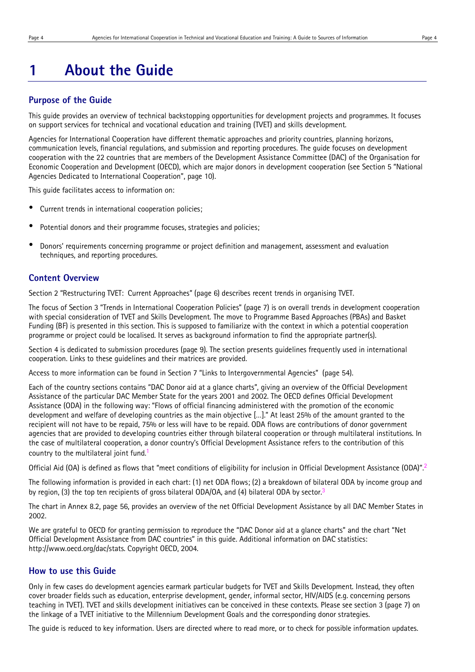# **1 About the Guide**

#### **Purpose of the Guide**

This guide provides an overview of technical backstopping opportunities for development projects and programmes. It focuses on support services for technical and vocational education and training (TVET) and skills development.

Agencies for International Cooperation have different thematic approaches and priority countries, planning horizons, communication levels, financial regulations, and submission and reporting procedures. The guide focuses on development cooperation with the 22 countries that are members of the Development Assistance Committee (DAC) of the Organisation for Economic Cooperation and Development (OECD), which are major donors in development cooperation (see Section 5 "National Agencies Dedicated to International Cooperation", page 10).

This guide facilitates access to information on:

- Current trends in international cooperation policies;
- Potential donors and their programme focuses, strategies and policies;
- Donors' requirements concerning programme or project definition and management, assessment and evaluation techniques, and reporting procedures.

### **Content Overview**

Section 2 "Restructuring TVET: Current Approaches" (page 6) describes recent trends in organising TVET.

The focus of Section 3 "Trends in International Cooperation Policies" (page 7) is on overall trends in development cooperation with special consideration of TVET and Skills Development. The move to Programme Based Approaches (PBAs) and Basket Funding (BF) is presented in this section. This is supposed to familiarize with the context in which a potential cooperation programme or project could be localised. It serves as background information to find the appropriate partner(s).

Section 4 is dedicated to submission procedures (page 9). The section presents guidelines frequently used in international cooperation. Links to these guidelines and their matrices are provided.

Access to more information can be found in Section 7 "Links to Intergovernmental Agencies" (page 54).

Each of the country sections contains "DAC Donor aid at a glance charts", giving an overview of the Official Development Assistance of the particular DAC Member State for the years 2001 and 2002. The OECD defines Official Development Assistance (ODA) in the following way: "Flows of official financing administered with the promotion of the economic development and welfare of developing countries as the main objective […]." At least 25% of the amount granted to the recipient will not have to be repaid, 75% or less will have to be repaid. ODA flows are contributions of donor government agencies that are provided to developing countries either through bilateral cooperation or through multilateral institutions. In the case of multilateral cooperation, a donor country's Official Development Assistance refers to the contribution of this country to the multilateral joint fund.<sup>1</sup>

Official Aid (OA) is defined as flows that "meet conditions of eligibility for inclusion in Official Development Assistance (ODA)".2

The following information is provided in each chart: (1) net ODA flows; (2) a breakdown of bilateral ODA by income group and by region, (3) the top ten recipients of gross bilateral ODA/OA, and (4) bilateral ODA by sector.<sup>3</sup>

The chart in Annex 8.2, page 56, provides an overview of the net Official Development Assistance by all DAC Member States in 2002.

We are grateful to OECD for granting permission to reproduce the "DAC Donor aid at a glance charts" and the chart "Net Official Development Assistance from DAC countries" in this guide. Additional information on DAC statistics: http://www.oecd.org/dac/stats. Copyright OECD, 2004.

## **How to use this Guide**

Only in few cases do development agencies earmark particular budgets for TVET and Skills Development. Instead, they often cover broader fields such as education, enterprise development, gender, informal sector, HIV/AIDS (e.g. concerning persons teaching in TVET). TVET and skills development initiatives can be conceived in these contexts. Please see section 3 (page 7) on the linkage of a TVET initiative to the Millennium Development Goals and the corresponding donor strategies.

The guide is reduced to key information. Users are directed where to read more, or to check for possible information updates.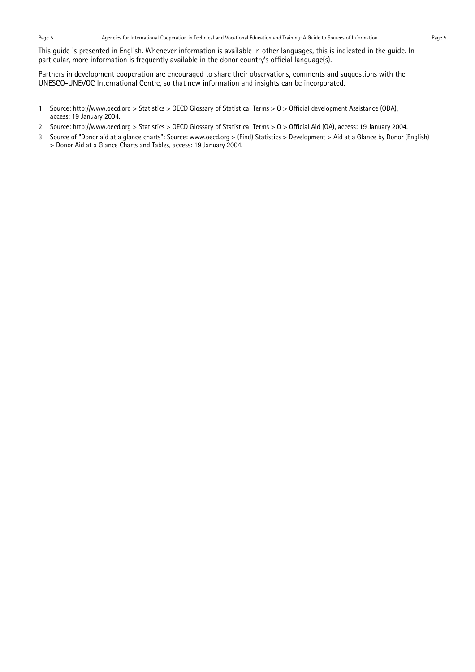l

This guide is presented in English. Whenever information is available in other languages, this is indicated in the guide. In particular, more information is frequently available in the donor country's official language(s).

Partners in development cooperation are encouraged to share their observations, comments and suggestions with the UNESCO-UNEVOC International Centre, so that new information and insights can be incorporated.

- 2 Source: http://www.oecd.org > Statistics > OECD Glossary of Statistical Terms > O > Official Aid (OA), access: 19 January 2004.
- 3 Source of "Donor aid at a glance charts": Source: www.oecd.org > (Find) Statistics > Development > Aid at a Glance by Donor (English) > Donor Aid at a Glance Charts and Tables, access: 19 January 2004.

<sup>1</sup> Source: http://www.oecd.org > Statistics > OECD Glossary of Statistical Terms > O > Official development Assistance (ODA), access: 19 January 2004.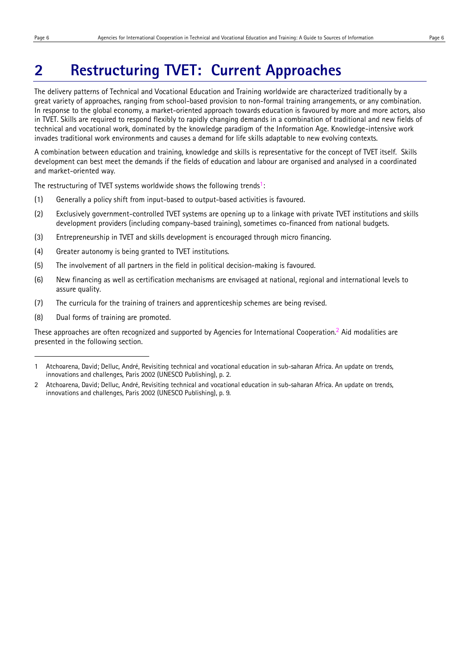l

# **2 Restructuring TVET: Current Approaches**

The delivery patterns of Technical and Vocational Education and Training worldwide are characterized traditionally by a great variety of approaches, ranging from school-based provision to non-formal training arrangements, or any combination. In response to the global economy, a market-oriented approach towards education is favoured by more and more actors, also in TVET. Skills are required to respond flexibly to rapidly changing demands in a combination of traditional and new fields of technical and vocational work, dominated by the knowledge paradigm of the Information Age. Knowledge-intensive work invades traditional work environments and causes a demand for life skills adaptable to new evolving contexts.

A combination between education and training, knowledge and skills is representative for the concept of TVET itself. Skills development can best meet the demands if the fields of education and labour are organised and analysed in a coordinated and market-oriented way.

The restructuring of TVET systems worldwide shows the following trends<sup>1</sup>:

- (1) Generally a policy shift from input-based to output-based activities is favoured.
- (2) Exclusively government-controlled TVET systems are opening up to a linkage with private TVET institutions and skills development providers (including company-based training), sometimes co-financed from national budgets.
- (3) Entrepreneurship in TVET and skills development is encouraged through micro financing.
- (4) Greater autonomy is being granted to TVET institutions.
- (5) The involvement of all partners in the field in political decision-making is favoured.
- (6) New financing as well as certification mechanisms are envisaged at national, regional and international levels to assure quality.
- (7) The curricula for the training of trainers and apprenticeship schemes are being revised.
- (8) Dual forms of training are promoted.

These approaches are often recognized and supported by Agencies for International Cooperation.2 Aid modalities are presented in the following section.

2 Atchoarena, David; Delluc, André, Revisiting technical and vocational education in sub-saharan Africa. An update on trends, innovations and challenges, Paris 2002 (UNESCO Publishing), p. 9.

<sup>1</sup> Atchoarena, David; Delluc, André, Revisiting technical and vocational education in sub-saharan Africa. An update on trends, innovations and challenges, Paris 2002 (UNESCO Publishing), p. 2.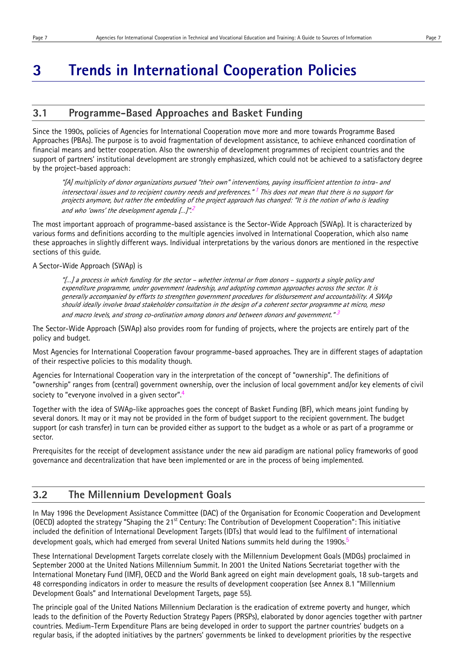# **3 Trends in International Cooperation Policies**

# **3.1 Programme-Based Approaches and Basket Funding**

Since the 1990s, policies of Agencies for International Cooperation move more and more towards Programme Based Approaches (PBAs). The purpose is to avoid fragmentation of development assistance, to achieve enhanced coordination of financial means and better cooperation. Also the ownership of development programmes of recipient countries and the support of partners' institutional development are strongly emphasized, which could not be achieved to a satisfactory degree by the project-based approach:

"[A] multiplicity of donor organizations pursued "their own" interventions, paying insufficient attention to intra- and intersectoral issues and to recipient country needs and preferences."<sup>1</sup> This does not mean that there is no support for projects anymore, but rather the embedding of the project approach has changed: "It is the notion of who is leading and who 'owns' the development agenda [...]"<sup>2</sup>

The most important approach of programme-based assistance is the Sector-Wide Approach (SWAp). It is characterized by various forms and definitions according to the multiple agencies involved in International Cooperation, which also name these approaches in slightly different ways. Individual interpretations by the various donors are mentioned in the respective sections of this guide.

A Sector-Wide Approach (SWAp) is

"[…] a process in which funding for the sector – whether internal or from donors – supports a single policy and expenditure programme, under government leadership, and adopting common approaches across the sector. It is generally accompanied by efforts to strengthen government procedures for disbursement and accountability. A SWAp should ideally involve broad stakeholder consultation in the design of a coherent sector programme at micro, meso and macro levels, and strong co-ordination among donors and between donors and government." $3$ 

The Sector-Wide Approach (SWAp) also provides room for funding of projects, where the projects are entirely part of the policy and budget.

Most Agencies for International Cooperation favour programme-based approaches. They are in different stages of adaptation of their respective policies to this modality though.

Agencies for International Cooperation vary in the interpretation of the concept of "ownership". The definitions of "ownership" ranges from (central) government ownership, over the inclusion of local government and/or key elements of civil society to "everyone involved in a given sector".<sup>4</sup>

Together with the idea of SWAp-like approaches goes the concept of Basket Funding (BF), which means joint funding by several donors. It may or it may not be provided in the form of budget support to the recipient government. The budget support (or cash transfer) in turn can be provided either as support to the budget as a whole or as part of a programme or sector.

Prerequisites for the receipt of development assistance under the new aid paradigm are national policy frameworks of good governance and decentralization that have been implemented or are in the process of being implemented.

# **3.2 The Millennium Development Goals**

In May 1996 the Development Assistance Committee (DAC) of the Organisation for Economic Cooperation and Development (OECD) adopted the strategy "Shaping the 21st Century: The Contribution of Development Cooperation": This initiative included the definition of International Development Targets (IDTs) that would lead to the fulfilment of international development goals, which had emerged from several United Nations summits held during the 1990s.<sup>5</sup>

These International Development Targets correlate closely with the Millennium Development Goals (MDGs) proclaimed in September 2000 at the United Nations Millennium Summit. In 2001 the United Nations Secretariat together with the International Monetary Fund (IMF), OECD and the World Bank agreed on eight main development goals, 18 sub-targets and 48 corresponding indicators in order to measure the results of development cooperation (see Annex 8.1 "Millennium Development Goals" and International Development Targets, page 55).

The principle goal of the United Nations Millennium Declaration is the eradication of extreme poverty and hunger, which leads to the definition of the Poverty Reduction Strategy Papers (PRSPs), elaborated by donor agencies together with partner countries. Medium-Term Expenditure Plans are being developed in order to support the partner countries' budgets on a regular basis, if the adopted initiatives by the partners' governments be linked to development priorities by the respective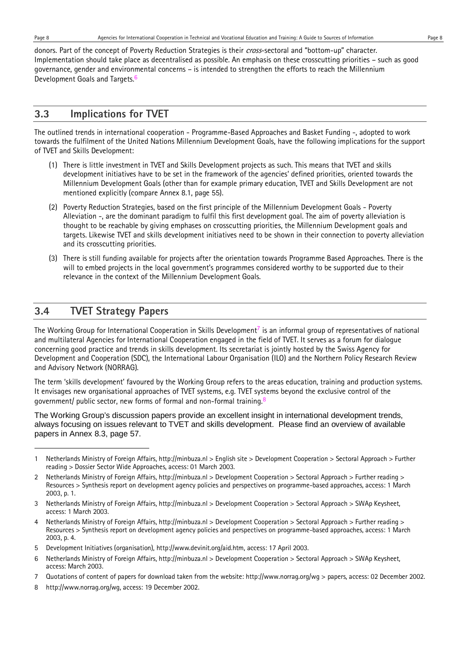l

donors. Part of the concept of Poverty Reduction Strategies is their *cross*-sectoral and "bottom-up" character. Implementation should take place as decentralised as possible. An emphasis on these crosscutting priorities – such as good governance, gender and environmental concerns – is intended to strengthen the efforts to reach the Millennium Development Goals and Targets.<sup>6</sup>

# **3.3 Implications for TVET**

The outlined trends in international cooperation - Programme-Based Approaches and Basket Funding -, adopted to work towards the fulfilment of the United Nations Millennium Development Goals, have the following implications for the support of TVET and Skills Development:

- (1) There is little investment in TVET and Skills Development projects as such. This means that TVET and skills development initiatives have to be set in the framework of the agencies' defined priorities, oriented towards the Millennium Development Goals (other than for example primary education, TVET and Skills Development are not mentioned explicitly (compare Annex 8.1, page 55).
- (2) Poverty Reduction Strategies, based on the first principle of the Millennium Development Goals Poverty Alleviation -, are the dominant paradigm to fulfil this first development goal. The aim of poverty alleviation is thought to be reachable by giving emphases on crosscutting priorities, the Millennium Development goals and targets. Likewise TVET and skills development initiatives need to be shown in their connection to poverty alleviation and its crosscutting priorities.
- (3) There is still funding available for projects after the orientation towards Programme Based Approaches. There is the will to embed projects in the local government's programmes considered worthy to be supported due to their relevance in the context of the Millennium Development Goals.

# **3.4 TVET Strategy Papers**

The Working Group for International Cooperation in Skills Development<sup>7</sup> is an informal group of representatives of national and multilateral Agencies for International Cooperation engaged in the field of TVET. It serves as a forum for dialogue concerning good practice and trends in skills development. Its secretariat is jointly hosted by the Swiss Agency for Development and Cooperation (SDC), the International Labour Organisation (ILO) and the Northern Policy Research Review and Advisory Network (NORRAG).

The term 'skills development' favoured by the Working Group refers to the areas education, training and production systems. It envisages new organisational approaches of TVET systems, e.g. TVET systems beyond the exclusive control of the government/ public sector, new forms of formal and non-formal training.<sup>8</sup>

The Working Group's discussion papers provide an excellent insight in international development trends, always focusing on issues relevant to TVET and skills development. Please find an overview of available papers in Annex 8.3, page 57.

8 http://www.norrag.org/wg, access: 19 December 2002.

<sup>1</sup> Netherlands Ministry of Foreign Affairs, http://minbuza.nl > English site > Development Cooperation > Sectoral Approach > Further reading > Dossier Sector Wide Approaches, access: 01 March 2003.

<sup>2</sup> Netherlands Ministry of Foreign Affairs, http://minbuza.nl > Development Cooperation > Sectoral Approach > Further reading > Resources > Synthesis report on development agency policies and perspectives on programme-based approaches, access: 1 March 2003, p. 1.

<sup>3</sup> Netherlands Ministry of Foreign Affairs, http://minbuza.nl > Development Cooperation > Sectoral Approach > SWAp Keysheet, access: 1 March 2003.

<sup>4</sup> Netherlands Ministry of Foreign Affairs, http://minbuza.nl > Development Cooperation > Sectoral Approach > Further reading > Resources > Synthesis report on development agency policies and perspectives on programme-based approaches, access: 1 March 2003, p. 4.

<sup>5</sup> Development Initiatives (organisation), http://www.devinit.org/aid.htm, access: 17 April 2003.

<sup>6</sup> Netherlands Ministry of Foreign Affairs, http://minbuza.nl > Development Cooperation > Sectoral Approach > SWAp Keysheet, access: March 2003.

<sup>7</sup> Quotations of content of papers for download taken from the website: http://www.norrag.org/wg > papers, access: 02 December 2002.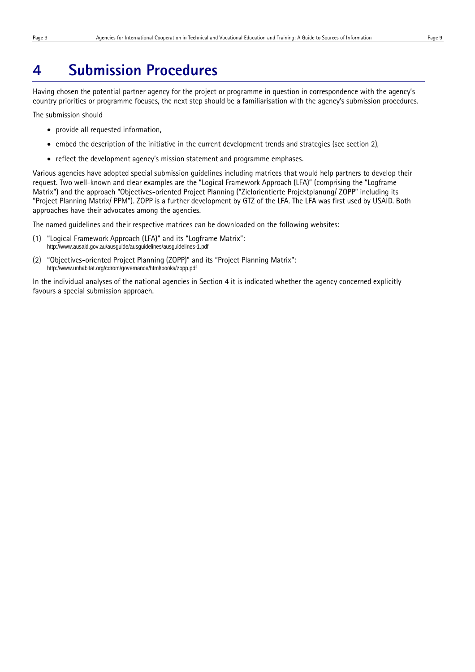# **4 Submission Procedures**

Having chosen the potential partner agency for the project or programme in question in correspondence with the agency's country priorities or programme focuses, the next step should be a familiarisation with the agency's submission procedures.

The submission should

- provide all requested information,
- embed the description of the initiative in the current development trends and strategies (see section 2),
- reflect the development agency's mission statement and programme emphases.

Various agencies have adopted special submission guidelines including matrices that would help partners to develop their request. Two well-known and clear examples are the "Logical Framework Approach (LFA)" (comprising the "Logframe Matrix") and the approach "Objectives-oriented Project Planning ("Zielorientierte Projektplanung/ ZOPP" including its "Project Planning Matrix/ PPM"). ZOPP is a further development by GTZ of the LFA. The LFA was first used by USAID. Both approaches have their advocates among the agencies.

The named guidelines and their respective matrices can be downloaded on the following websites:

- (1) "Logical Framework Approach (LFA)" and its "Logframe Matrix": http://www.ausaid.gov.au/ausguide/ausguidelines/ausguidelines-1.pdf
- (2) "Objectives-oriented Project Planning (ZOPP)" and its "Project Planning Matrix": http://www.unhabitat.org/cdrom/governance/html/books/zopp.pdf

In the individual analyses of the national agencies in Section 4 it is indicated whether the agency concerned explicitly favours a special submission approach.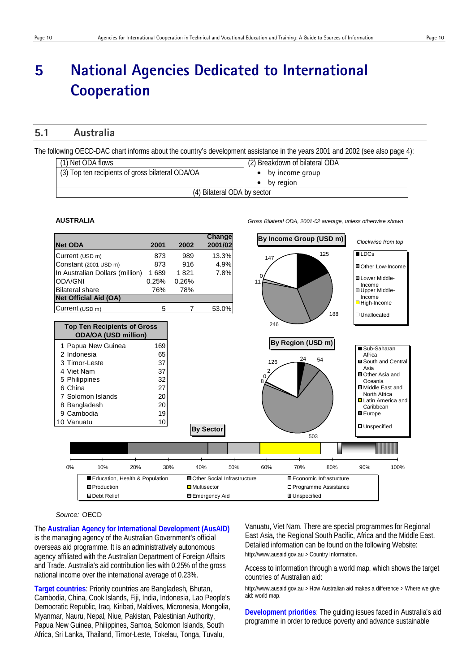# **5 National Agencies Dedicated to International Cooperation**

# **5.1 Australia**

The following OECD-DAC chart informs about the country's development assistance in the years 2001 and 2002 (see also page 4):

| (1) Net ODA flows                                | (2) Breakdown of bilateral ODA |
|--------------------------------------------------|--------------------------------|
| (3) Top ten recipients of gross bilateral ODA/OA | $\bullet$ by income group      |
|                                                  | by region                      |
| (4) Bilateral ODA by sector                      |                                |

#### **AUSTRALIA** *Gross Bilateral ODA, 2001-02 average, unless otherwise shown*



*Source:* OECD

The **Australian Agency for International Development (AusAID)** is the managing agency of the Australian Government's official overseas aid programme. It is an administratively autonomous agency affiliated with the Australian Department of Foreign Affairs and Trade. Australia's aid contribution lies with 0.25% of the gross national income over the international average of 0.23%.

**Target countries**: Priority countries are Bangladesh, Bhutan, Cambodia, China, Cook Islands, Fiji, India, Indonesia, Lao People's Democratic Republic, Iraq, Kiribati, Maldives, Micronesia, Mongolia, Myanmar, Nauru, Nepal, Niue, Pakistan, Palestinian Authority, Papua New Guinea, Philippines, Samoa, Solomon Islands, South Africa, Sri Lanka, Thailand, Timor-Leste, Tokelau, Tonga, Tuvalu,

Vanuatu, Viet Nam. There are special programmes for Regional East Asia, the Regional South Pacific, Africa and the Middle East. Detailed information can be found on the following Website: http://www.ausaid.gov.au > Country Information.

Access to information through a world map, which shows the target countries of Australian aid:

http://www.ausaid.gov.au > How Australian aid makes a difference > Where we give aid: world map.

**Development priorities**: The guiding issues faced in Australia's aid programme in order to reduce poverty and advance sustainable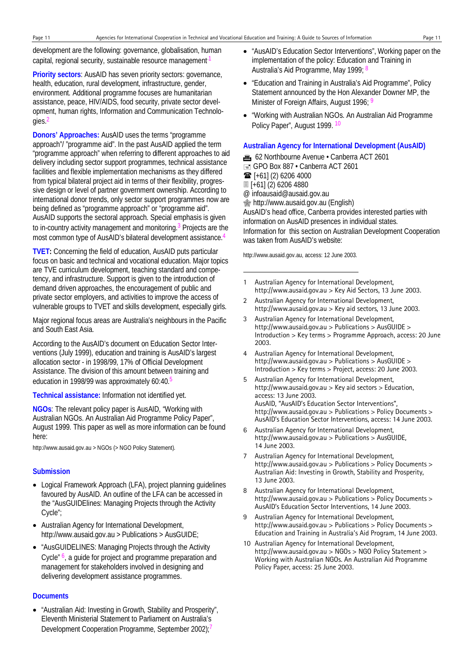development are the following: governance, globalisation, human capital, regional security, sustainable resource management.<sup>1</sup>

**Priority sectors**: AusAID has seven priority sectors: governance, health, education, rural development, infrastructure, gender, environment. Additional programme focuses are humanitarian assistance, peace, HIV/AIDS, food security, private sector development, human rights, Information and Communication Technologies.2

**Donors' Approaches:** AusAID uses the terms "programme approach"/ "programme aid". In the past AusAID applied the term "programme approach" when referring to different approaches to aid delivery including sector support programmes, technical assistance facilities and flexible implementation mechanisms as they differed from typical bilateral project aid in terms of their flexibility, progressive design or level of partner government ownership. According to international donor trends, only sector support programmes now are being defined as "programme approach" or "programme aid". AusAID supports the sectoral approach. Special emphasis is given to in-country activity management and monitoring.3 Projects are the most common type of AusAID's bilateral development assistance.4

**TVET:** Concerning the field of education, AusAID puts particular focus on basic and technical and vocational education. Major topics are TVE curriculum development, teaching standard and competency, and infrastructure. Support is given to the introduction of demand driven approaches, the encouragement of public and private sector employers, and activities to improve the access of vulnerable groups to TVET and skills development, especially girls.

Major regional focus areas are Australia's neighbours in the Pacific and South East Asia.

According to the AusAID's document on Education Sector Interventions (July 1999), education and training is AusAID's largest allocation sector - in 1998/99, 17% of Official Development Assistance. The division of this amount between training and education in 1998/99 was approximately 60:40.<sup>5</sup>

**Technical assistance:** Information not identified yet.

**NGOs**: The relevant policy paper is AusAID, "Working with Australian NGOs. An Australian Aid Programme Policy Paper", August 1999. This paper as well as more information can be found here:

http://www.ausaid.gov.au > NGOs (> NGO Policy Statement).

#### **Submission**

- Logical Framework Approach (LFA), project planning guidelines favoured by AusAID. An outline of the LFA can be accessed in the "AusGUIDElines: Managing Projects through the Activity Cycle";
- Australian Agency for International Development, http://www.ausaid.gov.au > Publications > AusGUIDE;
- "AusGUIDELINES: Managing Projects through the Activity Cycle<sup>" 6</sup>, a guide for project and programme preparation and management for stakeholders involved in designing and delivering development assistance programmes.

#### **Documents**

• "Australian Aid: Investing in Growth, Stability and Prosperity", Eleventh Ministerial Statement to Parliament on Australia's Development Cooperation Programme, September 2002);<sup>7</sup>

- "AusAID's Education Sector Interventions", Working paper on the implementation of the policy: Education and Training in Australia's Aid Programme, May 1999; 8
- "Education and Training in Australia's Aid Programme", Policy Statement announced by the Hon Alexander Downer MP, the Minister of Foreign Affairs, August 1996; 9
- "Working with Australian NGOs. An Australian Aid Programme Policy Paper", August 1999. 10

#### **Australian Agency for International Development (AusAID)**

**for** 62 Northbourne Avenue • Canberra ACT 2601  $\equiv$  GPO Box 887 • Canberra ACT 2601  $\mathbf{\widehat{m}}$  [+61] (2) 6206 4000 [+61] (2) 6206 4880 @ infoausaid@ausaid.gov.au  $\circledast$  http://www.ausaid.gov.au (English) AusAID's head office, Canberra provides interested parties with information on AusAID presences in individual states. Information for this section on Australian Development Cooperation was taken from AusAID's website:

http://www.ausaid.gov.au, access: 12 June 2003.

-

- 1 Australian Agency for International Development, http://www.ausaid.gov.au > Key Aid Sectors, 13 June 2003.
- 2 Australian Agency for International Development, http://www.ausaid.gov.au > Key aid sectors, 13 June 2003.
- 3 Australian Agency for International Development, http://www.ausaid.gov.au > Publications > AusGUIDE > Introduction > Key terms > Programme Approach, access: 20 June 2003.
- 4 Australian Agency for International Development, http://www.ausaid.gov.au > Publications > AusGUIDE > Introduction > Key terms > Project, access: 20 June 2003.
- 5 Australian Agency for International Development, http://www.ausaid.gov.au > Key aid sectors > Education, access: 13 June 2003. AusAID, "AusAID's Education Sector Interventions", http://www.ausaid.gov.au > Publications > Policy Documents > AusAID's Education Sector Interventions, access: 14 June 2003.
- 6 Australian Agency for International Development, http://www.ausaid.gov.au > Publications > AusGUIDE, 14 June 2003.
- 7 Australian Agency for International Development, http://www.ausaid.gov.au > Publications > Policy Documents > Australian Aid: Investing in Growth, Stability and Prosperity, 13 June 2003.
- 8 Australian Agency for International Development, http://www.ausaid.gov.au > Publications > Policy Documents > AusAID's Education Sector Interventions, 14 June 2003.
- 9 Australian Agency for International Development, http://www.ausaid.gov.au > Publications > Policy Documents > Education and Training in Australia's Aid Program, 14 June 2003.
- 10 Australian Agency for International Development, http://www.ausaid.gov.au > NGOs > NGO Policy Statement > Working with Australian NGOs. An Australian Aid Programme Policy Paper, access: 25 June 2003.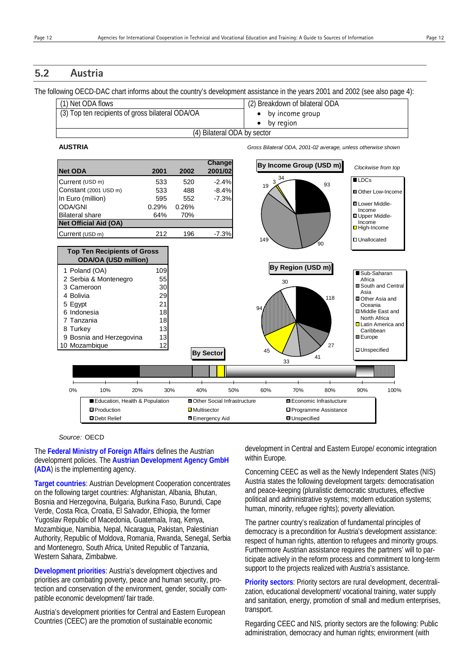# **5.2 Austria**

The following OECD-DAC chart informs about the country's development assistance in the years 2001 and 2002 (see also page 4):

| (1) Net ODA flows                                | (2) Breakdown of bilateral ODA |
|--------------------------------------------------|--------------------------------|
| (3) Top ten recipients of gross bilateral ODA/OA | by income group                |
|                                                  | by region                      |
| (4) Bilateral ODA by sector                      |                                |

#### **AUSTRIA** *Gross Bilateral ODA, 2001-02 average, unless otherwise shown*



#### *Source:* OECD

The **Federal Ministry of Foreign Affairs** defines the Austrian development policies. The **Austrian Development Agency GmbH (ADA**) is the implementing agency.

**Target countries**: Austrian Development Cooperation concentrates on the following target countries: Afghanistan, Albania, Bhutan, Bosnia and Herzegovina, Bulgaria, Burkina Faso, Burundi, Cape Verde, Costa Rica, Croatia, El Salvador, Ethiopia, the former Yugoslav Republic of Macedonia, Guatemala, Iraq, Kenya, Mozambique, Namibia, Nepal, Nicaragua, Pakistan, Palestinian Authority, Republic of Moldova, Romania, Rwanda, Senegal, Serbia and Montenegro, South Africa, United Republic of Tanzania, Western Sahara, Zimbabwe.

**Development priorities**: Austria's development objectives and priorities are combating poverty, peace and human security, protection and conservation of the environment, gender, socially compatible economic development/ fair trade.

Austria's development priorities for Central and Eastern European Countries (CEEC) are the promotion of sustainable economic

development in Central and Eastern Europe/ economic integration within Europe.

Concerning CEEC as well as the Newly Independent States (NIS) Austria states the following development targets: democratisation and peace-keeping (pluralistic democratic structures, effective political and administrative systems; modern education systems; human, minority, refugee rights); poverty alleviation.

The partner country's realization of fundamental principles of democracy is a precondition for Austria's development assistance: respect of human rights, attention to refugees and minority groups. Furthermore Austrian assistance requires the partners' will to participate actively in the reform process and commitment to long-term support to the projects realized with Austria's assistance.

**Priority sectors**: Priority sectors are rural development, decentralization, educational development/ vocational training, water supply and sanitation, energy, promotion of small and medium enterprises, transport.

Regarding CEEC and NIS, priority sectors are the following: Public administration, democracy and human rights; environment (with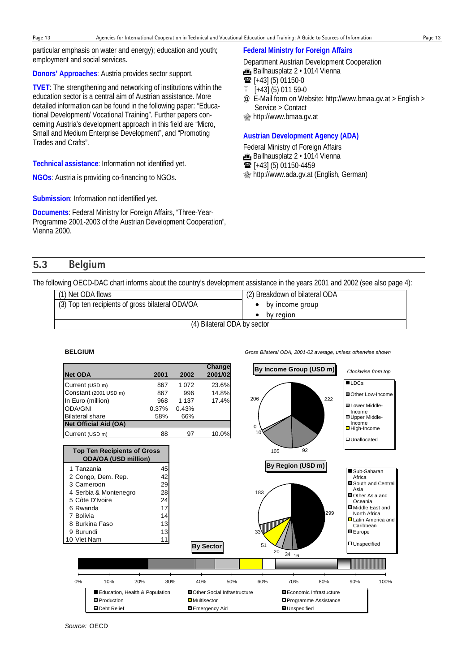particular emphasis on water and energy); education and youth; employment and social services.

## **Donors' Approaches**: Austria provides sector support.

**TVET**: The strengthening and networking of institutions within the education sector is a central aim of Austrian assistance. More detailed information can be found in the following paper: "Educational Development/ Vocational Training". Further papers concerning Austria's development approach in this field are "Micro, Small and Medium Enterprise Development", and "Promoting Trades and Crafts".

**Technical assistance**: Information not identified yet.

**NGOs**: Austria is providing co-financing to NGOs.

**Submission**: Information not identified yet.

**Documents**: Federal Ministry for Foreign Affairs, "Three-Year-Programme 2001-2003 of the Austrian Development Cooperation", Vienna 2000.

# **Federal Ministry for Foreign Affairs**

Department Austrian Development Cooperation

- **in** Ballhausplatz 2 · 1014 Vienna
- $\mathbf{\widehat{m}}$  [+43] (5) 01150-0
- [+43] (5) 011 59-0
- @ E-Mail form on Website: http://www.bmaa.gv.at > English > Service > Contact
- **s**http://www.bmaa.gv.at

# **Austrian Development Agency (ADA)**

Federal Ministry of Foreign Affairs **E** Ballhausplatz 2 · 1014 Vienna

 $\mathbf{F}$  [+43] (5) 01150-4459

http://www.ada.gv.at (English, German)

# **5.3 Belgium**

The following OECD-DAC chart informs about the country's development assistance in the years 2001 and 2002 (see also page 4):

| (1) Net ODA flows                                | (2) Breakdown of bilateral ODA |
|--------------------------------------------------|--------------------------------|
| (3) Top ten recipients of gross bilateral ODA/OA | • by income group              |
|                                                  | by region                      |
| (4) Bilateral ODA by sector                      |                                |



**BELGIUM** *Gross Bilateral ODA, 2001-02 average, unless otherwise shown*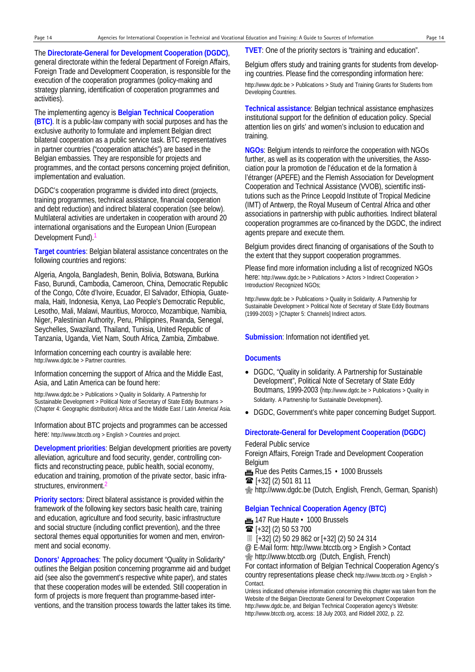The **Directorate-General for Development Cooperation (DGDC)**, general directorate within the federal Department of Foreign Affairs, Foreign Trade and Development Cooperation, is responsible for the execution of the cooperation programmes (policy-making and strategy planning, identification of cooperation programmes and activities).

The implementing agency is **Belgian Technical Cooperation (BTC)**. It is a public-law company with social purposes and has the exclusive authority to formulate and implement Belgian direct bilateral cooperation as a public service task. BTC representatives in partner countries ("cooperation attachés") are based in the Belgian embassies. They are responsible for projects and programmes, and the contact persons concerning project definition,

implementation and evaluation.

DGDC's cooperation programme is divided into direct (projects, training programmes, technical assistance, financial cooperation and debt reduction) and indirect bilateral cooperation (see below). Multilateral activities are undertaken in cooperation with around 20 international organisations and the European Union (European Development Fund).

**Target countries**: Belgian bilateral assistance concentrates on the following countries and regions:

Algeria, Angola, Bangladesh, Benin, Bolivia, Botswana, Burkina Faso, Burundi, Cambodia, Cameroon, China, Democratic Republic of the Congo, Côte d'Ivoire, Ecuador, El Salvador, Ethiopia, Guatemala, Haiti, Indonesia, Kenya, Lao People's Democratic Republic, Lesotho, Mali, Malawi, Mauritius, Morocco, Mozambique, Namibia, Niger, Palestinian Authority, Peru, Philippines, Rwanda, Senegal, Seychelles, Swaziland, Thailand, Tunisia, United Republic of Tanzania, Uganda, Viet Nam, South Africa, Zambia, Zimbabwe.

Information concerning each country is available here: http://www.dgdc.be > Partner countries.

Information concerning the support of Africa and the Middle East, Asia, and Latin America can be found here:

http://www.dgdc.be > Publications > Quality in Solidarity. A Partnership for Sustainable Development > Political Note of Secretary of State Eddy Boutmans > (Chapter 4: Geographic distribution) Africa and the Middle East / Latin America/ Asia.

Information about BTC projects and programmes can be accessed here: http://www.btcctb.org > English > Countries and project.

**Development priorities**: Belgian development priorities are poverty alleviation, agriculture and food security, gender, controlling conflicts and reconstructing peace, public health, social economy, education and training, promotion of the private sector, basic infrastructures, environment.<sup>2</sup>

**Priority sectors**: Direct bilateral assistance is provided within the framework of the following key sectors basic health care, training and education, agriculture and food security, basic infrastructure and social structure (including conflict prevention), and the three sectoral themes equal opportunities for women and men, environment and social economy.

**Donors' Approaches**: The policy document "Quality in Solidarity" outlines the Belgian position concerning programme aid and budget aid (see also the government's respective white paper), and states that these cooperation modes will be extended. Still cooperation in form of projects is more frequent than programme-based interventions, and the transition process towards the latter takes its time. **TVET**: One of the priority sectors is "training and education".

Belgium offers study and training grants for students from developing countries. Please find the corresponding information here: http://www.dgdc.be > Publications > Study and Training Grants for Students from Developing Countries.

**Technical assistance**: Belgian technical assistance emphasizes institutional support for the definition of education policy. Special attention lies on girls' and women's inclusion to education and training.

**NGOs**: Belgium intends to reinforce the cooperation with NGOs further, as well as its cooperation with the universities, the Association pour la promotion de l'éducation et de la formation à l'étranger (APEFE) and the Flemish Association for Development Cooperation and Technical Assistance (VVOB), scientific institutions such as the Prince Leopold Institute of Tropical Medicine (IMT) of Antwerp, the Royal Museum of Central Africa and other associations in partnership with public authorities. Indirect bilateral cooperation programmes are co-financed by the DGDC, the indirect agents prepare and execute them.

Belgium provides direct financing of organisations of the South to the extent that they support cooperation programmes.

Please find more information including a list of recognized NGOs here: http://www.dgdc.be > Publications > Actors > Indirect Cooperation > Introduction/ Recognized NGOs:

http://www.dgdc.be > Publications > Quality in Solidarity. A Partnership for Sustainable Development > Political Note of Secretary of State Eddy Boutmans (1999-2003) > [Chapter 5: Channels] Indirect actors.

**Submission**: Information not identified yet.

#### **Documents**

- DGDC, "Quality in solidarity. A Partnership for Sustainable Development", Political Note of Secretary of State Eddy Boutmans, 1999-2003 (http://www.dgdc.be > Publications > Quality in Solidarity. A Partnership for Sustainable Development).
- DGDC, Government's white paper concerning Budget Support.

### **Directorate-General for Development Cooperation (DGDC)**

#### Federal Public service

Foreign Affairs, Foreign Trade and Development Cooperation Belgium

- $\mathbf{m}$  Rue des Petits Carmes, 15  $\cdot$  1000 Brussels
- $\mathbf{\widehat{m}}$  [+32] (2) 501 81 11

**s** http://www.dgdc.be (Dutch, English, French, German, Spanish)

#### **Belgian Technical Cooperation Agency (BTC)**

- $m$  147 Rue Haute  $\cdot$  1000 Brussels
- $\mathbf{F}$  [+32] (2) 50 53 700
- [+32] (2) 50 29 862 or [+32] (2) 50 24 314

@ E-Mail form: http://www.btcctb.org > English > Contact

http://www.btcctb.org (Dutch, English, French)

For contact information of Belgian Technical Cooperation Agency's country representations please check http://www.btcctb.org > English > Contact.

Unless indicated otherwise information concerning this chapter was taken from the Website of the Belgian Directorate General for Development Cooperation http://www.dgdc.be, and Belgian Technical Cooperation agency's Website: http://www.btcctb.org, access: 18 July 2003, and Riddell 2002, p. 22.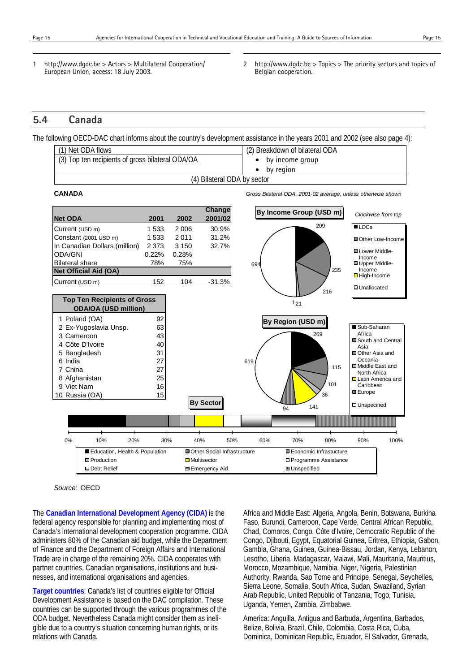l

1

- 1 http://www.dgdc.be > Actors > Multilateral Cooperation/ European Union, access: 18 July 2003.
- 2 http://www.dgdc.be > Topics > The priority sectors and topics of Belgian cooperation.

# **5.4 Canada**

The following OECD-DAC chart informs about the country's development assistance in the years 2001 and 2002 (see also page 4):

|                                                  |                             |                                | $\sim$ |
|--------------------------------------------------|-----------------------------|--------------------------------|--------|
| (1) Net ODA flows                                |                             | (2) Breakdown of bilateral ODA |        |
| (3) Top ten recipients of gross bilateral ODA/OA |                             | by income group                |        |
|                                                  |                             | by region                      |        |
|                                                  | (4) Bilateral ODA by sector |                                |        |
|                                                  |                             |                                |        |

**CANADA** *Gross Bilateral ODA, 2001-02 average, unless otherwise shown*



*Source:* OECD

The **Canadian International Development Agency (CIDA)** is the federal agency responsible for planning and implementing most of Canada's international development cooperation programme. CIDA administers 80% of the Canadian aid budget, while the Department of Finance and the Department of Foreign Affairs and International Trade are in charge of the remaining 20%. CIDA cooperates with partner countries, Canadian organisations, institutions and businesses, and international organisations and agencies.

**Target countries**: Canada's list of countries eligible for Official Development Assistance is based on the DAC compilation. These countries can be supported through the various programmes of the ODA budget. Nevertheless Canada might consider them as ineligible due to a country's situation concerning human rights, or its relations with Canada.

Africa and Middle East: Algeria, Angola, Benin, Botswana, Burkina Faso, Burundi, Cameroon, Cape Verde, Central African Republic, Chad, Comoros, Congo, Côte d'Ivoire, Democratic Republic of the Congo, Djibouti, Egypt, Equatorial Guinea, Eritrea, Ethiopia, Gabon, Gambia, Ghana, Guinea, Guinea-Bissau, Jordan, Kenya, Lebanon, Lesotho, Liberia, Madagascar, Malawi, Mali, Mauritania, Mauritius, Morocco, Mozambique, Namibia, Niger, Nigeria, Palestinian Authority, Rwanda, Sao Tome and Principe, Senegal, Seychelles, Sierra Leone, Somalia, South Africa, Sudan, Swaziland, Syrian Arab Republic, United Republic of Tanzania, Togo, Tunisia, Uganda, Yemen, Zambia, Zimbabwe.

America: Anguilla, Antigua and Barbuda, Argentina, Barbados, Belize, Bolivia, Brazil, Chile, Colombia, Costa Rica, Cuba, Dominica, Dominican Republic, Ecuador, El Salvador, Grenada,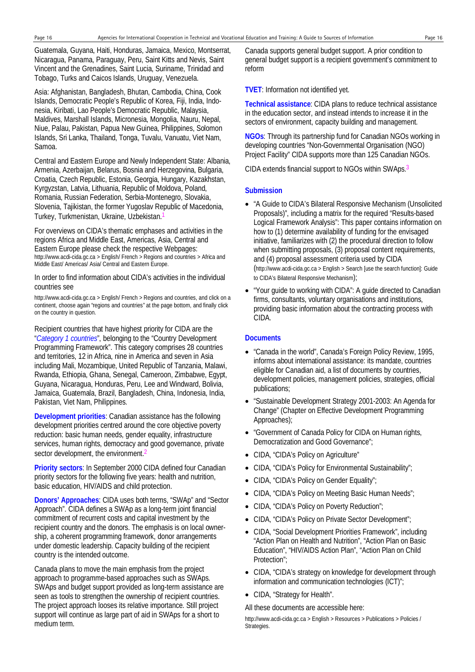Guatemala, Guyana, Haiti, Honduras, Jamaica, Mexico, Montserrat, Nicaragua, Panama, Paraguay, Peru, Saint Kitts and Nevis, Saint Vincent and the Grenadines, Saint Lucia, Suriname, Trinidad and Tobago, Turks and Caicos Islands, Uruguay, Venezuela.

Asia: Afghanistan, Bangladesh, Bhutan, Cambodia, China, Cook Islands, Democratic People's Republic of Korea, Fiji, India, Indonesia, Kiribati, Lao People's Democratic Republic, Malaysia, Maldives, Marshall Islands, Micronesia, Mongolia, Nauru, Nepal, Niue, Palau, Pakistan, Papua New Guinea, Philippines, Solomon Islands, Sri Lanka, Thailand, Tonga, Tuvalu, Vanuatu, Viet Nam, Samoa.

Central and Eastern Europe and Newly Independent State: Albania, Armenia, Azerbaijan, Belarus, Bosnia and Herzegovina, Bulgaria, Croatia, Czech Republic, Estonia, Georgia, Hungary, Kazakhstan, Kyrgyzstan, Latvia, Lithuania, Republic of Moldova, Poland, Romania, Russian Federation, Serbia-Montenegro, Slovakia, Slovenia, Tajikistan, the former Yugoslav Republic of Macedonia, Turkey, Turkmenistan, Ukraine, Uzbekistan.1

For overviews on CIDA's thematic emphases and activities in the regions Africa and Middle East, Americas, Asia, Central and Eastern Europe please check the respective Webpages: http://www.acdi-cida.gc.ca > English/ French > Regions and countries > Africa and Middle East/ Americas/ Asia/ Central and Eastern Europe.

#### In order to find information about CIDA's activities in the individual countries see

http://www.acdi-cida.gc.ca > English/ French > Regions and countries, and click on a continent, choose again "regions and countries" at the page bottom, and finally click on the country in question.

Recipient countries that have highest priority for CIDA are the "*Category 1 countries*", belonging to the "Country Development Programming Framework". This category comprises 28 countries and territories, 12 in Africa, nine in America and seven in Asia including Mali, Mozambique, United Republic of Tanzania, Malawi, Rwanda, Ethiopia, Ghana, Senegal, Cameroon, Zimbabwe, Egypt, Guyana, Nicaragua, Honduras, Peru, Lee and Windward, Bolivia, Jamaica, Guatemala, Brazil, Bangladesh, China, Indonesia, India, Pakistan, Viet Nam, Philippines.

**Development priorities**: Canadian assistance has the following development priorities centred around the core objective poverty reduction: basic human needs, gender equality, infrastructure services, human rights, democracy and good governance, private sector development, the environment.

**Priority sectors**: In September 2000 CIDA defined four Canadian priority sectors for the following five years: health and nutrition, basic education, HIV/AIDS and child protection.

**Donors' Approaches**: CIDA uses both terms, "SWAp" and "Sector Approach". CIDA defines a SWAp as a long-term joint financial commitment of recurrent costs and capital investment by the recipient country and the donors. The emphasis is on local ownership, a coherent programming framework, donor arrangements under domestic leadership. Capacity building of the recipient country is the intended outcome.

Canada plans to move the main emphasis from the project approach to programme-based approaches such as SWAps. SWAps and budget support provided as long-term assistance are seen as tools to strengthen the ownership of recipient countries. The project approach looses its relative importance. Still project support will continue as large part of aid in SWAps for a short to medium term.

Canada supports general budget support. A prior condition to general budget support is a recipient government's commitment to reform

**TVET**: Information not identified yet.

**Technical assistance**: CIDA plans to reduce technical assistance in the education sector, and instead intends to increase it in the sectors of environment, capacity building and management.

**NGOs**: Through its partnership fund for Canadian NGOs working in developing countries "Non-Governmental Organisation (NGO) Project Facility" CIDA supports more than 125 Canadian NGOs.

CIDA extends financial support to NGOs within SWAps.3

#### **Submission**

- "A Guide to CIDA's Bilateral Responsive Mechanism (Unsolicited Proposals)", including a matrix for the required "Results-based Logical Framework Analysis": This paper contains information on how to (1) determine availability of funding for the envisaged initiative, familiarizes with (2) the procedural direction to follow when submitting proposals, (3) proposal content requirements, and (4) proposal assessment criteria used by CIDA (http://www.acdi-cida.gc.ca > English > Search [use the search function]: Guide to CIDA's Bilateral Responsive Mechanism);
- "Your guide to working with CIDA": A guide directed to Canadian firms, consultants, voluntary organisations and institutions, providing basic information about the contracting process with CIDA.

#### **Documents**

- "Canada in the world", Canada's Foreign Policy Review, 1995, informs about international assistance: its mandate, countries eligible for Canadian aid, a list of documents by countries, development policies, management policies, strategies, official publications;
- "Sustainable Development Strategy 2001-2003: An Agenda for Change" (Chapter on Effective Development Programming Approaches);
- "Government of Canada Policy for CIDA on Human rights, Democratization and Good Governance";
- CIDA, "CIDA's Policy on Agriculture"
- CIDA, "CIDA's Policy for Environmental Sustainability";
- CIDA, "CIDA's Policy on Gender Equality";
- CIDA, "CIDA's Policy on Meeting Basic Human Needs";
- CIDA, "CIDA's Policy on Poverty Reduction";
- CIDA, "CIDA's Policy on Private Sector Development";
- CIDA, "Social Development Priorities Framework", including "Action Plan on Health and Nutrition", "Action Plan on Basic Education", "HIV/AIDS Action Plan", "Action Plan on Child Protection";
- CIDA, "CIDA's strategy on knowledge for development through information and communication technologies (ICT)";
- CIDA, "Strategy for Health".

All these documents are accessible here:

http://www.acdi-cida.gc.ca > English > Resources > Publications > Policies / Strategies.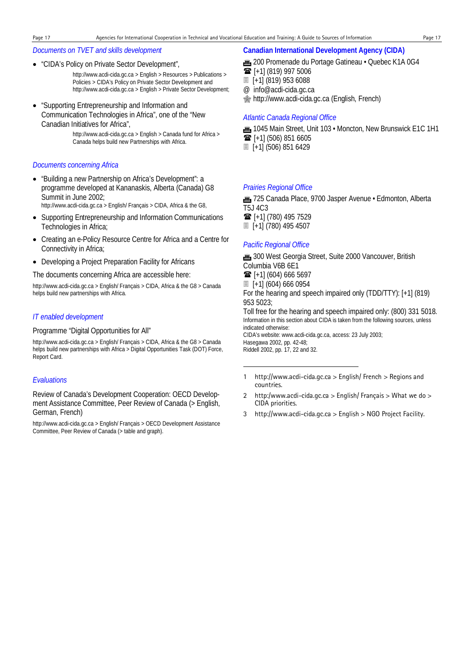#### *Documents on TVET and skills development*

• "CIDA's Policy on Private Sector Development",

http://www.acdi-cida.gc.ca > English > Resources > Publications > Policies > CIDA's Policy on Private Sector Development and http://www.acdi-cida.gc.ca > English > Private Sector Development;

• "Supporting Entrepreneurship and Information and Communication Technologies in Africa", one of the "New Canadian Initiatives for Africa",

> http://www.acdi-cida.gc.ca > English > Canada fund for Africa > Canada helps build new Partnerships with Africa.

#### *Documents concerning Africa*

- "Building a new Partnership on Africa's Development": a programme developed at Kananaskis, Alberta (Canada) G8 Summit in June 2002; http://www.acdi-cida.gc.ca > English/ Français > CIDA, Africa & the G8,
- Supporting Entrepreneurship and Information Communications Technologies in Africa;
- Creating an e-Policy Resource Centre for Africa and a Centre for Connectivity in Africa;
- Developing a Project Preparation Facility for Africans

The documents concerning Africa are accessible here:

http://www.acdi-cida.gc.ca > English/ Français > CIDA, Africa & the G8 > Canada helps build new partnerships with Africa.

#### *IT enabled development*

## Programme "Digital Opportunities for All"

http://www.acdi-cida.gc.ca > English/ Français > CIDA, Africa & the G8 > Canada helps build new partnerships with Africa > Digital Opportunities Task (DOT) Force, Report Card.

#### *Evaluations*

Review of Canada's Development Cooperation: OECD Development Assistance Committee, Peer Review of Canada (> English, German, French)

http://www.acdi-cida.gc.ca > English/ Français > OECD Development Assistance Committee, Peer Review of Canada (> table and graph).

#### **Canadian International Development Agency (CIDA)**

- **1** 200 Promenade du Portage Gatineau Quebec K1A 0G4
- $\mathbf{\widehat{m}}$  [+1] (819) 997 5006
- [+1] (819) 953 6088

@ info@acdi-cida.gc.ca

**Manuship://www.acdi-cida.gc.ca (English, French)** 

#### *Atlantic Canada Regional Office*

1045 Main Street, Unit 103 • Moncton, New Brunswick E1C 1H1  $\mathbf{\widehat{m}}$  [+1] (506) 851 6605 [+1] (506) 851 6429

#### *Prairies Regional Office*

\* 725 Canada Place, 9700 Jasper Avenue • Edmonton, Alberta T5J 4C3  $\mathbf{\widehat{m}}$  [+1] (780) 495 7529 [+1] (780) 495 4507

### *Pacific Regional Office*

10 300 West Georgia Street, Suite 2000 Vancouver, British Columbia V6B 6E1

 $\mathbf{\widehat{m}}$  [+1] (604) 666 5697

[+1] (604) 666 0954

-

For the hearing and speech impaired only (TDD/TTY): [+1] (819) 953 5023;

Toll free for the hearing and speech impaired only: (800) 331 5018. Information in this section about CIDA is taken from the following sources, unless indicated otherwise: CIDA's website: www.acdi-cida.gc.ca, access: 23 July 2003;

Hasegawa 2002, pp. 42-48; Riddell 2002, pp. 17, 22 and 32.

- 1 http://www.acdi-cida.gc.ca > English/ French > Regions and countries.
- 2 http:/www.acdi-cida.gc.ca > English/ Français > What we do > CIDA priorities.
- 3 http://www.acdi-cida.gc.ca > English > NGO Project Facility.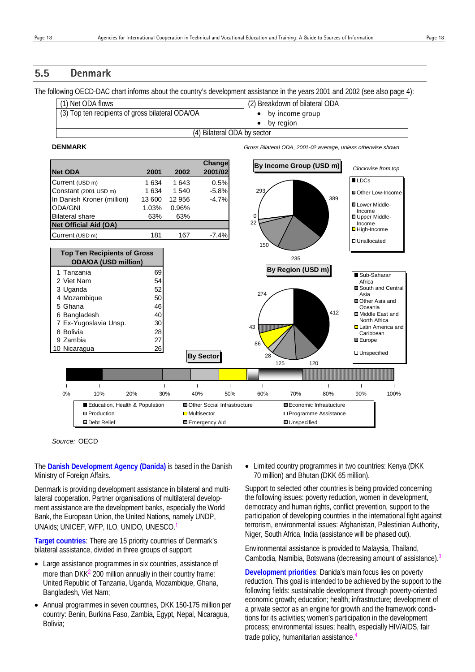# **5.5 Denmark**

The following OECD-DAC chart informs about the country's development assistance in the years 2001 and 2002 (see also page 4):

| (1) Net ODA flows                                | (2) Breakdown of bilateral ODA |
|--------------------------------------------------|--------------------------------|
| (3) Top ten recipients of gross bilateral ODA/OA | $\bullet$ by income group      |
|                                                  | by region                      |
| (4) Bilateral ODA by sector                      |                                |

#### **DENMARK** *Gross Bilateral ODA, 2001-02 average, unless otherwise shown*



*Source:* OECD

The **Danish Development Agency (Danida)** is based in the Danish Ministry of Foreign Affairs.

Denmark is providing development assistance in bilateral and multilateral cooperation. Partner organisations of multilateral development assistance are the development banks, especially the World Bank, the European Union, the United Nations, namely UNDP, UNAids; UNICEF, WFP, ILO, UNIDO, UNESCO.1

**Target countries**: There are 15 priority countries of Denmark's bilateral assistance, divided in three groups of support:

- Large assistance programmes in six countries, assistance of more than  $DKK<sup>2</sup>$  200 million annually in their country frame: United Republic of Tanzania, Uganda, Mozambique, Ghana, Bangladesh, Viet Nam;
- Annual programmes in seven countries, DKK 150-175 million per country: Benin, Burkina Faso, Zambia, Egypt, Nepal, Nicaragua, Bolivia;

• Limited country programmes in two countries: Kenya (DKK 70 million) and Bhutan (DKK 65 million).

Support to selected other countries is being provided concerning the following issues: poverty reduction, women in development, democracy and human rights, conflict prevention, support to the participation of developing countries in the international fight against terrorism, environmental issues: Afghanistan, Palestinian Authority, Niger, South Africa, India (assistance will be phased out).

Environmental assistance is provided to Malaysia, Thailand, Cambodia, Namibia, Botswana (decreasing amount of assistance).3

**Development priorities**: Danida's main focus lies on poverty reduction. This goal is intended to be achieved by the support to the following fields: sustainable development through poverty-oriented economic growth; education; health; infrastructure; development of a private sector as an engine for growth and the framework conditions for its activities; women's participation in the development process; environmental issues; health, especially HIV/AIDS, fair trade policy, humanitarian assistance.4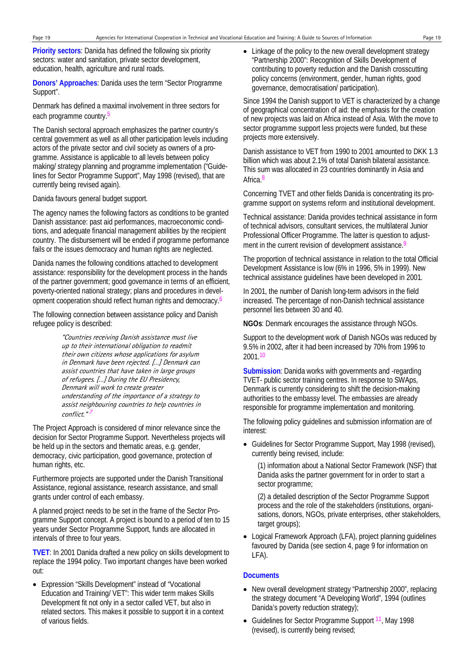**Priority sectors**: Danida has defined the following six priority sectors: water and sanitation, private sector development, education, health, agriculture and rural roads.

**Donors' Approaches**: Danida uses the term "Sector Programme Support".

Denmark has defined a maximal involvement in three sectors for each programme country.<sup>5</sup>

The Danish sectoral approach emphasizes the partner country's central government as well as all other participation levels including actors of the private sector and civil society as owners of a programme. Assistance is applicable to all levels between policy making/ strategy planning and programme implementation ("Guidelines for Sector Programme Support", May 1998 (revised), that are currently being revised again).

Danida favours general budget support.

The agency names the following factors as conditions to be granted Danish assistance: past aid performances, macroeconomic conditions, and adequate financial management abilities by the recipient country. The disbursement will be ended if programme performance fails or the issues democracy and human rights are neglected.

Danida names the following conditions attached to development assistance: responsibility for the development process in the hands of the partner government; good governance in terms of an efficient, poverty-oriented national strategy; plans and procedures in development cooperation should reflect human rights and democracy.<sup>6</sup>

The following connection between assistance policy and Danish refugee policy is described:

> "Countries receiving Danish assistance must live up to their international obligation to readmit their own citizens whose applications for asylum in Denmark have been rejected. […] Denmark can assist countries that have taken in large groups of refugees. […] During the EU Presidency, Denmark will work to create greater understanding of the importance of a strategy to assist neighbouring countries to help countries in conflict."<sup>1</sup>

The Project Approach is considered of minor relevance since the decision for Sector Programme Support. Nevertheless projects will be held up in the sectors and thematic areas, e.g. gender, democracy, civic participation, good governance, protection of human rights, etc.

Furthermore projects are supported under the Danish Transitional Assistance, regional assistance, research assistance, and small grants under control of each embassy.

A planned project needs to be set in the frame of the Sector Programme Support concept. A project is bound to a period of ten to 15 years under Sector Programme Support, funds are allocated in intervals of three to four years.

**TVET**: In 2001 Danida drafted a new policy on skills development to replace the 1994 policy. Two important changes have been worked out:

• Expression "Skills Development" instead of "Vocational Education and Training/ VET": This wider term makes Skills Development fit not only in a sector called VET, but also in related sectors. This makes it possible to support it in a context of various fields.

• Linkage of the policy to the new overall development strategy "Partnership 2000": Recognition of Skills Development of contributing to poverty reduction and the Danish crosscutting policy concerns (environment, gender, human rights, good governance, democratisation/ participation).

Since 1994 the Danish support to VET is characterized by a change of geographical concentration of aid: the emphasis for the creation of new projects was laid on Africa instead of Asia. With the move to sector programme support less projects were funded, but these projects more extensively.

Danish assistance to VET from 1990 to 2001 amounted to DKK 1.3 billion which was about 2.1% of total Danish bilateral assistance. This sum was allocated in 23 countries dominantly in Asia and Africa.<sup>8</sup>

Concerning TVET and other fields Danida is concentrating its programme support on systems reform and institutional development.

Technical assistance: Danida provides technical assistance in form of technical advisors, consultant services, the multilateral Junior Professional Officer Programme. The latter is question to adjustment in the current revision of development assistance.<sup>9</sup>

The proportion of technical assistance in relation to the total Official Development Assistance is low (6% in 1996, 5% in 1999). New technical assistance guidelines have been developed in 2001.

In 2001, the number of Danish long-term advisors in the field increased. The percentage of non-Danish technical assistance personnel lies between 30 and 40.

**NGOs**: Denmark encourages the assistance through NGOs.

Support to the development work of Danish NGOs was reduced by 9.5% in 2002, after it had been increased by 70% from 1996 to 2001.10

**Submission**: Danida works with governments and -regarding TVET- public sector training centres. In response to SWAps, Denmark is currently considering to shift the decision-making authorities to the embassy level. The embassies are already responsible for programme implementation and monitoring.

The following policy guidelines and submission information are of interest:

• Guidelines for Sector Programme Support, May 1998 (revised), currently being revised, include:

(1) information about a National Sector Framework (NSF) that Danida asks the partner government for in order to start a sector programme;

(2) a detailed description of the Sector Programme Support process and the role of the stakeholders (institutions, organisations, donors, NGOs, private enterprises, other stakeholders, target groups);

• Logical Framework Approach (LFA), project planning guidelines favoured by Danida (see section 4, page 9 for information on LFA).

#### **Documents**

- New overall development strategy "Partnership 2000", replacing the strategy document "A Developing World", 1994 (outlines Danida's poverty reduction strategy);
- Guidelines for Sector Programme Support <sup>11</sup>, May 1998 (revised), is currently being revised;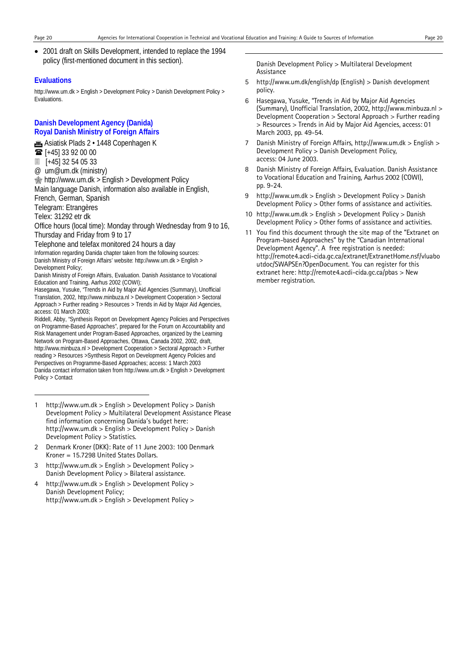1

• 2001 draft on Skills Development, intended to replace the 1994 policy (first-mentioned document in this section).

#### **Evaluations**

http://www.um.dk > English > Development Policy > Danish Development Policy > Evaluations.

### **Danish Development Agency (Danida) Royal Danish Ministry of Foreign Affairs**

**fig.** Asiatisk Plads 2 · 1448 Copenhagen K

**■** [+45] 33 92 00 00

[+45] 32 54 05 33

@ um@um.dk (ministry)

http://www.um.dk > English > Development Policy

Main language Danish, information also available in English,

French, German, Spanish

Telegram: Etrangères

Telex: 31292 etr dk

-

Office hours (local time): Monday through Wednesday from 9 to 16, Thursday and Friday from 9 to 17

Telephone and telefax monitored 24 hours a day Information regarding Danida chapter taken from the following sources: Danish Ministry of Foreign Affairs' website: http://www.um.dk > English > Development Policy;

Danish Ministry of Foreign Affairs, Evaluation. Danish Assistance to Vocational Education and Training, Aarhus 2002 (COWI);

Hasegawa, Yusuke, "Trends in Aid by Major Aid Agencies (Summary), Unofficial Translation, 2002, http://www.minbuza.nl > Development Cooperation > Sectoral Approach > Further reading > Resources > Trends in Aid by Major Aid Agencies, access: 01 March 2003;

Riddell, Abby, "Synthesis Report on Development Agency Policies and Perspectives on Programme-Based Approaches", prepared for the Forum on Accountability and Risk Management under Program-Based Approaches, organized by the Learning Network on Program-Based Approaches, Ottawa, Canada 2002, 2002, draft, http://www.minbuza.nl > Development Cooperation > Sectoral Approach > Further reading > Resources >Synthesis Report on Development Agency Policies and Perspectives on Programme-Based Approaches; access: 1 March 2003 Danida contact information taken from http://www.um.dk > English > Development Policy > Contact

- 1 http://www.um.dk > English > Development Policy > Danish Development Policy > Multilateral Development Assistance Please find information concerning Danida's budget here: http://www.um.dk > English > Development Policy > Danish Development Policy > Statistics.
- 2 Denmark Kroner (DKK): Rate of 11 June 2003: 100 Denmark Kroner = 15.7298 United States Dollars.
- 3 http://www.um.dk > English > Development Policy > Danish Development Policy > Bilateral assistance.
- 4 http://www.um.dk > English > Development Policy > Danish Development Policy; http://www.um.dk > English > Development Policy >

Danish Development Policy > Multilateral Development Assistance

- 5 http://www.um.dk/english/dp (English) > Danish development policy.
- 6 Hasegawa, Yusuke, "Trends in Aid by Major Aid Agencies (Summary), Unofficial Translation, 2002, http://www.minbuza.nl > Development Cooperation > Sectoral Approach > Further reading > Resources > Trends in Aid by Major Aid Agencies, access: 01 March 2003, pp. 49-54.
- 7 Danish Ministry of Foreign Affairs, http://www.um.dk > English > Development Policy > Danish Development Policy, access: 04 June 2003.
- 8 Danish Ministry of Foreign Affairs, Evaluation. Danish Assistance to Vocational Education and Training, Aarhus 2002 (COWI), pp. 9-24.
- 9 http://www.um.dk > English > Development Policy > Danish Development Policy > Other forms of assistance and activities.
- 10 http://www.um.dk > English > Development Policy > Danish Development Policy > Other forms of assistance and activities.
- 11 You find this document through the site map of the "Extranet on Program-based Approaches" by the "Canadian International Development Agency". A free registration is needed: http://remote4.acdi-cida.gc.ca/extranet/ExtranetHome.nsf/vluabo utdoc/SWAPSEn?OpenDocument. You can register for this extranet here: http://remote4.acdi-cida.gc.ca/pbas > New member registration.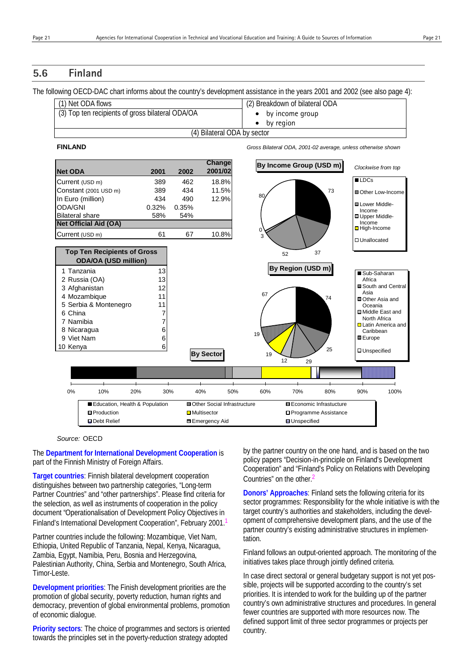# **5.6 Finland**

The following OECD-DAC chart informs about the country's development assistance in the years 2001 and 2002 (see also page 4):

| (1) Net ODA flows                                | (2) Breakdown of bilateral ODA |
|--------------------------------------------------|--------------------------------|
| (3) Top ten recipients of gross bilateral ODA/OA | $\bullet$ by income group      |
|                                                  | by region                      |
| (4) Bilateral ODA by sector                      |                                |

#### **FINLAND** *Gross Bilateral ODA, 2001-02 average, unless otherwise shown*



#### *Source:* OECD

The **Department for International Development Cooperation** is part of the Finnish Ministry of Foreign Affairs.

**Target countries**: Finnish bilateral development cooperation distinguishes between two partnership categories, "Long-term Partner Countries" and "other partnerships". Please find criteria for the selection, as well as instruments of cooperation in the policy document "Operationalisation of Development Policy Objectives in Finland's International Development Cooperation", February 2001.1

Partner countries include the following: Mozambique, Viet Nam, Ethiopia, United Republic of Tanzania, Nepal, Kenya, Nicaragua, Zambia, Egypt, Namibia, Peru, Bosnia and Herzegovina, Palestinian Authority, China, Serbia and Montenegro, South Africa, Timor-Leste.

**Development priorities**: The Finish development priorities are the promotion of global security, poverty reduction, human rights and democracy, prevention of global environmental problems, promotion of economic dialogue.

**Priority sectors**: The choice of programmes and sectors is oriented towards the principles set in the poverty-reduction strategy adopted

by the partner country on the one hand, and is based on the two policy papers "Decision-in-principle on Finland's Development Cooperation" and "Finland's Policy on Relations with Developing Countries" on the other.2

**Donors' Approaches**: Finland sets the following criteria for its sector programmes: Responsibility for the whole initiative is with the target country's authorities and stakeholders, including the development of comprehensive development plans, and the use of the partner country's existing administrative structures in implementation.

Finland follows an output-oriented approach. The monitoring of the initiatives takes place through jointly defined criteria.

In case direct sectoral or general budgetary support is not yet possible, projects will be supported according to the country's set priorities. It is intended to work for the building up of the partner country's own administrative structures and procedures. In general fewer countries are supported with more resources now. The defined support limit of three sector programmes or projects per country.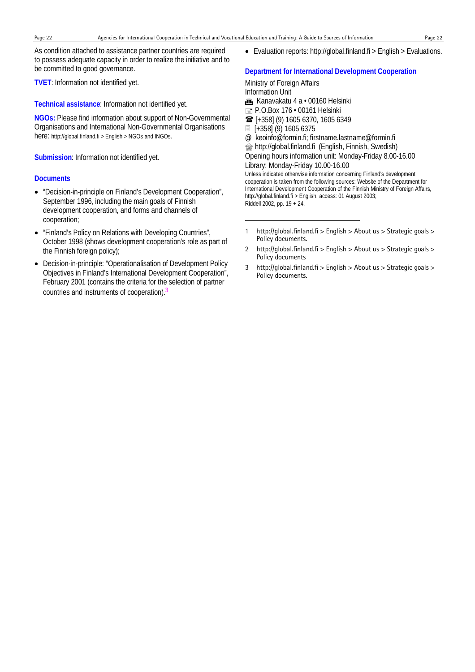-

As condition attached to assistance partner countries are required to possess adequate capacity in order to realize the initiative and to be committed to good governance.

**TVET**: Information not identified yet.

**Technical assistance**: Information not identified yet.

**NGOs:** Please find information about support of Non-Governmental Organisations and International Non-Governmental Organisations here: http://global.finland.fi > English > NGOs and INGOs.

**Submission**: Information not identified yet.

#### **Documents**

- "Decision-in-principle on Finland's Development Cooperation", September 1996, including the main goals of Finnish development cooperation, and forms and channels of cooperation;
- "Finland's Policy on Relations with Developing Countries", October 1998 (shows development cooperation's role as part of the Finnish foreign policy);
- Decision-in-principle: "Operationalisation of Development Policy Objectives in Finland's International Development Cooperation", February 2001 (contains the criteria for the selection of partner countries and instruments of cooperation).<sup>3</sup>

• Evaluation reports: http://global.finland.fi > English > Evaluations.

#### **Department for International Development Cooperation**

Ministry of Foreign Affairs Information Unit **m** Kanavakatu 4 a · 00160 Helsinki  $\equiv$  P.O.Box 176  $\cdot$  00161 Helsinki [+358] (9) 1605 6370, 1605 6349 [+358] (9) 1605 6375 @ keoinfo@formin.fi; firstname.lastname@formin.fi **s**http://global.finland.fi (English, Finnish, Swedish) Opening hours information unit: Monday-Friday 8.00-16.00 Library: Monday-Friday 10.00-16.00 Unless indicated otherwise information concerning Finland's development cooperation is taken from the following sources: Website of the Department for International Development Cooperation of the Finnish Ministry of Foreign Affairs, http://global.finland.fi > English, access: 01 August 2003; Riddell 2002, pp. 19 + 24.

- 1 http://global.finland.fi > English > About us > Strategic goals > Policy documents.
- 2 http://global.finland.fi > English > About us > Strategic goals > Policy documents
- 3 http://global.finland.fi > English > About us > Strategic goals > Policy documents.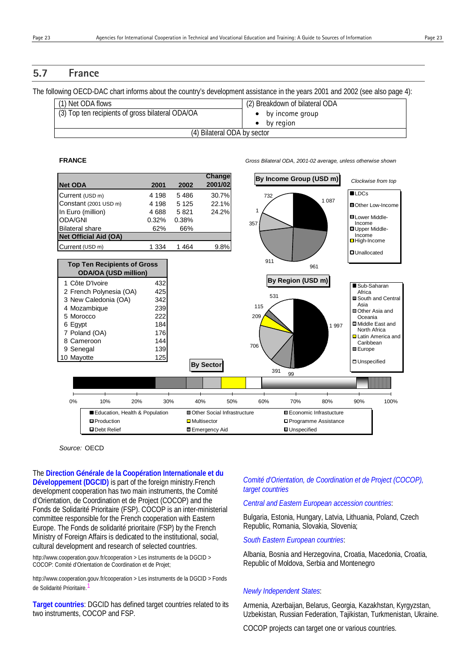# **5.7 France**

The following OECD-DAC chart informs about the country's development assistance in the years 2001 and 2002 (see also page 4):

| (1) Net ODA flows                                | (2) Breakdown of bilateral ODA |
|--------------------------------------------------|--------------------------------|
| (3) Top ten recipients of gross bilateral ODA/OA | by income group                |
|                                                  | by region                      |
| (4) Bilateral ODA by sector                      |                                |

**FRANCE** *Gross Bilateral ODA, 2001-02 average, unless otherwise shown*



#### *Source:* OECD

The **Direction Générale de la Coopération Internationale et du Développement (DGCID)** is part of the foreign ministry.French development cooperation has two main instruments, the Comité d'Orientation, de Coordination et de Project (COCOP) and the Fonds de Solidarité Prioritaire (FSP). COCOP is an inter-ministerial committee responsible for the French cooperation with Eastern Europe. The Fonds de solidarité prioritaire (FSP) by the French Ministry of Foreign Affairs is dedicated to the institutional, social, cultural development and research of selected countries.

http://www.cooperation.gouv.fr/cooperation > Les instruments de la DGCID > COCOP: Comité d'Orientation de Coordination et de Projet;

http://www.cooperation.gouv.fr/cooperation > Les instruments de la DGCID > Fonds de Solidarité Prioritaire.

**Target countries**: DGCID has defined target countries related to its two instruments, COCOP and FSP.

### *Comité d'Orientation, de Coordination et de Project (COCOP), target countries*

#### *Central and Eastern European accession countries*:

Bulgaria, Estonia, Hungary, Latvia, Lithuania, Poland, Czech Republic, Romania, Slovakia, Slovenia;

*South Eastern European countries*:

Albania, Bosnia and Herzegovina, Croatia, Macedonia, Croatia, Republic of Moldova, Serbia and Montenegro

#### *Newly Independent States*:

Armenia, Azerbaijan, Belarus, Georgia, Kazakhstan, Kyrgyzstan, Uzbekistan, Russian Federation, Tajikistan, Turkmenistan, Ukraine.

COCOP projects can target one or various countries.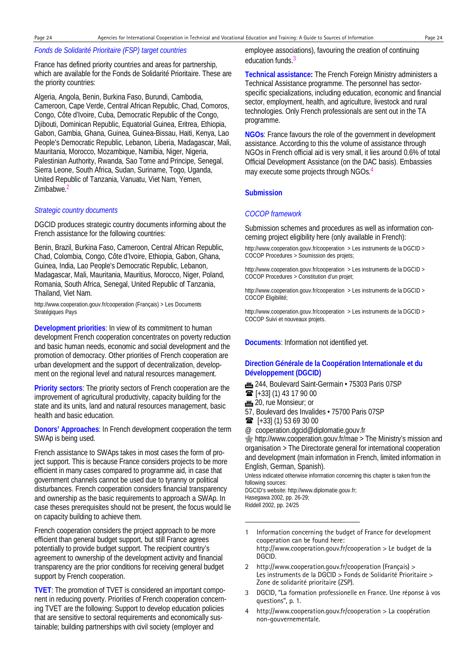### *Fonds de Solidarité Prioritaire (FSP) target countries*

France has defined priority countries and areas for partnership, which are available for the Fonds de Solidarité Prioritaire. These are the priority countries:

Algeria, Angola, Benin, Burkina Faso, Burundi, Cambodia, Cameroon, Cape Verde, Central African Republic, Chad, Comoros, Congo, Côte d'Ivoire, Cuba, Democratic Republic of the Congo, Djibouti, Dominican Republic, Equatorial Guinea, Eritrea, Ethiopia, Gabon, Gambia, Ghana, Guinea, Guinea-Bissau, Haiti, Kenya, Lao People's Democratic Republic, Lebanon, Liberia, Madagascar, Mali, Mauritania, Morocco, Mozambique, Namibia, Niger, Nigeria, Palestinian Authority, Rwanda, Sao Tome and Principe, Senegal, Sierra Leone, South Africa, Sudan, Suriname, Togo, Uganda, United Republic of Tanzania, Vanuatu, Viet Nam, Yemen, Zimbabwe.2

#### *Strategic country documents*

DGCID produces strategic country documents informing about the French assistance for the following countries:

Benin, Brazil, Burkina Faso, Cameroon, Central African Republic, Chad, Colombia, Congo, Côte d'Ivoire, Ethiopia, Gabon, Ghana, Guinea, India, Lao People's Democratic Republic, Lebanon, Madagascar, Mali, Mauritania, Mauritius, Morocco, Niger, Poland, Romania, South Africa, Senegal, United Republic of Tanzania, Thailand, Viet Nam.

http://www.cooperation.gouv.fr/cooperation (Français) > Les Documents Stratégiques Pays

**Development priorities**: In view of its commitment to human development French cooperation concentrates on poverty reduction and basic human needs, economic and social development and the promotion of democracy. Other priorities of French cooperation are urban development and the support of decentralization, development on the regional level and natural resources management.

**Priority sectors**: The priority sectors of French cooperation are the improvement of agricultural productivity, capacity building for the state and its units, land and natural resources management, basic health and basic education.

**Donors' Approaches**: In French development cooperation the term SWAp is being used.

French assistance to SWAps takes in most cases the form of project support. This is because France considers projects to be more efficient in many cases compared to programme aid, in case that government channels cannot be used due to tyranny or political disturbances. French cooperation considers financial transparency and ownership as the basic requirements to approach a SWAp. In case theses prerequisites should not be present, the focus would lie on capacity building to achieve them.

French cooperation considers the project approach to be more efficient than general budget support, but still France agrees potentially to provide budget support. The recipient country's agreement to ownership of the development activity and financial transparency are the prior conditions for receiving general budget support by French cooperation.

**TVET**: The promotion of TVET is considered an important component in reducing poverty. Priorities of French cooperation concerning TVET are the following: Support to develop education policies that are sensitive to sectoral requirements and economically sustainable; building partnerships with civil society (employer and

employee associations), favouring the creation of continuing education funds.<sup>3</sup>

**Technical assistance:** The French Foreign Ministry administers a Technical Assistance programme. The personnel has sectorspecific specializations, including education, economic and financial sector, employment, health, and agriculture, livestock and rural technologies. Only French professionals are sent out in the TA programme.

**NGOs**: France favours the role of the government in development assistance. According to this the volume of assistance through NGOs in French official aid is very small, it lies around 0.6% of total Official Development Assistance (on the DAC basis). Embassies may execute some projects through NGOs.4

#### **Submission**

#### *COCOP framework*

Submission schemes and procedures as well as information concerning project eligibility here (only available in French):

http://www.cooperation.gouv.fr/cooperation > Les instruments de la DGCID > COCOP Procedures > Soumission des projets;

http://www.cooperation.gouv.fr/cooperation > Les instruments de la DGCID > COCOP Procedures > Constitution d'un projet;

http://www.cooperation.gouv.fr/cooperation > Les instruments de la DGCID > COCOP Éligibilité;

http://www.cooperation.gouv.fr/cooperation > Les instruments de la DGCID > COCOP Suivi et nouveaux projets.

**Documents**: Information not identified yet.

### **Direction Générale de la Coopération Internationale et du Développement (DGCID)**

- 1244, Boulevard Saint-Germain 75303 Paris 07SP
- $\mathbf{\widehat{m}}$  [+33] (1) 43 17 90 00
- **m** 20, rue Monsieur; or
- 57, Boulevard des Invalides 75700 Paris 07SP
- $\mathbf{R}$  [+33] (1) 53 69 30 00
- @ cooperation.dgcid@diplomatie.gouv.fr

**<sup></sub> http://www.cooperation.gouv.fr/mae > The Ministry's mission and**</sup> organisation > The Directorate general for international cooperation and development (main information in French, limited information in English, German, Spanish).

Unless indicated otherwise information concerning this chapter is taken from the following sources: DGCID's website: http://www.diplomatie.gouv.fr;

Hasegawa 2002, pp. 26-29;

Riddell 2002, pp. 24/25

l

- 1 Information concerning the budget of France for development cooperation can be found here: http://www.cooperation.gouv.fr/cooperation > Le budget de la DGCID.
- 2 http://www.cooperation.gouv.fr/cooperation (Français) > Les instruments de la DGCID > Fonds de Solidarité Prioritaire > Zone de solidarité prioritaire (ZSP).
- 3 DGCID, "La formation professionelle en France. Une réponse à vos questions", p. 1.
- 4 http://www.cooperation.gouv.fr/cooperation > La coopération non-gouvernementale.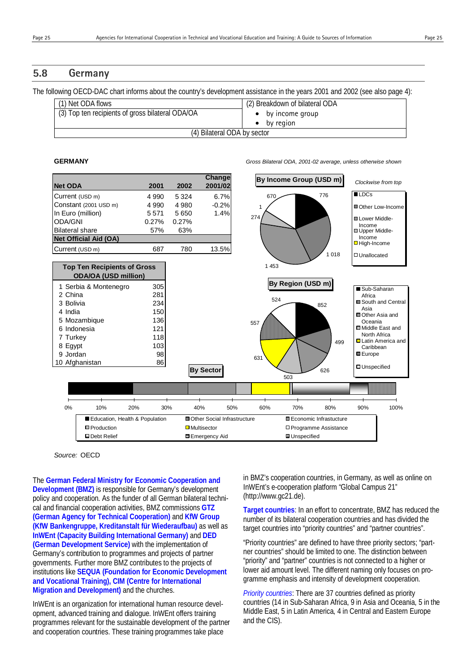## **5.8 Germany**

The following OECD-DAC chart informs about the country's development assistance in the years 2001 and 2002 (see also page 4):

| (1) Net ODA flows                                | (2) Breakdown of bilateral ODA |
|--------------------------------------------------|--------------------------------|
| (3) Top ten recipients of gross bilateral ODA/OA | $\bullet$ by income group      |
|                                                  | by region                      |
| (4) Bilateral ODA by sector                      |                                |

**GERMANY** *Gross Bilateral ODA, 2001-02 average, unless otherwise shown*



*Source:* OECD

The **German Federal Ministry for Economic Cooperation and Development (BMZ)** is responsible for Germany's development policy and cooperation. As the funder of all German bilateral technical and financial cooperation activities, BMZ commissions **GTZ (German Agency for Technical Cooperation)** and **KfW Group (KfW Bankengruppe, Kreditanstalt für Wiederaufbau)** as well as **InWEnt (Capacity Building International Germany)** and **DED (German Development Service)** with the implementation of Germany's contribution to programmes and projects of partner governments. Further more BMZ contributes to the projects of institutions like **SEQUA (Foundation for Economic Development and Vocational Training), CIM (Centre for International Migration and Development)** and the churches.

InWEnt is an organization for international human resource development, advanced training and dialogue. InWEnt offers training programmes relevant for the sustainable development of the partner and cooperation countries. These training programmes take place

in BMZ's cooperation countries, in Germany, as well as online on InWEnt's e-cooperation platform "Global Campus 21" (http://www.gc21.de).

**Target countries**: In an effort to concentrate, BMZ has reduced the number of its bilateral cooperation countries and has divided the target countries into "priority countries" and "partner countries".

"Priority countries" are defined to have three priority sectors; "partner countries" should be limited to one. The distinction between "priority" and "partner" countries is not connected to a higher or lower aid amount level. The different naming only focuses on programme emphasis and intensity of development cooperation.

*Priority countries*: There are 37 countries defined as priority countries (14 in Sub-Saharan Africa, 9 in Asia and Oceania, 5 in the Middle East, 5 in Latin America, 4 in Central and Eastern Europe and the CIS).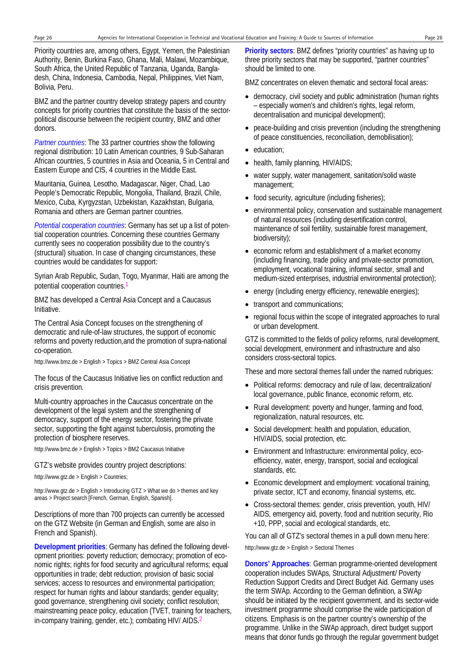Priority countries are, among others, Egypt, Yemen, the Palestinian Authority, Benin, Burkina Faso, Ghana, Mali, Malawi, Mozambique, South Africa, the United Republic of Tanzania, Uganda, Bangladesh, China, Indonesia, Cambodia, Nepal, Philippines, Viet Nam, Bolivia, Peru.

BMZ and the partner country develop strategy papers and country concepts for priority countries that constitute the basis of the sectorpolitical discourse between the recipient country, BMZ and other donors.

*Partner countries*: The 33 partner countries show the following regional distribution: 10 Latin American countries, 9 Sub-Saharan African countries, 5 countries in Asia and Oceania, 5 in Central and Eastern Europe and CIS, 4 countries in the Middle East.

Mauritania, Guinea, Lesotho, Madagascar, Niger, Chad, Lao People's Democratic Republic, Mongolia, Thailand, Brazil, Chile, Mexico, Cuba, Kyrgyzstan, Uzbekistan, Kazakhstan, Bulgaria, Romania and others are German partner countries.

*Potential cooperation countries*: Germany has set up a list of potential cooperation countries. Concerning these countries Germany currently sees no cooperation possibility due to the country's (structural) situation. In case of changing circumstances, these countries would be candidates for support:

Syrian Arab Republic, Sudan, Togo, Myanmar, Haiti are among the potential cooperation countries.

BMZ has developed a Central Asia Concept and a Caucasus Initiative.

The Central Asia Concept focuses on the strengthening of democratic and rule-of-law structures, the support of economic reforms and poverty reduction,and the promotion of supra-national co-operation.

http://www.bmz.de > English > Topics > BMZ Central Asia Concept

The focus of the Caucasus Initiative lies on conflict reduction and crisis prevention.

Multi-country approaches in the Caucasus concentrate on the development of the legal system and the strengthening of democracy, support of the energy sector, fostering the private sector, supporting the fight against tuberculosis, promoting the protection of biosphere reserves.

http://www.bmz.de > English > Topics > BMZ Caucasus Initiative

GTZ's website provides country project descriptions:

http://www.gtz.de > English > Countries;

http://www.gtz.de > English > Introducing GTZ > What we do > themes and key areas > Project search [French, German, English, Spanish].

Descriptions of more than 700 projects can currently be accessed on the GTZ Website (in German and English, some are also in French and Spanish).

**Development priorities**: Germany has defined the following development priorities: poverty reduction; democracy; promotion of economic rights; rights for food security and agricultural reforms; equal opportunities in trade; debt reduction; provision of basic social services; access to resources and environmental participation; respect for human rights and labour standards; gender equality; good governance, strengthening civil society; conflict resolution; mainstreaming peace policy, education (TVET, training for teachers, in-company training, gender, etc.); combating HIV/ AIDS.<sup>2</sup>

**Priority sectors**: BMZ defines "priority countries" as having up to three priority sectors that may be supported, "partner countries" should be limited to one.

BMZ concentrates on eleven thematic and sectoral focal areas:

- democracy, civil society and public administration (human rights – especially women's and children's rights, legal reform, decentralisation and municipal development);
- peace-building and crisis prevention (including the strengthening of peace constituencies, reconciliation, demobilisation);
- education;
- health, family planning, HIV/AIDS;
- water supply, water management, sanitation/solid waste management;
- food security, agriculture (including fisheries);
- environmental policy, conservation and sustainable management of natural resources (including desertification control, maintenance of soil fertility, sustainable forest management, biodiversity);
- economic reform and establishment of a market economy (including financing, trade policy and private-sector promotion, employment, vocational training, informal sector, small and medium-sized enterprises, industrial environmental protection);
- energy (including energy efficiency, renewable energies);
- transport and communications;
- regional focus within the scope of integrated approaches to rural or urban development.

GTZ is committed to the fields of policy reforms, rural development, social development, environment and infrastructure and also considers cross-sectoral topics.

These and more sectoral themes fall under the named rubriques:

- Political reforms: democracy and rule of law, decentralization/ local governance, public finance, economic reform, etc.
- Rural development: poverty and hunger, farming and food, regionalization, natural resources, etc.
- Social development: health and population, education, HIV/AIDS, social protection, etc.
- Environment and Infrastructure: environmental policy, ecoefficiency, water, energy, transport, social and ecological standards, etc.
- Economic development and employment: vocational training, private sector, ICT and economy, financial systems, etc.
- Cross-sectoral themes: gender, crisis prevention, youth, HIV/ AIDS, emergency aid, poverty, food and nutrition security, Rio +10, PPP, social and ecological standards, etc.

You can all of GTZ's sectoral themes in a pull down menu here:

http://www.gtz.de > English > Sectoral Themes

**Donors' Approaches**: German programme-oriented development cooperation includes SWAps, Structural Adjustment/ Poverty Reduction Support Credits and Direct Budget Aid. Germany uses the term SWAp. According to the German definition, a SWAp should be initiated by the recipient government, and its sector-wide investment programme should comprise the wide participation of citizens. Emphasis is on the partner country's ownership of the programme. Unlike in the SWAp approach, direct budget support means that donor funds go through the regular government budget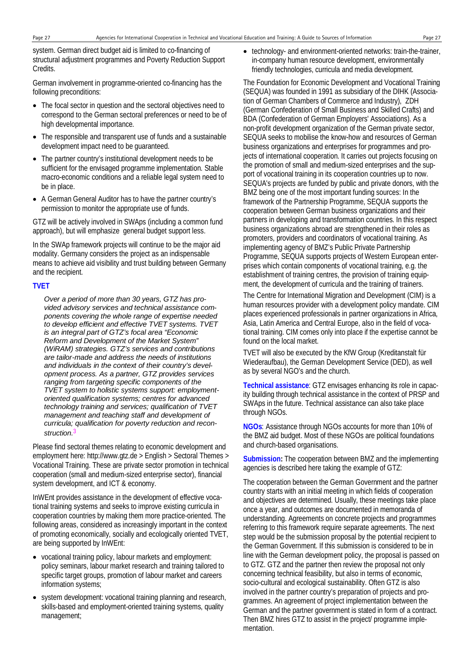system. German direct budget aid is limited to co-financing of structural adjustment programmes and Poverty Reduction Support Credits.

German involvement in programme-oriented co-financing has the following preconditions:

- The focal sector in question and the sectoral objectives need to correspond to the German sectoral preferences or need to be of high developmental importance.
- The responsible and transparent use of funds and a sustainable development impact need to be guaranteed.
- The partner country's institutional development needs to be sufficient for the envisaged programme implementation. Stable macro-economic conditions and a reliable legal system need to be in place.
- A German General Auditor has to have the partner country's permission to monitor the appropriate use of funds.

GTZ will be actively involved in SWAps (including a common fund approach), but will emphasize general budget support less.

In the SWAp framework projects will continue to be the major aid modality. Germany considers the project as an indispensable means to achieve aid visibility and trust building between Germany and the recipient.

### **TVET**

*Over a period of more than 30 years, GTZ has provided advisory services and technical assistance components covering the whole range of expertise needed to develop efficient and effective TVET systems. TVET is an integral part of GTZ's focal area "Economic Reform and Development of the Market System" (WiRAM) strategies. GTZ's services and contributions are tailor-made and address the needs of institutions and individuals in the context of their country's development process. As a partner, GTZ provides services ranging from targeting specific components of the TVET system to holistic systems support: employmentoriented qualification systems; centres for advanced technology training and services; qualification of TVET management and teaching staff and development of curricula; qualification for poverty reduction and reconstruction.*3

Please find sectoral themes relating to economic development and employment here: http://www.gtz.de > English > Sectoral Themes > Vocational Training. These are private sector promotion in technical cooperation (small and medium-sized enterprise sector), financial system development, and ICT & economy.

InWEnt provides assistance in the development of effective vocational training systems and seeks to improve existing curricula in cooperation countries by making them more practice-oriented. The following areas, considered as increasingly important in the context of promoting economically, socially and ecologically oriented TVET, are being supported by InWEnt:

- vocational training policy, labour markets and employment: policy seminars, labour market research and training tailored to specific target groups, promotion of labour market and careers information systems;
- system development: vocational training planning and research, skills-based and employment-oriented training systems, quality management;

• technology- and environment-oriented networks: train-the-trainer, in-company human resource development, environmentally friendly technologies, curricula and media development.

The Foundation for Economic Development and Vocational Training (SEQUA) was founded in 1991 as subsidiary of the DIHK (Association of German Chambers of Commerce and Industry), ZDH (German Confederation of Small Business and Skilled Crafts) and BDA (Confederation of German Employers' Associations). As a non-profit development organization of the German private sector, SEQUA seeks to mobilise the know-how and resources of German business organizations and enterprises for programmes and projects of international cooperation. It carries out projects focusing on the promotion of small and medium-sized enterprises and the support of vocational training in its cooperation countries up to now. SEQUA's projects are funded by public and private donors, with the BMZ being one of the most important funding sources: In the framework of the Partnership Programme, SEQUA supports the cooperation between German business organizations and their partners in developing and transformation countries. In this respect business organizations abroad are strengthened in their roles as promoters, providers and coordinators of vocational training. As implementing agency of BMZ's Public Private Partnership Programme, SEQUA supports projects of Western European enterprises which contain components of vocational training, e.g. the establishment of training centres, the provision of training equipment, the development of curricula and the training of trainers.

The Centre for International Migration and Development (CIM) is a human resources provider with a development policy mandate. CIM places experienced professionals in partner organizations in Africa, Asia, Latin America and Central Europe, also in the field of vocational training. CIM comes only into place if the expertise cannot be found on the local market.

TVET will also be executed by the KfW Group (Kreditanstalt für Wiederaufbau), the German Development Service (DED), as well as by several NGO's and the church.

**Technical assistance**: GTZ envisages enhancing its role in capacity building through technical assistance in the context of PRSP and SWAps in the future. Technical assistance can also take place through NGOs.

**NGOs**: Assistance through NGOs accounts for more than 10% of the BMZ aid budget. Most of these NGOs are political foundations and church-based organisations.

**Submission:** The cooperation between BMZ and the implementing agencies is described here taking the example of GTZ:

The cooperation between the German Government and the partner country starts with an initial meeting in which fields of cooperation and objectives are determined. Usually, these meetings take place once a year, and outcomes are documented in memoranda of understanding. Agreements on concrete projects and programmes referring to this framework require separate agreements. The next step would be the submission proposal by the potential recipient to the German Government. If this submission is considered to be in line with the German development policy, the proposal is passed on to GTZ. GTZ and the partner then review the proposal not only concerning technical feasibility, but also in terms of economic, socio-cultural and ecological sustainability. Often GTZ is also involved in the partner country's preparation of projects and programmes. An agreement of project implementation between the German and the partner government is stated in form of a contract. Then BMZ hires GTZ to assist in the project/ programme implementation.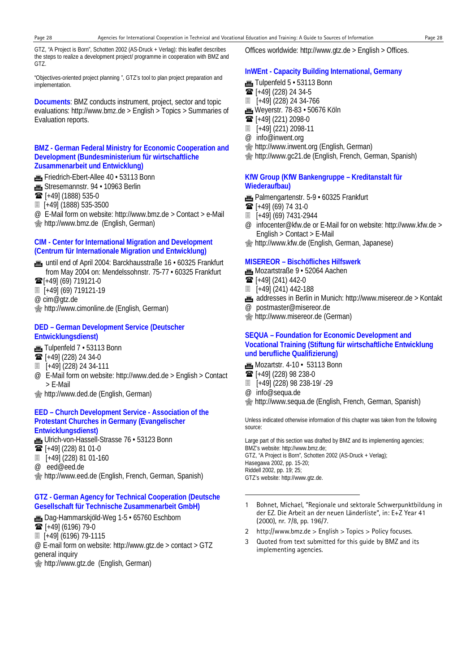GTZ, "A Project is Born", Schotten 2002 (AS-Druck + Verlag): this leaflet describes the steps to realize a development project/ programme in cooperation with BMZ and GTZ.

"Objectives-oriented project planning ", GTZ's tool to plan project preparation and implementation.

**Documents**: BMZ conducts instrument, project, sector and topic evaluations: http://www.bmz.de > English > Topics > Summaries of Evaluation reports.

#### **BMZ - German Federal Ministry for Economic Cooperation and Development (Bundesministerium für wirtschaftliche Zusammenarbeit und Entwicklung)**

- Friedrich-Ebert-Allee 40 · 53113 Bonn
- **for** Stresemannstr. 94 · 10963 Berlin
- **■** [+49] (1888) 535-0
- [+49] (1888) 535-3500
- @ E-Mail form on website: http://www.bmz.de > Contact > e-Mail **<sup></sub> nttp://www.bmz.de (English, German)**</sup>

#### **CIM - Center for International Migration and Development (Centrum für Internationale Migration und Entwicklung)**

- **.** until end of April 2004: Barckhausstraße 16 · 60325 Frankfurt from May 2004 on: Mendelssohnstr. 75-77 • 60325 Frankfurt
- $\mathbf{\widehat{m}}$ [+49] (69) 719121-0
- [+49] (69) 719121-19
- @ cim@gtz.de
- **M** http://www.cimonline.de (English, German)

#### **DED – German Development Service (Deutscher Entwicklungsdienst)**

- Tulpenfeld 7 · 53113 Bonn
- $\overline{3}$  [+49] (228) 24 34-0
- [+49] (228) 24 34-111
- @ E-Mail form on website: http://www.ded.de > English > Contact > E-Mail
- http://www.ded.de (English, German)

#### **EED – Church Development Service - Association of the Protestant Churches in Germany (Evangelischer Entwicklungsdienst)**

- **1** Ulrich-von-Hassell-Strasse 76 · 53123 Bonn
- [+49] (228) 81 01-0
- [+49] (228) 81 01-160
- @ eed@eed.de

**Manuship://www.eed.de (English, French, German, Spanish)** 

# **GTZ - German Agency for Technical Cooperation (Deutsche Gesellschaft für Technische Zusammenarbeit GmbH)**

- **m**, Dag-Hammarskjöld-Weg 1-5 · 65760 Eschborn
- $\mathbf{\widehat{m}}$  [+49] (6196) 79-0
- [+49] (6196) 79-1115

@ E-mail form on website: http://www.gtz.de > contact > GTZ general inquiry

**Momber 15 http://www.gtz.de (English, German)** 

Offices worldwide: http://www.gtz.de > English > Offices.

#### **InWEnt - Capacity Building International, Germany**

- $m$  Tulpenfeld  $5 \cdot 53113$  Bonn
- $\mathbf{F}$  [+49] (228) 24 34-5
- [+49] (228) 24 34-766
- **m** Weyerstr. 78-83 50676 Köln
- $\mathbf{\widehat{m}}$  [+49] (221) 2098-0
- [+49] (221) 2098-11
- @ info@inwent.org
- http://www.inwent.org (English, German)
- http://www.gc21.de (English, French, German, Spanish)

#### **KfW Group (KfW Bankengruppe – Kreditanstalt für Wiederaufbau)**

- **Frankfurt** Palmengartenstr. 5-9 60325 Frankfurt
- $\mathbf{R}$  [+49] (69) 74 31-0
- [+49] (69) 7431-2944
- @ infocenter@kfw.de or E-Mail for on website: http://www.kfw.de > English > Contact > E-Mail
- http://www.kfw.de (English, German, Japanese)

#### **MISEREOR – Bischöfliches Hilfswerk**

- **m**, Mozartstraße 9 · 52064 Aachen
- $\mathbf{\widehat{m}}$  [+49] (241) 442-0
- [+49] (241) 442-188
- addresses in Berlin in Munich: http://www.misereor.de > Kontakt
- @ postmaster@misereor.de
- http://www.misereor.de (German)

#### **SEQUA – Foundation for Economic Development and Vocational Training (Stiftung für wirtschaftliche Entwicklung und berufliche Qualifizierung)**

- $m$  Mozartstr. 4-10 53113 Bonn
- $\mathbf{\widehat{m}}$  [+49] (228) 98 238-0
- [+49] (228) 98 238-19/ -29
- @ info@sequa.de

l

http://www.sequa.de (English, French, German, Spanish)

Unless indicated otherwise information of this chapter was taken from the following source:

Large part of this section was drafted by BMZ and its implementing agencies; BMZ's website: http://www.bmz.de; GTZ, "A Project is Born", Schotten 2002 (AS-Druck + Verlag); Hasegawa 2002, pp. 15-20; Riddell 2002, pp. 19; 25; GTZ's website: http://www.gtz.de.

- 1 Bohnet, Michael, "Regionale und sektorale Schwerpunktbildung in der EZ. Die Arbeit an der neuen Länderliste", in: E+Z Year 41 (2000), nr. 7/8, pp. 196/7.
- 2 http://www.bmz.de > English > Topics > Policy focuses.
- 3 Quoted from text submitted for this guide by BMZ and its implementing agencies.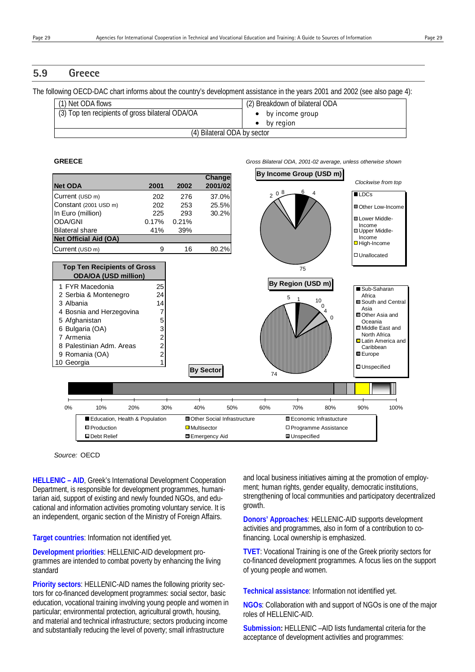The following OECD-DAC chart informs about the country's development assistance in the years 2001 and 2002 (see also page 4):

| (1) Net ODA flows                                | (2) Breakdown of bilateral ODA |
|--------------------------------------------------|--------------------------------|
| (3) Top ten recipients of gross bilateral ODA/OA | $\bullet$ by income group      |
|                                                  | by region                      |
| (4) Bilateral ODA by sector                      |                                |

#### **GREECE** *Gross Bilateral ODA, 2001-02 average, unless otherwise shown*



*Source:* OECD

**HELLENIC – AID**, Greek's International Development Cooperation Department, is responsible for development programmes, humanitarian aid, support of existing and newly founded NGOs, and educational and information activities promoting voluntary service. It is an independent, organic section of the Ministry of Foreign Affairs.

**Target countries**: Information not identified yet.

**Development priorities**: HELLENIC-AID development programmes are intended to combat poverty by enhancing the living standard

**Priority sectors**: HELLENIC-AID names the following priority sectors for co-financed development programmes: social sector, basic education, vocational training involving young people and women in particular; environmental protection, agricultural growth, housing, and material and technical infrastructure; sectors producing income and substantially reducing the level of poverty; small infrastructure

and local business initiatives aiming at the promotion of employment; human rights, gender equality, democratic institutions, strengthening of local communities and participatory decentralized growth.

**Donors' Approaches**: HELLENIC-AID supports development activities and programmes, also in form of a contribution to cofinancing. Local ownership is emphasized.

**TVET**: Vocational Training is one of the Greek priority sectors for co-financed development programmes. A focus lies on the support of young people and women.

**Technical assistance**: Information not identified yet.

**NGOs**: Collaboration with and support of NGOs is one of the major roles of HELLENIC-AID.

**Submission:** HELLENIC –AID lists fundamental criteria for the acceptance of development activities and programmes: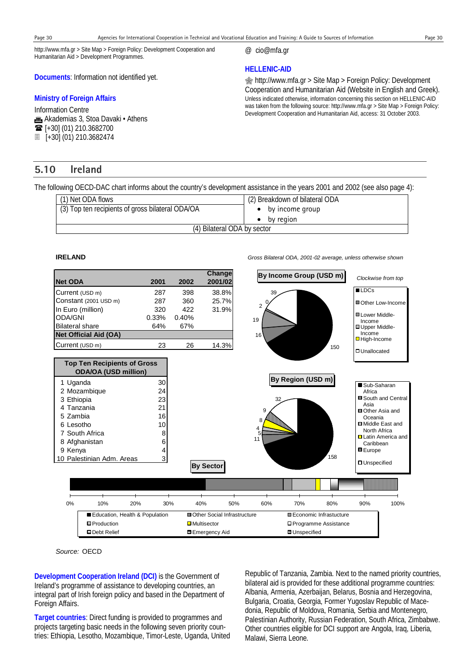@ cio@mfa.gr

**HELLENIC-AID** 

http://www.mfa.gr > Site Map > Foreign Policy: Development Cooperation and Humanitarian Aid > Development Programmes.

**Documents**: Information not identified yet.

#### **Ministry of Foreign Affairs**

Information Centre **fin** Akademias 3, Stoa Davaki • Athens  $\mathbf{\widehat{m}}$  [+30] (01) 210.3682700 [+30] (01) 210.3682474

# **5.10 Ireland**

The following OECD-DAC chart informs about the country's development assistance in the years 2001 and 2002 (see also page 4):

| (2) Breakdown of bilateral ODA |  |
|--------------------------------|--|
| by income group                |  |
| by region                      |  |
| (4) Bilateral ODA by sector    |  |
|                                |  |



*Source:* OECD

**Development Cooperation Ireland (DCI)** is the Government of Ireland's programme of assistance to developing countries, an integral part of Irish foreign policy and based in the Department of Foreign Affairs.

**Target countries**: Direct funding is provided to programmes and projects targeting basic needs in the following seven priority countries: Ethiopia, Lesotho, Mozambique, Timor-Leste, Uganda, United Republic of Tanzania, Zambia. Next to the named priority countries, bilateral aid is provided for these additional programme countries: Albania, Armenia, Azerbaijan, Belarus, Bosnia and Herzegovina, Bulgaria, Croatia, Georgia, Former Yugoslav Republic of Macedonia, Republic of Moldova, Romania, Serbia and Montenegro, Palestinian Authority, Russian Federation, South Africa, Zimbabwe. Other countries eligible for DCI support are Angola, Iraq, Liberia, Malawi, Sierra Leone.

**IRELAND** *Gross Bilateral ODA, 2001-02 average, unless otherwise shown*

**<sup></sub> http://www.mfa.gr > Site Map > Foreign Policy: Development**</sup> Cooperation and Humanitarian Aid (Website in English and Greek). Unless indicated otherwise, information concerning this section on HELLENIC-AID was taken from the following source: http://www.mfa.gr > Site Map > Foreign Policy: Development Cooperation and Humanitarian Aid, access: 31 October 2003.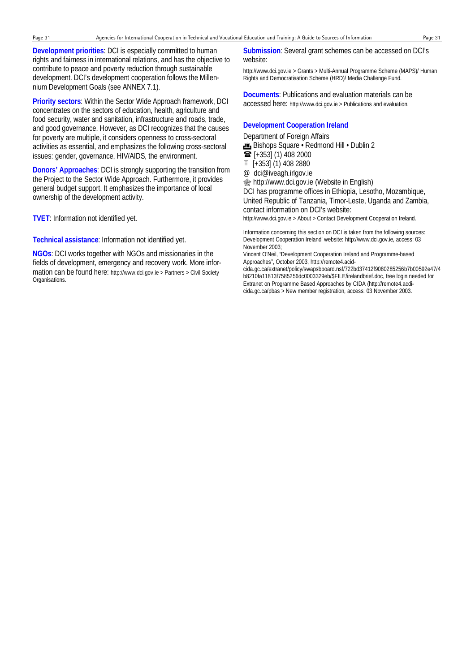**Development priorities**: DCI is especially committed to human rights and fairness in international relations, and has the objective to contribute to peace and poverty reduction through sustainable development. DCI's development cooperation follows the Millennium Development Goals (see ANNEX 7.1).

**Priority sectors**: Within the Sector Wide Approach framework, DCI concentrates on the sectors of education, health, agriculture and food security, water and sanitation, infrastructure and roads, trade, and good governance. However, as DCI recognizes that the causes for poverty are multiple, it considers openness to cross-sectoral activities as essential, and emphasizes the following cross-sectoral issues: gender, governance, HIV/AIDS, the environment.

**Donors' Approaches**: DCI is strongly supporting the transition from the Project to the Sector Wide Approach. Furthermore, it provides general budget support. It emphasizes the importance of local ownership of the development activity.

**TVET**: Information not identified yet.

**Technical assistance**: Information not identified yet.

**NGOs**: DCI works together with NGOs and missionaries in the fields of development, emergency and recovery work. More information can be found here: http://www.dci.gov.ie > Partners > Civil Society Organisations.

#### **Submission**: Several grant schemes can be accessed on DCI's website:

http://www.dci.gov.ie > Grants > Multi-Annual Programme Scheme (MAPS)/ Human Rights and Democratisation Scheme (HRD)/ Media Challenge Fund.

**Documents**: Publications and evaluation materials can be accessed here: http://www.dci.gov.ie > Publications and evaluation.

#### **Development Cooperation Ireland**

Department of Foreign Affairs

**Em** Bishops Square • Redmond Hill • Dublin 2

- $\overline{\bullet}$  [+353] (1) 408 2000
- [+353] (1) 408 2880
- @ dci@iveagh.irlgov.ie

**form** http://www.dci.gov.ie (Website in English)

DCI has programme offices in Ethiopia, Lesotho, Mozambique, United Republic of Tanzania, Timor-Leste, Uganda and Zambia, contact information on DCI's website:

http://www.dci.gov.ie > About > Contact Development Cooperation Ireland.

Information concerning this section on DCI is taken from the following sources: Development Cooperation Ireland' website: http://www.dci.gov.ie, access: 03 November 2003;

Vincent O'Neil, "Development Cooperation Ireland and Programme-based Approaches", October 2003, http://remote4.acid-

cida.gc.ca/extranet/policy/swapsbboard.nsf/722bd37412f9080285256b7b00592e47/4 b8210fa11813f7585256dc0003329eb/\$FILE/irelandbrief.doc, free login needed for Extranet on Programme Based Approaches by CIDA (http://remote4.acdicida.gc.ca/pbas > New member registration, access: 03 November 2003.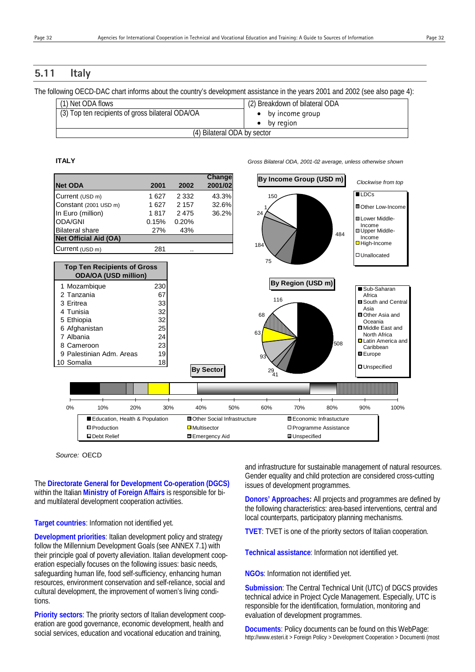# **5.11 Italy**

The following OECD-DAC chart informs about the country's development assistance in the years 2001 and 2002 (see also page 4):

| (1) Net ODA flows                                | (2) Breakdown of bilateral ODA |
|--------------------------------------------------|--------------------------------|
| (3) Top ten recipients of gross bilateral ODA/OA | $\bullet$ by income group      |
|                                                  | by region                      |
| (4) Bilateral ODA by sector                      |                                |

#### **ITALY** *Gross Bilateral ODA, 2001-02 average, unless otherwise shown*

**Net ODA 2001 2002 Change 2001/02** *Clockwise from top* **By Income Group (USD m)** Current (USD m) 1 627 2 332 43.3% Constant (2001 USD m) 1 627 2 157 32.6% In Euro (million) 1 817 2 475 36.2% ODA/GNI 0.15% 0.20% Bilateral share 27% 43% **Net Official Aid (OA)**  $Current (USD m)$  281 1 Mozambique 230 2 Tanzania 67 3 Eritrea 33 4 Tunisia 32 5 Ethiopia 32 6 Afghanistan 25 7 Albania 24 8 Cameroon 23 9 Palestinian Adm. Areas 19 10 Somalia 18 **Top Ten Recipients of Gross ODA/OA (USD million) By Sector**  0% 10% 20% 30% 40% 50% 60% 70% 80% 90% 100% Education, Health & Population  $\Box$  Other Social Infrastructure  $\Box$  Economic Infrastucture **D** Production **Production C D** Multisector **Production C** Production **Production** Debt Relief Emergency Aid Unspecified 1 18 150 484 75 24  $\overline{\blacksquare}$ Other Low-Income **Lower Middle-**Income Upper Middle-Income ■ High-Income Unallocated **By Region (USD m)** 116  $29/41$  508 63 68 93 Sub-Saharan **Africa** South and Central Asia Other Asia and Oceania ■Middle East and North Africa Latin America and **Caribbean Europe** Unspecified

*Source:* OECD

The **Directorate General for Development Co-operation (DGCS)** within the Italian **Ministry of Foreign Affairs** is responsible for biand multilateral development cooperation activities.

#### **Target countries**: Information not identified yet.

**Development priorities**: Italian development policy and strategy follow the Millennium Development Goals (see ANNEX 7.1) with their principle goal of poverty alleviation. Italian development cooperation especially focuses on the following issues: basic needs, safeguarding human life, food self-sufficiency, enhancing human resources, environment conservation and self-reliance, social and cultural development, the improvement of women's living conditions.

**Priority sectors**: The priority sectors of Italian development cooperation are good governance, economic development, health and social services, education and vocational education and training,

and infrastructure for sustainable management of natural resources. Gender equality and child protection are considered cross-cutting issues of development programmes.

**Donors' Approaches:** All projects and programmes are defined by the following characteristics: area-based interventions, central and local counterparts, participatory planning mechanisms.

**TVET**: TVET is one of the priority sectors of Italian cooperation.

**Technical assistance**: Information not identified yet.

**NGOs**: Information not identified yet.

**Submission**: The Central Technical Unit (UTC) of DGCS provides technical advice in Project Cycle Management. Especially, UTC is responsible for the identification, formulation, monitoring and evaluation of development programmes.

**Documents**: Policy documents can be found on this WebPage: http://www.esteri.it > Foreign Policy > Development Cooperation > Documenti (most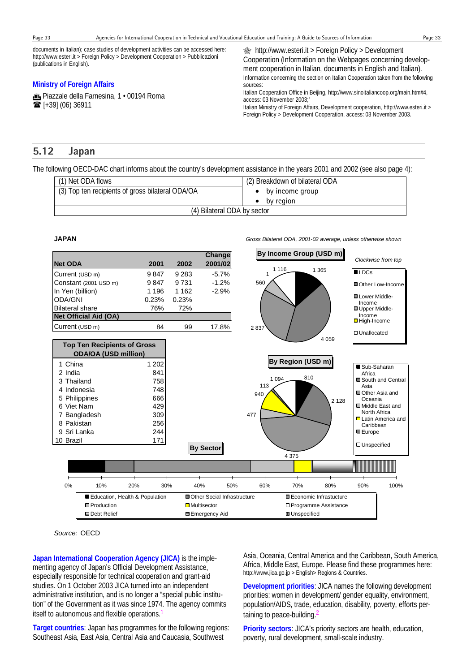documents in Italian); case studies of development activities can be accessed here: http://www.esteri.it > Foreign Policy > Development Cooperation > Pubblicazioni (publications in English).

#### **Ministry of Foreign Affairs**

**Fiazzale della Farnesina, 1 · 00194 Roma**  $\mathbf{F}$  [+39] (06) 36911

 http://www.esteri.it > Foreign Policy > Development Cooperation (Information on the Webpages concerning development cooperation in Italian, documents in English and Italian). Information concerning the section on Italian Cooperation taken from the following sources:

Italian Cooperation Office in Beijing, http://www.sinoitaliancoop.org/main.htm#4, access: 03 November 2003;'

Italian Ministry of Foreign Affairs, Development cooperation, http://www.esteri.it > Foreign Policy > Development Cooperation, access: 03 November 2003.

# **5.12 Japan**

The following OECD-DAC chart informs about the country's development assistance in the years 2001 and 2002 (see also page 4):

| (1) Net ODA flows                                | (2) Breakdown of bilateral ODA |
|--------------------------------------------------|--------------------------------|
| (3) Top ten recipients of gross bilateral ODA/OA | by income group                |
|                                                  | by region                      |
| (4) Bilateral ODA by sector                      |                                |



*Source:* OECD

**Japan International Cooperation Agency (JICA)** is the implementing agency of Japan's Official Development Assistance, especially responsible for technical cooperation and grant-aid studies. On 1 October 2003 JICA turned into an independent administrative institution, and is no longer a "special public institution" of the Government as it was since 1974. The agency commits itself to autonomous and flexible operations.

**Target countries**: Japan has programmes for the following regions: Southeast Asia, East Asia, Central Asia and Caucasia, Southwest

Asia, Oceania, Central America and the Caribbean, South America, Africa, Middle East, Europe. Please find these programmes here: http://www.jica.go.jp > English> Regions & Countries.

**Development priorities**: JICA names the following development priorities: women in development/ gender equality, environment, population/AIDS, trade, education, disability, poverty, efforts pertaining to peace-building.<sup>2</sup>

**Priority sectors**: JICA's priority sectors are health, education, poverty, rural development, small-scale industry.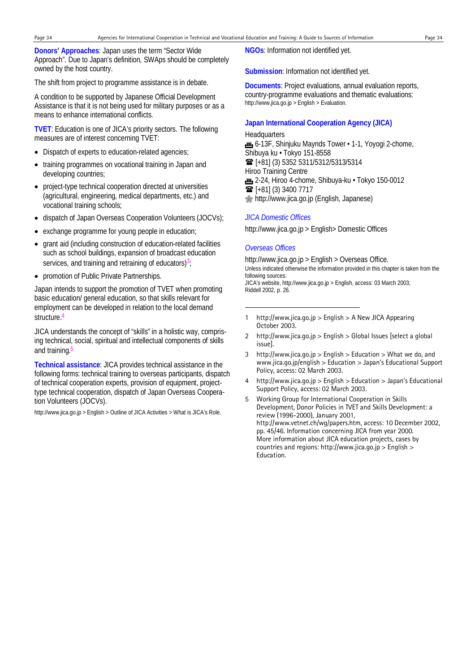**Donors' Approaches**: Japan uses the term "Sector Wide Approach". Due to Japan's definition, SWAps should be completely owned by the host country.

The shift from project to programme assistance is in debate.

A condition to be supported by Japanese Official Development Assistance is that it is not being used for military purposes or as a means to enhance international conflicts.

**TVET**: Education is one of JICA's priority sectors. The following measures are of interest concerning TVET:

- Dispatch of experts to education-related agencies;
- training programmes on vocational training in Japan and developing countries;
- project-type technical cooperation directed at universities (agricultural, engineering, medical departments, etc.) and vocational training schools;
- dispatch of Japan Overseas Cooperation Volunteers (JOCVs);
- exchange programme for young people in education;
- grant aid (including construction of education-related facilities such as school buildings, expansion of broadcast education services, and training and retraining of educators) $3$ ;
- promotion of Public Private Partnerships.

Japan intends to support the promotion of TVET when promoting basic education/ general education, so that skills relevant for employment can be developed in relation to the local demand structure.<sup>4</sup>

JICA understands the concept of "skills" in a holistic way, comprising technical, social, spiritual and intellectual components of skills and training.<sup>5</sup>

**Technical assistance**: JICA provides technical assistance in the following forms: technical training to overseas participants, dispatch of technical cooperation experts, provision of equipment, projecttype technical cooperation, dispatch of Japan Overseas Cooperation Volunteers (JOCVs).

http://www.jica.go.jp > English > Outline of JICA Activities > What is JICA's Role.

**NGOs**: Information not identified yet.

**Submission**: Information not identified yet.

**Documents**: Project evaluations, annual evaluation reports, country-programme evaluations and thematic evaluations: http://www.jica.go.jp > English > Evaluation.

#### **Japan International Cooperation Agency (JICA)**

**Headquarters** for 6-13F, Shinjuku Maynds Tower • 1-1, Yoyogi 2-chome, Shibuya ku • Tokyo 151-8558 [+81] (3) 5352 5311/5312/5313/5314 Hiroo Training Centre 10-0012 2-24, Hiroo 4-chome, Shibuya-ku • Tokyo 150-0012  $\mathbf{\widehat{m}}$  [+81] (3) 3400 7717 http://www.jica.go.jp (English, Japanese)

#### *JICA Domestic Offices*

http://www.jica.go.jp > English> Domestic Offices

#### *Overseas Offices*

l

http://www.jica.go.jp > English > Overseas Office. Unless indicated otherwise the information provided in this chapter is taken from the following sources: JICA's website, http://www.jica.go.jp > English, access: 03 March 2003; Riddell 2002, p. 26.

- 1 http://www.jica.go.jp > English > A New JICA Appearing October 2003.
- 2 http://www.jica.go.jp > English > Global Issues [select a global issue].
- 3 http://www.jica.go.jp > English > Education > What we do, and www.jica.go.jp/english > Education > Japan's Educational Support Policy, access: 02 March 2003.
- 4 http://www.jica.go.jp > English > Education > Japan's Educational Support Policy, access: 02 March 2003.
- 5 Working Group for International Cooperation in Skills Development, Donor Policies in TVET and Skills Development: a review (1996-2000), January 2001, http://www.vetnet.ch/wg/papers.htm, access: 10 December 2002, pp. 45/46. Information concerning JICA from year 2000. More information about JICA education projects, cases by countries and regions: http://www.jica.go.jp > English > Education.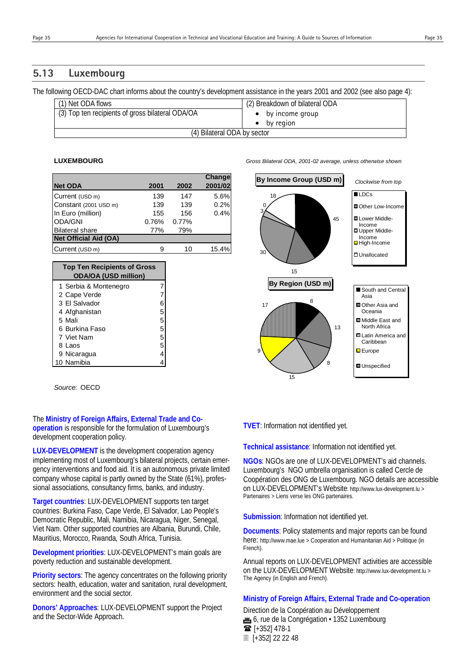# **5.13 Luxembourg**

The following OECD-DAC chart informs about the country's development assistance in the years 2001 and 2002 (see also page 4):

| (1) Net ODA flows                                | (2) Breakdown of bilateral ODA |
|--------------------------------------------------|--------------------------------|
|                                                  |                                |
| (3) Top ten recipients of gross bilateral ODA/OA | by income group                |
|                                                  | by region                      |
|                                                  |                                |
| (4) Bilateral ODA by sector                      |                                |
|                                                  |                                |

|                              |       |       | Change  |
|------------------------------|-------|-------|---------|
| <b>Net ODA</b>               | 2001  | 2002  | 2001/02 |
| Current (USD m)              | 139   | 147   | 5.6%    |
| Constant (2001 USD m)        | 139   | 139   | 0.2%    |
| In Euro (million)            | 155   | 156   | 0.4%    |
| ODA/GNI                      | 0.76% | 0.77% |         |
| <b>Bilateral share</b>       | 77%   | 79%   |         |
| <b>Net Official Aid (OA)</b> |       |       |         |
| Current (USD m)              |       | 10    | 15.4%   |

| <b>Top Ten Recipients of Gross</b><br><b>ODA/OA (USD million)</b> |   |
|-------------------------------------------------------------------|---|
| 1 Serbia & Montenegro                                             |   |
| 2 Cape Verde                                                      |   |
| 3 El Salvador                                                     | 6 |
| 4 Afghanistan                                                     | 5 |
| 5 Mali                                                            | 5 |
| 6 Burkina Faso                                                    | 5 |
| 7 Viet Nam                                                        | 5 |
| 8 Laos                                                            | 5 |
| 9 Nicaragua                                                       | 4 |
| 0 Namibia                                                         |   |

*Source:* OECD

The **Ministry of Foreign Affairs, External Trade and Cooperation** is responsible for the formulation of Luxembourg's development cooperation policy.

**LUX-DEVELOPMENT** is the development cooperation agency implementing most of Luxembourg's bilateral projects, certain emergency interventions and food aid. It is an autonomous private limited company whose capital is partly owned by the State (61%), professional associations, consultancy firms, banks, and industry.

**Target countries**: LUX-DEVELOPMENT supports ten target countries: Burkina Faso, Cape Verde, El Salvador, Lao People's Democratic Republic, Mali, Namibia, Nicaragua, Niger, Senegal, Viet Nam. Other supported countries are Albania, Burundi, Chile, Mauritius, Morocco, Rwanda, South Africa, Tunisia.

**Development priorities**: LUX-DEVELOPMENT's main goals are poverty reduction and sustainable development.

**Priority sectors**: The agency concentrates on the following priority sectors: health, education, water and sanitation, rural development, environment and the social sector.

**Donors' Approaches**: LUX-DEVELOPMENT support the Project and the Sector-Wide Approach.



#### **TVET**: Information not identified yet.

**Technical assistance**: Information not identified yet.

**NGOs**: NGOs are one of LUX-DEVELOPMENT's aid channels. Luxembourg's NGO umbrella organisation is called Cercle de Coopération des ONG de Luxembourg. NGO details are accessible on LUX-DEVELOPMENT's Website: http://www.lux-development.lu > Partenaires > Liens verse les ONG partenaires.

**Submission**: Information not identified yet.

**Documents**: Policy statements and major reports can be found here: http://www.mae.lue > Cooperation and Humanitarian Aid > Politique (in French).

Annual reports on LUX-DEVELOPMENT activities are accessible on the LUX-DEVELOPMENT Website: http://www.lux-development.lu > The Agency (in English and French).

### **Ministry of Foreign Affairs, External Trade and Co-operation**

Direction de la Coopération au Développement **f** 6, rue de la Congrégation • 1352 Luxembourg  $\mathbf{F}$  [+352] 478-1 [+352] 22 22 48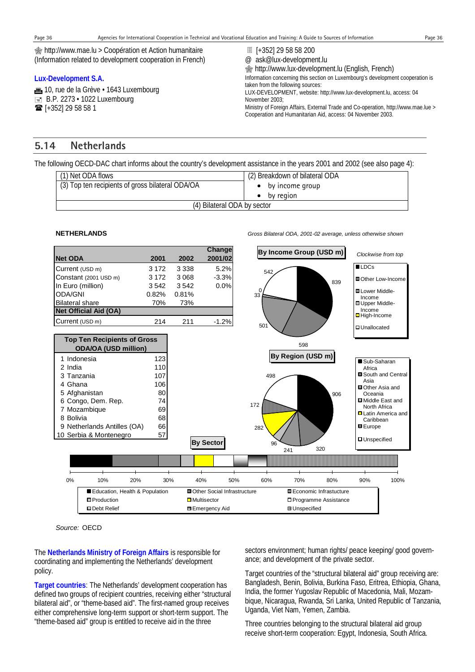http://www.mae.lu > Coopération et Action humanitaire (Information related to development cooperation in French)

#### **Lux-Development S.A.**

**10**, rue de la Grève · 1643 Luxembourg  $\equiv$  B.P. 2273 • 1022 Luxembourg **■** [+352] 29 58 58 1

- [+352] 29 58 58 200
- @ ask@lux-development.lu

 http://www.lux-development.lu (English, French) Information concerning this section on Luxembourg's development cooperation is taken from the following sources: LUX-DEVELOPMENT, website: http://www.lux-development.lu, access: 04 November 2003; Ministry of Foreign Affairs, External Trade and Co-operation, http://www.mae.lue > Cooperation and Humanitarian Aid, access: 04 November 2003.

# **5.14 Netherlands**

The following OECD-DAC chart informs about the country's development assistance in the years 2001 and 2002 (see also page 4):

| (1) Net ODA flows                                | (2) Breakdown of bilateral ODA |
|--------------------------------------------------|--------------------------------|
| (3) Top ten recipients of gross bilateral ODA/OA | by income group                |
|                                                  | by region                      |
| (4) Bilateral ODA by sector                      |                                |

#### **NETHERLANDS** *Gross Bilateral ODA, 2001-02 average, unless otherwise shown*



*Source:* OECD

The **Netherlands Ministry of Foreign Affairs** is responsible for coordinating and implementing the Netherlands' development policy.

**Target countries**: The Netherlands' development cooperation has defined two groups of recipient countries, receiving either "structural bilateral aid", or "theme-based aid". The first-named group receives either comprehensive long-term support or short-term support. The "theme-based aid" group is entitled to receive aid in the three

sectors environment; human rights/ peace keeping/ good governance; and development of the private sector.

Target countries of the "structural bilateral aid" group receiving are: Bangladesh, Benin, Bolivia, Burkina Faso, Eritrea, Ethiopia, Ghana, India, the former Yugoslav Republic of Macedonia, Mali, Mozambique, Nicaragua, Rwanda, Sri Lanka, United Republic of Tanzania, Uganda, Viet Nam, Yemen, Zambia.

Three countries belonging to the structural bilateral aid group receive short-term cooperation: Egypt, Indonesia, South Africa.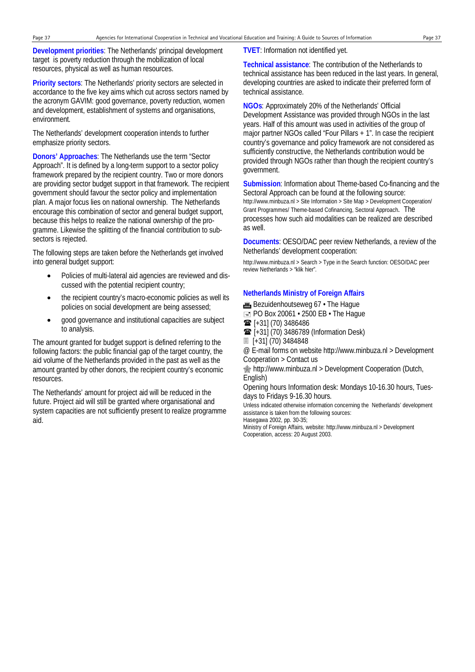**Development priorities**: The Netherlands' principal development target is poverty reduction through the mobilization of local resources, physical as well as human resources.

**Priority sectors**: The Netherlands' priority sectors are selected in accordance to the five key aims which cut across sectors named by the acronym GAVIM: good governance, poverty reduction, women and development, establishment of systems and organisations, environment.

The Netherlands' development cooperation intends to further emphasize priority sectors.

**Donors' Approaches**: The Netherlands use the term "Sector Approach". It is defined by a long-term support to a sector policy framework prepared by the recipient country. Two or more donors are providing sector budget support in that framework. The recipient government should favour the sector policy and implementation plan. A major focus lies on national ownership. The Netherlands encourage this combination of sector and general budget support, because this helps to realize the national ownership of the programme. Likewise the splitting of the financial contribution to subsectors is rejected.

The following steps are taken before the Netherlands get involved into general budget support:

- Policies of multi-lateral aid agencies are reviewed and discussed with the potential recipient country;
- the recipient country's macro-economic policies as well its policies on social development are being assessed;
- good governance and institutional capacities are subject to analysis.

The amount granted for budget support is defined referring to the following factors: the public financial gap of the target country, the aid volume of the Netherlands provided in the past as well as the amount granted by other donors, the recipient country's economic resources.

The Netherlands' amount for project aid will be reduced in the future. Project aid will still be granted where organisational and system capacities are not sufficiently present to realize programme aid.

**TVET**: Information not identified yet.

**Technical assistance**: The contribution of the Netherlands to technical assistance has been reduced in the last years. In general, developing countries are asked to indicate their preferred form of technical assistance.

**NGOs**: Approximately 20% of the Netherlands' Official Development Assistance was provided through NGOs in the last years. Half of this amount was used in activities of the group of major partner NGOs called "Four Pillars + 1". In case the recipient country's governance and policy framework are not considered as sufficiently constructive, the Netherlands contribution would be provided through NGOs rather than though the recipient country's government.

**Submission**: Information about Theme-based Co-financing and the Sectoral Approach can be found at the following source: http://www.minbuza.nl > Site Information > Site Map > Development Cooperation/ Grant Programmes/ Theme-based Cofinancing, Sectoral Approach. The processes how such aid modalities can be realized are described as well.

**Documents**: OESO/DAC peer review Netherlands, a review of the Netherlands' development cooperation:

http://www.minbuza.nl > Search > Type in the Search function: OESO/DAC peer review Netherlands > "klik hier".

#### **Netherlands Ministry of Foreign Affairs**

**.** Bezuidenhoutseweg 67 • The Haque

- $\equiv$  PO Box 20061  $\cdot$  2500 EB  $\cdot$  The Hague
- $\mathbf{F}$  [+31] (70) 3486486
- **■** [+31] (70) 3486789 (Information Desk)
- [+31] (70) 3484848

@ E-mail forms on website http://www.minbuza.nl > Development Cooperation > Contact us

**s** http://www.minbuza.nl > Development Cooperation (Dutch, English)

Opening hours Information desk: Mondays 10-16.30 hours, Tuesdays to Fridays 9-16.30 hours.

Unless indicated otherwise information concerning the Netherlands' development assistance is taken from the following sources:

Hasegawa 2002, pp. 30-35;

Ministry of Foreign Affairs, website: http://www.minbuza.nl > Development Cooperation, access: 20 August 2003.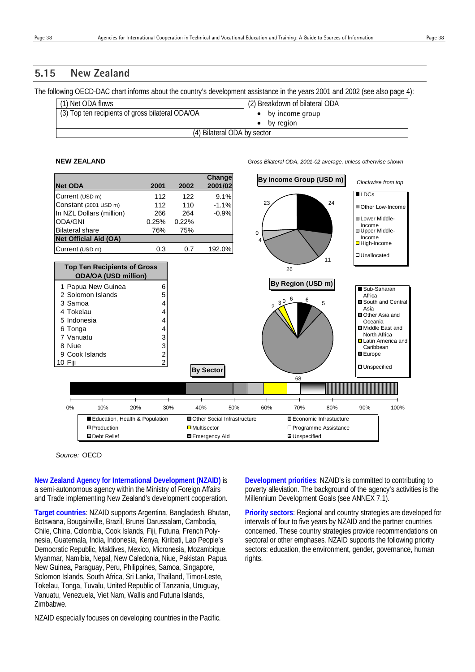# **5.15 New Zealand**

The following OECD-DAC chart informs about the country's development assistance in the years 2001 and 2002 (see also page 4):

| (1) Net ODA flows                                | (2) Breakdown of bilateral ODA |
|--------------------------------------------------|--------------------------------|
| (3) Top ten recipients of gross bilateral ODA/OA | by income group                |
|                                                  | by region                      |
| (4) Bilateral ODA by sector                      |                                |

**NEW ZEALAND** *Gross Bilateral ODA, 2001-02 average, unless otherwise shown*



*Source:* OECD

**New Zealand Agency for International Development (NZAID)** is a semi-autonomous agency within the Ministry of Foreign Affairs and Trade implementing New Zealand's development cooperation.

**Target countries**: NZAID supports Argentina, Bangladesh, Bhutan, Botswana, Bougainville, Brazil, Brunei Darussalam, Cambodia, Chile, China, Colombia, Cook Islands, Fiji, Futuna, French Polynesia, Guatemala, India, Indonesia, Kenya, Kiribati, Lao People's Democratic Republic, Maldives, Mexico, Micronesia, Mozambique, Myanmar, Namibia, Nepal, New Caledonia, Niue, Pakistan, Papua New Guinea, Paraguay, Peru, Philippines, Samoa, Singapore, Solomon Islands, South Africa, Sri Lanka, Thailand, Timor-Leste, Tokelau, Tonga, Tuvalu, United Republic of Tanzania, Uruguay, Vanuatu, Venezuela, Viet Nam, Wallis and Futuna Islands, Zimbabwe.

NZAID especially focuses on developing countries in the Pacific.

**Development priorities**: NZAID's is committed to contributing to poverty alleviation. The background of the agency's activities is the Millennium Development Goals (see ANNEX 7.1).

**Priority sectors**: Regional and country strategies are developed for intervals of four to five years by NZAID and the partner countries concerned. These country strategies provide recommendations on sectoral or other emphases. NZAID supports the following priority sectors: education, the environment, gender, governance, human rights.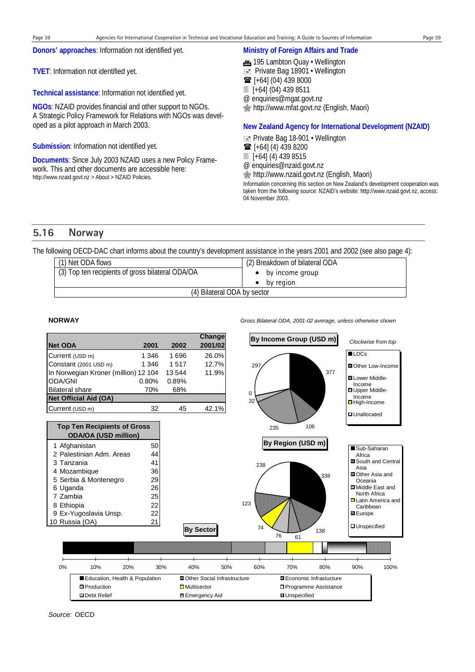**Donors' approaches**: Information not identified yet.

**TVET**: Information not identified yet.

**Technical assistance**: Information not identified yet.

**NGOs**: NZAID provides financial and other support to NGOs. A Strategic Policy Framework for Relations with NGOs was developed as a pilot approach in March 2003.

**Submission**: Information not identified yet.

**Documents**: Since July 2003 NZAID uses a new Policy Framework. This and other documents are accessible here: http://www.nzaid.govt.nz > About > NZAID Policies.

#### **Ministry of Foreign Affairs and Trade**

- **m** 195 Lambton Quay Wellington
- $\equiv$  Private Bag 18901 Wellington
- $\mathbf{\widehat{m}}$  [+64] (04) 439 8000
- [+64] (04) 439 8511

@ enquiries@mgat.govt.nz

http://www.mfat.govt.nz (English, Maori)

#### **New Zealand Agency for International Development (NZAID)**

**E** Private Bag 18-901 • Wellington

 $\mathbf{\widehat{m}}$  [+64] (4) 439 8200

- [+64] (4) 439 8515
- @ enquiries@nzaid.govt.nz

http://www.nzaid.govt.nz (English, Maori)

Information concerning this section on New Zealand's development cooperation was taken from the following source: NZAID's website: http://www.nzaid.govt.nz, access: 04 November 2003.

# **5.16 Norway**

The following OECD-DAC chart informs about the country's development assistance in the years 2001 and 2002 (see also page 4):

| (1) Net ODA flows                                | (2) Breakdown of bilateral ODA |
|--------------------------------------------------|--------------------------------|
| (3) Top ten recipients of gross bilateral ODA/OA | by income group                |
|                                                  | by region<br>٠                 |
| (4) Bilateral ODA by sector                      |                                |

**Net ODA 2001 2002 Change**  Current (USD m) 1 346 1 696 26.0% Constant (2001 USD m) 1 346 1 517 12.7% In Norwegian Kroner (million) 12 104 13 544 11.9% ODA/GNI 0.80% 0.89% Bilateral share 70% 68% **Net Official Aid (OA)**

**NORWAY** *Gross Bilateral ODA, 2001-02 average, unless otherwise shown*

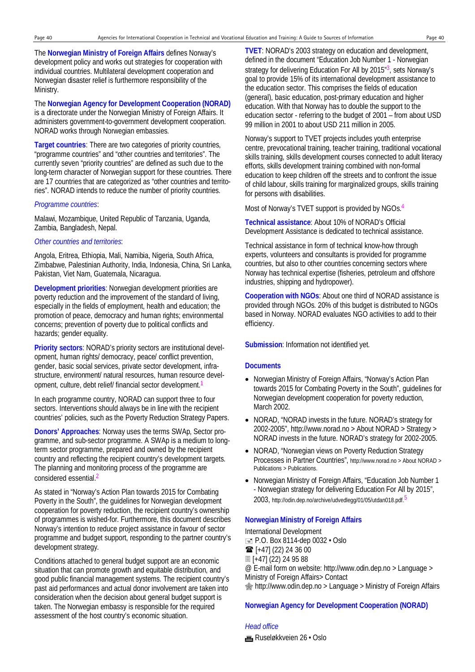The **Norwegian Ministry of Foreign Affairs** defines Norway's development policy and works out strategies for cooperation with individual countries. Multilateral development cooperation and Norwegian disaster relief is furthermore responsibility of the Ministry.

The **Norwegian Agency for Development Cooperation (NORAD)** is a directorate under the Norwegian Ministry of Foreign Affairs. It administers government-to-government development cooperation. NORAD works through Norwegian embassies.

**Target countries**: There are two categories of priority countries, "programme countries" and "other countries and territories". The currently seven "priority countries" are defined as such due to the long-term character of Norwegian support for these countries. There are 17 countries that are categorized as "other countries and territories". NORAD intends to reduce the number of priority countries.

#### *Programme countries*:

Malawi, Mozambique, United Republic of Tanzania, Uganda, Zambia, Bangladesh, Nepal.

#### *Other countries and territories*:

Angola, Eritrea, Ethiopia, Mali, Namibia, Nigeria, South Africa, Zimbabwe, Palestinian Authority, India, Indonesia, China, Sri Lanka, Pakistan, Viet Nam, Guatemala, Nicaragua.

**Development priorities**: Norwegian development priorities are poverty reduction and the improvement of the standard of living, especially in the fields of employment, health and education; the promotion of peace, democracy and human rights; environmental concerns; prevention of poverty due to political conflicts and hazards; gender equality.

**Priority sectors**: NORAD's priority sectors are institutional development, human rights/ democracy, peace/ conflict prevention, gender, basic social services, private sector development, infrastructure, environment/ natural resources, human resource development, culture, debt relief/ financial sector development.1

In each programme country, NORAD can support three to four sectors. Interventions should always be in line with the recipient countries' policies, such as the Poverty Reduction Strategy Papers.

**Donors' Approaches**: Norway uses the terms SWAp, Sector programme, and sub-sector programme. A SWAp is a medium to longterm sector programme, prepared and owned by the recipient country and reflecting the recipient country's development targets. The planning and monitoring process of the programme are considered essential.2

As stated in "Norway's Action Plan towards 2015 for Combating Poverty in the South", the guidelines for Norwegian development cooperation for poverty reduction, the recipient country's ownership of programmes is wished-for. Furthermore, this document describes Norway's intention to reduce project assistance in favour of sector programme and budget support, responding to the partner country's development strategy.

Conditions attached to general budget support are an economic situation that can promote growth and equitable distribution, and good public financial management systems. The recipient country's past aid performances and actual donor involvement are taken into consideration when the decision about general budget support is taken. The Norwegian embassy is responsible for the required assessment of the host country's economic situation.

**TVET**: NORAD's 2003 strategy on education and development, defined in the document "Education Job Number 1 - Norwegian strategy for delivering Education For All by  $2015<sup>n3</sup>$ , sets Norway's goal to provide 15% of its international development assistance to the education sector. This comprises the fields of education (general), basic education, post-primary education and higher education. With that Norway has to double the support to the education sector - referring to the budget of 2001 – from about USD 99 million in 2001 to about USD 211 million in 2005.

Norway's support to TVET projects includes youth enterprise centre, prevocational training, teacher training, traditional vocational skills training, skills development courses connected to adult literacy efforts, skills development training combined with non-formal education to keep children off the streets and to confront the issue of child labour, skills training for marginalized groups, skills training for persons with disabilities.

Most of Norway's TVET support is provided by NGOs.4

**Technical assistance**: About 10% of NORAD's Official Development Assistance is dedicated to technical assistance.

Technical assistance in form of technical know-how through experts, volunteers and consultants is provided for programme countries, but also to other countries concerning sectors where Norway has technical expertise (fisheries, petroleum and offshore industries, shipping and hydropower).

**Cooperation with NGOs**: About one third of NORAD assistance is provided through NGOs. 20% of this budget is distributed to NGOs based in Norway. NORAD evaluates NGO activities to add to their efficiency.

**Submission**: Information not identified yet.

#### **Documents**

- Norwegian Ministry of Foreign Affairs, "Norway's Action Plan towards 2015 for Combating Poverty in the South", guidelines for Norwegian development cooperation for poverty reduction, March 2002.
- NORAD, "NORAD invests in the future. NORAD's strategy for 2002-2005", http://www.norad.no > About NORAD > Strategy > NORAD invests in the future. NORAD's strategy for 2002-2005.
- NORAD, "Norwegian views on Poverty Reduction Strategy Processes in Partner Countries", http://www.norad.no > About NORAD > Publications > Publications.
- Norwegian Ministry of Foreign Affairs, "Education Job Number 1 - Norwegian strategy for delivering Education For All by 2015", 2003, http://odin.dep.no/archive/udvedlegg/01/05/utdan018.pdf.

#### **Norwegian Ministry of Foreign Affairs**

International Development  $\equiv$  P.O. Box 8114-dep 0032  $\cdot$  Oslo  $\mathbf{F}$  [+47] (22) 24 36 00 [+47] (22) 24 95 88 @ E-mail form on website: http://www.odin.dep.no > Language > Ministry of Foreign Affairs> Contact http://www.odin.dep.no > Language > Ministry of Foreign Affairs

#### **Norwegian Agency for Development Cooperation (NORAD)**

# *Head office*

**im** Ruseløkkveien 26 · Oslo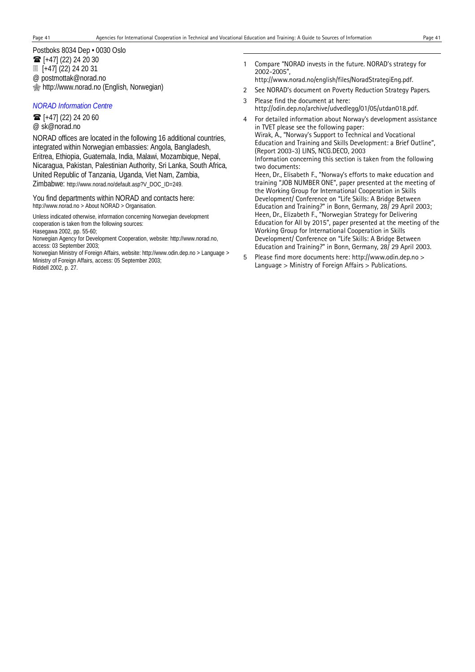1

Postboks 8034 Dep • 0030 Oslo  $\mathbf{F}$  [+47] (22) 24 20 30 [+47] (22) 24 20 31 @ postmottak@norad.no http://www.norad.no (English, Norwegian)

#### *NORAD Information Centre*

 $\mathbf{F}$  [+47] (22) 24 20 60 @ sk@norad.no

NORAD offices are located in the following 16 additional countries, integrated within Norwegian embassies: Angola, Bangladesh, Eritrea, Ethiopia, Guatemala, India, Malawi, Mozambique, Nepal, Nicaragua, Pakistan, Palestinian Authority, Sri Lanka, South Africa, United Republic of Tanzania, Uganda, Viet Nam, Zambia, Zimbabwe: http://www.norad.no/default.asp?V\_DOC\_ID=249.

You find departments within NORAD and contacts here: http://www.norad.no > About NORAD > Organisation.

Unless indicated otherwise, information concerning Norwegian development cooperation is taken from the following sources:

Hasegawa 2002, pp. 55-60;

Norwegian Agency for Development Cooperation, website: http://www.norad.no, access: 03 September 2003;

Norwegian Ministry of Foreign Affairs, website: http://www.odin.dep.no > Language > Ministry of Foreign Affairs, access: 05 September 2003; Riddell 2002, p. 27.

- 1 Compare "NORAD invests in the future. NORAD's strategy for 2002-2005",
	- http://www.norad.no/english/files/NoradStrategiEng.pdf.
- 2 See NORAD's document on Poverty Reduction Strategy Papers.
- 3 Please find the document at here: http://odin.dep.no/archive/udvedlegg/01/05/utdan018.pdf.
- 4 For detailed information about Norway's development assistance in TVET please see the following paper: Wirak, A., "Norway's Support to Technical and Vocational

Education and Training and Skills Development: a Brief Outline", (Report 2003-3) LINS, NCG.DECO, 2003 Information concerning this section is taken from the following

two documents:

Heen, Dr., Elisabeth F., "Norway's efforts to make education and training "JOB NUMBER ONE", paper presented at the meeting of the Working Group for International Cooperation in Skills Development/ Conference on "Life Skills: A Bridge Between Education and Training?" in Bonn, Germany, 28/ 29 April 2003; Heen, Dr., Elizabeth F., "Norwegian Strategy for Delivering Education for All by 2015", paper presented at the meeting of the Working Group for International Cooperation in Skills Development/ Conference on "Life Skills: A Bridge Between Education and Training?" in Bonn, Germany, 28/ 29 April 2003.

5 Please find more documents here: http://www.odin.dep.no > Language > Ministry of Foreign Affairs > Publications.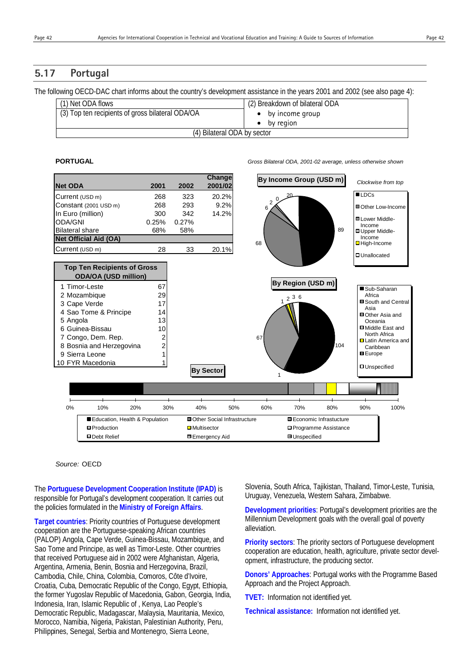# **5.17 Portugal**

The following OECD-DAC chart informs about the country's development assistance in the years 2001 and 2002 (see also page 4):

| (1) Net ODA flows                                | (2) Breakdown of bilateral ODA |
|--------------------------------------------------|--------------------------------|
| (3) Top ten recipients of gross bilateral ODA/OA | $\bullet$ by income group      |
|                                                  | by region                      |
| (4) Bilateral ODA by sector                      |                                |

**PORTUGAL** *Gross Bilateral ODA, 2001-02 average, unless otherwise shown*



#### *Source:* OECD

The **Portuguese Development Cooperation Institute (IPAD)** is responsible for Portugal's development cooperation. It carries out the policies formulated in the **Ministry of Foreign Affairs**.

**Target countries**: Priority countries of Portuguese development cooperation are the Portuguese-speaking African countries (PALOP) Angola, Cape Verde, Guinea-Bissau, Mozambique, and Sao Tome and Principe, as well as Timor-Leste. Other countries that received Portuguese aid in 2002 were Afghanistan, Algeria, Argentina, Armenia, Benin, Bosnia and Herzegovina, Brazil, Cambodia, Chile, China, Colombia, Comoros, Côte d'Ivoire, Croatia, Cuba, Democratic Republic of the Congo, Egypt, Ethiopia, the former Yugoslav Republic of Macedonia, Gabon, Georgia, India, Indonesia, Iran, Islamic Republic of , Kenya, Lao People's Democratic Republic, Madagascar, Malaysia, Mauritania, Mexico, Morocco, Namibia, Nigeria, Pakistan, Palestinian Authority, Peru, Philippines, Senegal, Serbia and Montenegro, Sierra Leone,

Slovenia, South Africa, Tajikistan, Thailand, Timor-Leste, Tunisia, Uruguay, Venezuela, Western Sahara, Zimbabwe.

**Development priorities**: Portugal's development priorities are the Millennium Development goals with the overall goal of poverty alleviation.

**Priority sectors**: The priority sectors of Portuguese development cooperation are education, health, agriculture, private sector development, infrastructure, the producing sector.

**Donors' Approaches**: Portugal works with the Programme Based Approach and the Project Approach.

**TVET:** Information not identified yet.

**Technical assistance:** Information not identified yet.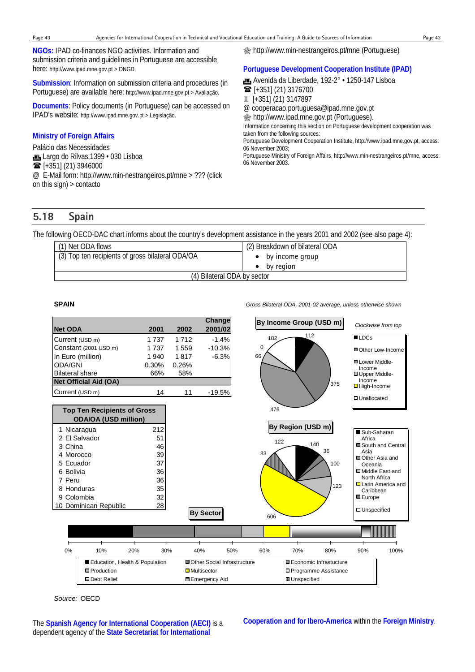**NGOs:** IPAD co-finances NGO activities. Information and submission criteria and guidelines in Portuguese are accessible here: http://www.ipad.mne.gov.pt > ONGD.

**Submission**: Information on submission criteria and procedures (in Portuguese) are available here: http://www.ipad.mne.gov.pt > Avaliação.

**Documents**: Policy documents (in Portuguese) can be accessed on IPAD's website: http://www.ipad.mne.gov.pt > Legislação.

#### **Ministry of Foreign Affairs**

Palácio das Necessidades **fin**, Largo do Rilvas, 1399 • 030 Lisboa  $\mathbf{\widehat{m}}$  [+351] (21) 3946000 @ E-Mail form: http://www.min-nestrangeiros.pt/mne > ??? (click on this sign) > contacto

http://www.min-nestrangeiros.pt/mne (Portuguese)

#### **Portuguese Development Cooperation Institute (IPAD)**

\* Avenida da Liberdade, 192-2° • 1250-147 Lisboa  $\mathbf{\widehat{m}}$  [+351] (21) 3176700 [+351] (21) 3147897 @ cooperacao.portuguesa@ipad.mne.gov.pt  $\circledast$  http://www.ipad.mne.gov.pt (Portuguese). Information concerning this section on Portuguese development cooperation was taken from the following sources: Portuguese Development Cooperation Institute, http://www.ipad.mne.gov.pt, access: 06 November 2003; Portuguese Ministry of Foreign Affairs, http://www.min-nestrangeiros.pt/mne, access:

# **5.18 Spain**

The following OECD-DAC chart informs about the country's development assistance in the years 2001 and 2002 (see also page 4):

| (1) Net ODA flows                                | (2) Breakdown of bilateral ODA |
|--------------------------------------------------|--------------------------------|
| (3) Top ten recipients of gross bilateral ODA/OA | by income group                |
|                                                  | by region                      |
| (4) Bilateral ODA by sector                      |                                |

06 November 2003.

**SPAIN** *Gross Bilateral ODA, 2001-02 average, unless otherwise shown*



*Source:* OECD

The **Spanish Agency for International Cooperation (AECI)** is a dependent agency of the **State Secretariat for International**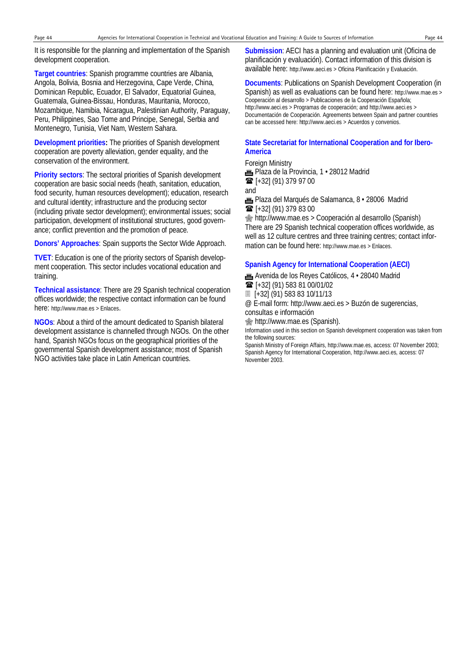It is responsible for the planning and implementation of the Spanish development cooperation.

**Target countries**: Spanish programme countries are Albania, Angola, Bolivia, Bosnia and Herzegovina, Cape Verde, China, Dominican Republic, Ecuador, El Salvador, Equatorial Guinea, Guatemala, Guinea-Bissau, Honduras, Mauritania, Morocco, Mozambique, Namibia, Nicaragua, Palestinian Authority, Paraguay, Peru, Philippines, Sao Tome and Principe, Senegal, Serbia and Montenegro, Tunisia, Viet Nam, Western Sahara.

**Development priorities:** The priorities of Spanish development cooperation are poverty alleviation, gender equality, and the conservation of the environment.

**Priority sectors**: The sectoral priorities of Spanish development cooperation are basic social needs (heath, sanitation, education, food security, human resources development); education, research and cultural identity; infrastructure and the producing sector (including private sector development); environmental issues; social participation, development of institutional structures, good governance; conflict prevention and the promotion of peace.

**Donors' Approaches**: Spain supports the Sector Wide Approach.

**TVET**: Education is one of the priority sectors of Spanish development cooperation. This sector includes vocational education and training.

**Technical assistance**: There are 29 Spanish technical cooperation offices worldwide; the respective contact information can be found here: http://www.mae.es > Enlaces.

**NGOs**: About a third of the amount dedicated to Spanish bilateral development assistance is channelled through NGOs. On the other hand, Spanish NGOs focus on the geographical priorities of the governmental Spanish development assistance; most of Spanish NGO activities take place in Latin American countries.

**Submission**: AECI has a planning and evaluation unit (Oficina de planificación y evaluación). Contact information of this division is available here: http://www.aeci.es > Oficina Planificación y Evaluación.

#### **Documents**: Publications on Spanish Development Cooperation (in Spanish) as well as evaluations can be found here: http://www.mae.es > Cooperación al desarrollo > Publicaciones de la Cooperación Española; http://www.aeci.es > Programas de cooperación; and http://www.aeci.es > Documentación de Cooperación. Agreements between Spain and partner countries can be accessed here: http://www.aeci.es > Acuerdos y convenios.

#### **State Secretariat for International Cooperation and for Ibero-America**

Foreign Ministry

**Fig.** Plaza de la Provincia, 1 · 28012 Madrid  $\mathbf{\widehat{m}}$  [+32] (91) 379 97 00 and

\* Plaza del Marqués de Salamanca, 8 • 28006 Madrid  $\mathbf{\widehat{m}}$  [+32] (91) 379 83 00

 http://www.mae.es > Cooperación al desarrollo (Spanish) There are 29 Spanish technical cooperation offices worldwide, as well as 12 culture centres and three training centres; contact information can be found here: http://www.mae.es > Enlaces.

#### **Spanish Agency for International Cooperation (AECI)**

\* Avenida de los Reyes Católicos, 4 • 28040 Madrid

 $\mathbf{\widehat{m}}$  [+32] (91) 583 81 00/01/02

[+32] (91) 583 83 10/11/13

@ E-mail form: http://www.aeci.es > Buzón de sugerencias, consultas e información

http://www.mae.es (Spanish).

Information used in this section on Spanish development cooperation was taken from the following sources:

Spanish Ministry of Foreign Affairs, http://www.mae.es, access: 07 November 2003; Spanish Agency for International Cooperation, http://www.aeci.es, access: 07 November 2003.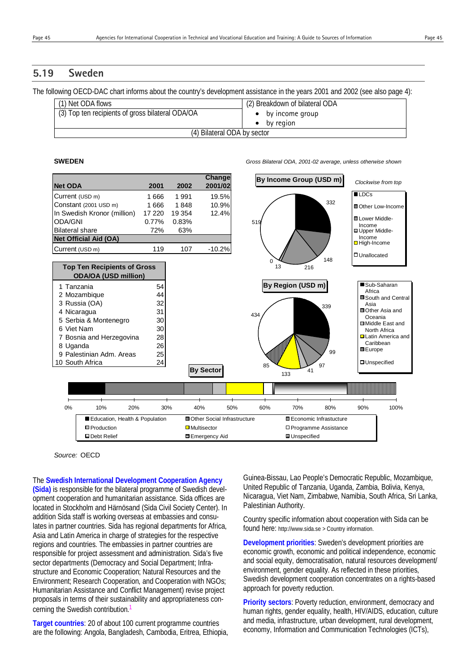# **5.19 Sweden**

The following OECD-DAC chart informs about the country's development assistance in the years 2001 and 2002 (see also page 4):

| (1) Net ODA flows                                | (2) Breakdown of bilateral ODA |
|--------------------------------------------------|--------------------------------|
| (3) Top ten recipients of gross bilateral ODA/OA | $\bullet$ by income group      |
|                                                  | by region                      |
| (4) Bilateral ODA by sector                      |                                |

**SWEDEN** *Gross Bilateral ODA, 2001-02 average, unless otherwise shown*



*Source:* OECD

The **Swedish International Development Cooperation Agency (Sida)** is responsible for the bilateral programme of Swedish development cooperation and humanitarian assistance. Sida offices are located in Stockholm and Härnösand (Sida Civil Society Center). In addition Sida staff is working overseas at embassies and consulates in partner countries. Sida has regional departments for Africa, Asia and Latin America in charge of strategies for the respective regions and countries. The embassies in partner countries are responsible for project assessment and administration. Sida's five sector departments (Democracy and Social Department; Infrastructure and Economic Cooperation; Natural Resources and the Environment; Research Cooperation, and Cooperation with NGOs; Humanitarian Assistance and Conflict Management) revise project proposals in terms of their sustainability and appropriateness concerning the Swedish contribution.

**Target countries**: 20 of about 100 current programme countries are the following: Angola, Bangladesh, Cambodia, Eritrea, Ethiopia,

Guinea-Bissau, Lao People's Democratic Republic, Mozambique, United Republic of Tanzania, Uganda, Zambia, Bolivia, Kenya, Nicaragua, Viet Nam, Zimbabwe, Namibia, South Africa, Sri Lanka, Palestinian Authority.

Country specific information about cooperation with Sida can be found here: http://www.sida.se > Country information.

**Development priorities**: Sweden's development priorities are economic growth, economic and political independence, economic and social equity, democratisation, natural resources development/ environment, gender equality. As reflected in these priorities, Swedish development cooperation concentrates on a rights-based approach for poverty reduction.

**Priority sectors**: Poverty reduction, environment, democracy and human rights, gender equality, health, HIV/AIDS, education, culture and media, infrastructure, urban development, rural development, economy, Information and Communication Technologies (ICTs),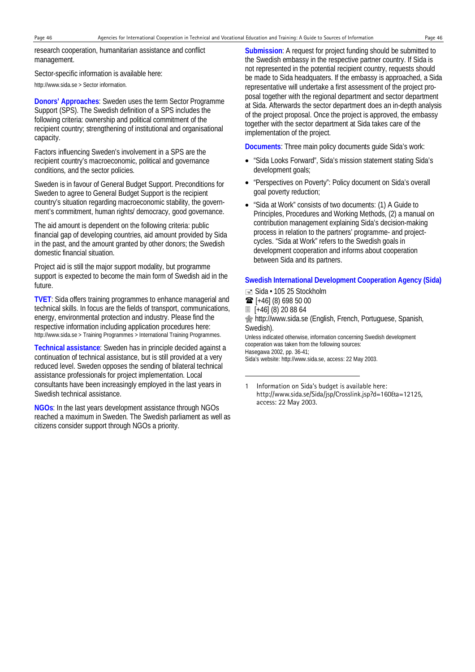-

research cooperation, humanitarian assistance and conflict management.

Sector-specific information is available here:

http://www.sida.se > Sector information.

**Donors' Approaches**: Sweden uses the term Sector Programme Support (SPS). The Swedish definition of a SPS includes the following criteria: ownership and political commitment of the recipient country; strengthening of institutional and organisational capacity.

Factors influencing Sweden's involvement in a SPS are the recipient country's macroeconomic, political and governance conditions, and the sector policies.

Sweden is in favour of General Budget Support. Preconditions for Sweden to agree to General Budget Support is the recipient country's situation regarding macroeconomic stability, the government's commitment, human rights/ democracy, good governance.

The aid amount is dependent on the following criteria: public financial gap of developing countries, aid amount provided by Sida in the past, and the amount granted by other donors; the Swedish domestic financial situation.

Project aid is still the major support modality, but programme support is expected to become the main form of Swedish aid in the future.

**TVET**: Sida offers training programmes to enhance managerial and technical skills. In focus are the fields of transport, communications, energy, environmental protection and industry. Please find the respective information including application procedures here: http://www.sida.se > Training Programmes > International Training Programmes.

**Technical assistance**: Sweden has in principle decided against a continuation of technical assistance, but is still provided at a very reduced level. Sweden opposes the sending of bilateral technical assistance professionals for project implementation. Local consultants have been increasingly employed in the last years in Swedish technical assistance.

**NGOs**: In the last years development assistance through NGOs reached a maximum in Sweden. The Swedish parliament as well as citizens consider support through NGOs a priority.

**Submission:** A request for project funding should be submitted to the Swedish embassy in the respective partner country. If Sida is not represented in the potential recipient country, requests should be made to Sida headquaters. If the embassy is approached, a Sida representative will undertake a first assessment of the project proposal together with the regional department and sector department at Sida. Afterwards the sector department does an in-depth analysis of the project proposal. Once the project is approved, the embassy together with the sector department at Sida takes care of the implementation of the project.

**Documents**: Three main policy documents guide Sida's work:

- "Sida Looks Forward", Sida's mission statement stating Sida's development goals;
- "Perspectives on Poverty": Policy document on Sida's overall goal poverty reduction;
- "Sida at Work" consists of two documents: (1) A Guide to Principles, Procedures and Working Methods, (2) a manual on contribution management explaining Sida's decision-making process in relation to the partners' programme- and projectcycles. "Sida at Work" refers to the Swedish goals in development cooperation and informs about cooperation between Sida and its partners.

#### **Swedish International Development Cooperation Agency (Sida)**

■ Sida • 105 25 Stockholm [+46] (8) 698 50 00 [+46] (8) 20 88 64 http://www.sida.se (English, French, Portuguese, Spanish, Swedish). Unless indicated otherwise, information concerning Swedish development cooperation was taken from the following sources: Hasegawa 2002, pp. 36-41; Sida's website: http://www.sida.se, access: 22 May 2003.

<sup>1</sup> Information on Sida's budget is available here: http://www.sida.se/Sida/jsp/Crosslink.jsp?d=160&a=12125, access: 22 May 2003.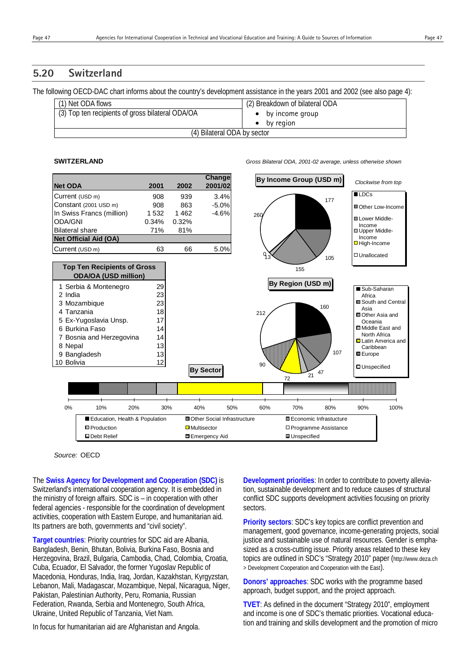# **5.20 Switzerland**

The following OECD-DAC chart informs about the country's development assistance in the years 2001 and 2002 (see also page 4):

| (1) Net ODA flows                                | (2) Breakdown of bilateral ODA |
|--------------------------------------------------|--------------------------------|
| (3) Top ten recipients of gross bilateral ODA/OA | $\bullet$ by income group      |
|                                                  | by region                      |
| (4) Bilateral ODA by sector                      |                                |

**SWITZERLAND** *Gross Bilateral ODA, 2001-02 average, unless otherwise shown*



*Source:* OECD

The **Swiss Agency for Development and Cooperation (SDC)** is Switzerland's international cooperation agency. It is embedded in the ministry of foreign affairs. SDC is – in cooperation with other federal agencies - responsible for the coordination of development activities, cooperation with Eastern Europe, and humanitarian aid. Its partners are both, governments and "civil society".

**Target countries**: Priority countries for SDC aid are Albania, Bangladesh, Benin, Bhutan, Bolivia, Burkina Faso, Bosnia and Herzegovina, Brazil, Bulgaria, Cambodia, Chad, Colombia, Croatia, Cuba, Ecuador, El Salvador, the former Yugoslav Republic of Macedonia, Honduras, India, Iraq, Jordan, Kazakhstan, Kyrgyzstan, Lebanon, Mali, Madagascar, Mozambique, Nepal, Nicaragua, Niger, Pakistan, Palestinian Authority, Peru, Romania, Russian Federation, Rwanda, Serbia and Montenegro, South Africa, Ukraine, United Republic of Tanzania, Viet Nam.

In focus for humanitarian aid are Afghanistan and Angola.

**Development priorities**: In order to contribute to poverty alleviation, sustainable development and to reduce causes of structural conflict SDC supports development activities focusing on priority sectors.

**Priority sectors**: SDC's key topics are conflict prevention and management, good governance, income-generating projects, social justice and sustainable use of natural resources. Gender is emphasized as a cross-cutting issue. Priority areas related to these key topics are outlined in SDC's "Strategy 2010" paper (http://www.deza.ch > Development Cooperation and Cooperation with the East).

**Donors' approaches**: SDC works with the programme based approach, budget support, and the project approach.

**TVET**: As defined in the document "Strategy 2010", employment and income is one of SDC's thematic priorities. Vocational education and training and skills development and the promotion of micro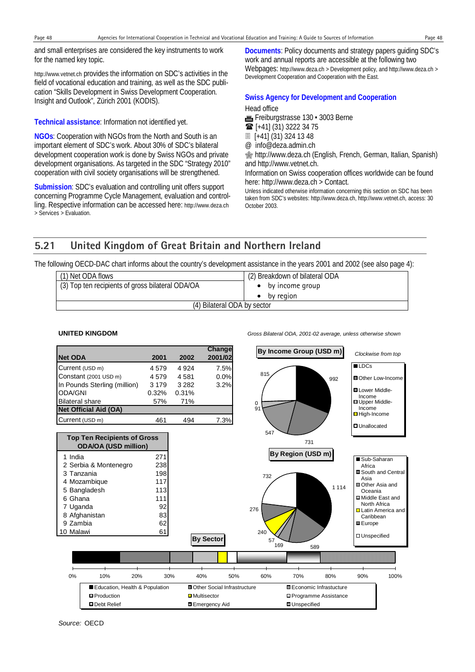and small enterprises are considered the key instruments to work for the named key topic.

http://www.vetnet.ch provides the information on SDC's activities in the field of vocational education and training, as well as the SDC publication "Skills Development in Swiss Development Cooperation. Insight and Outlook", Zürich 2001 (KODIS).

**Technical assistance**: Information not identified yet.

**NGOs**: Cooperation with NGOs from the North and South is an important element of SDC's work. About 30% of SDC's bilateral development cooperation work is done by Swiss NGOs and private development organisations. As targeted in the SDC "Strategy 2010" cooperation with civil society organisations will be strengthened.

**Submission**: SDC's evaluation and controlling unit offers support concerning Programme Cycle Management, evaluation and controlling. Respective information can be accessed here: http://www.deza.ch > Services > Evaluation.

**Documents**: Policy documents and strategy papers guiding SDC's work and annual reports are accessible at the following two Webpages: http://www.deza.ch > Development policy, and http://www.deza.ch > Development Cooperation and Cooperation with the East.

# **Swiss Agency for Development and Cooperation**

#### Head office

Freiburgstrasse 130 · 3003 Berne **■** [+41] (31) 3222 34 75 [+41] (31) 324 13 48

@ info@deza.admin.ch

**s** http://www.deza.ch (English, French, German, Italian, Spanish) and http://www.vetnet.ch.

Information on Swiss cooperation offices worldwide can be found here: http://www.deza.ch > Contact.

Unless indicated otherwise information concerning this section on SDC has been taken from SDC's websites: http://www.deza.ch, http://www.vetnet.ch, access: 30 October 2003.

# **5.21 United Kingdom of Great Britain and Northern Ireland**

The following OECD-DAC chart informs about the country's development assistance in the years 2001 and 2002 (see also page 4):

| (1) Net ODA flows                                | (2) Breakdown of bilateral ODA |
|--------------------------------------------------|--------------------------------|
| (3) Top ten recipients of gross bilateral ODA/OA | $\bullet$ by income group      |
|                                                  | by region                      |
| (4) Bilateral ODA by sector                      |                                |

**Net ODA 2001 2002 Change 2001/02** *Clockwise from top* **By Income Group (USD m)** Current (USD m) 4 579 4 924 7.5% 1 India  $27<sup>1</sup>$ 2 Serbia & Montenegro 238 3 Tanzania 198 4 Mozambique 117 5 Bangladesh 113 6 Ghana 111 7 Uganda 92 8 Afghanistan 83 9 Zambia 62 **Top Ten Recipients of Gross ODA/OA (USD million) By Sector**  0% 10% 20% 30% 40% 50% 60% 70% 80% 90% 100% ■ Education, Health & Population ■ Other Social Infrastructure ■ Economic Infrastucture **On Automation Contract Contract Contract Contract Contract Contract Contract Contract Contract Contract Contract Contract Contract Contract Contract Contract Contract Contract Contract Contract Contract Contract Contract**  0 547 81 992 731  $\alpha$ **LDCs** Other Low-Income Lower Middle-Income Upper Middle-Income ■ High-Income Unallocated **By Region (USD m)** 732 57<br>169<br>589 1 114  $240$  276 Sub-Saharan Africa South and Central Asia ■Other Asia and Oceania Middle East and North Africa **D** Latin America and Caribbean **III** Europe **D**Unspecified

**UNITED KINGDOM** *Gross Bilateral ODA, 2001-02 average, unless otherwise shown*

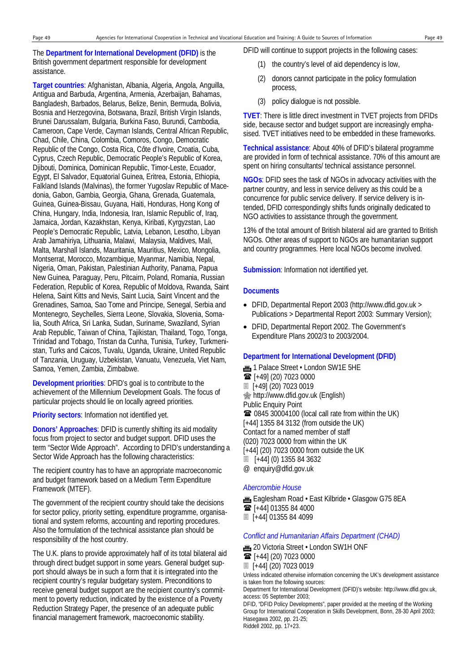The **Department for International Development (DFID)** is the British government department responsible for development assistance.

**Target countries**: Afghanistan, Albania, Algeria, Angola, Anguilla, Antigua and Barbuda, Argentina, Armenia, Azerbaijan, Bahamas, Bangladesh, Barbados, Belarus, Belize, Benin, Bermuda, Bolivia, Bosnia and Herzegovina, Botswana, Brazil, British Virgin Islands, Brunei Darussalam, Bulgaria, Burkina Faso, Burundi, Cambodia, Cameroon, Cape Verde, Cayman Islands, Central African Republic, Chad, Chile, China, Colombia, Comoros, Congo, Democratic Republic of the Congo, Costa Rica, Côte d'Ivoire, Croatia, Cuba, Cyprus, Czech Republic, Democratic People's Republic of Korea, Djibouti, Dominica, Dominican Republic, Timor-Leste, Ecuador, Egypt, El Salvador, Equatorial Guinea, Eritrea, Estonia, Ethiopia, Falkland Islands (Malvinas), the former Yugoslav Republic of Macedonia, Gabon, Gambia, Georgia, Ghana, Grenada, Guatemala, Guinea, Guinea-Bissau, Guyana, Haiti, Honduras, Hong Kong of China, Hungary, India, Indonesia, Iran, Islamic Republic of, Iraq, Jamaica, Jordan, Kazakhstan, Kenya, Kiribati, Kyrgyzstan, Lao People's Democratic Republic, Latvia, Lebanon, Lesotho, Libyan Arab Jamahiriya, Lithuania, Malawi, Malaysia, Maldives, Mali, Malta, Marshall Islands, Mauritania, Mauritius, Mexico, Mongolia, Montserrat, Morocco, Mozambique, Myanmar, Namibia, Nepal, Nigeria, Oman, Pakistan, Palestinian Authority, Panama, Papua New Guinea, Paraguay, Peru, Pitcairn, Poland, Romania, Russian Federation, Republic of Korea, Republic of Moldova, Rwanda, Saint Helena, Saint Kitts and Nevis, Saint Lucia, Saint Vincent and the Grenadines, Samoa, Sao Tome and Principe, Senegal, Serbia and Montenegro, Seychelles, Sierra Leone, Slovakia, Slovenia, Somalia, South Africa, Sri Lanka, Sudan, Suriname, Swaziland, Syrian Arab Republic, Taiwan of China, Tajikistan, Thailand, Togo, Tonga, Trinidad and Tobago, Tristan da Cunha, Tunisia, Turkey, Turkmenistan, Turks and Caicos, Tuvalu, Uganda, Ukraine, United Republic of Tanzania, Uruguay, Uzbekistan, Vanuatu, Venezuela, Viet Nam, Samoa, Yemen, Zambia, Zimbabwe.

**Development priorities**: DFID's goal is to contribute to the achievement of the Millennium Development Goals. The focus of particular projects should lie on locally agreed priorities.

**Priority sectors**: Information not identified yet.

**Donors' Approaches**: DFID is currently shifting its aid modality focus from project to sector and budget support. DFID uses the term "Sector Wide Approach". According to DFID's understanding a Sector Wide Approach has the following characteristics:

The recipient country has to have an appropriate macroeconomic and budget framework based on a Medium Term Expenditure Framework (MTEF).

The government of the recipient country should take the decisions for sector policy, priority setting, expenditure programme, organisational and system reforms, accounting and reporting procedures. Also the formulation of the technical assistance plan should be responsibility of the host country.

The U.K. plans to provide approximately half of its total bilateral aid through direct budget support in some years. General budget support should always be in such a form that it is integrated into the recipient country's regular budgetary system. Preconditions to receive general budget support are the recipient country's commitment to poverty reduction, indicated by the existence of a Poverty Reduction Strategy Paper, the presence of an adequate public financial management framework, macroeconomic stability.

DFID will continue to support projects in the following cases:

- (1) the country's level of aid dependency is low,
- (2) donors cannot participate in the policy formulation process,
- (3) policy dialogue is not possible.

**TVET**: There is little direct investment in TVET projects from DFIDs side, because sector and budget support are increasingly emphasised. TVET initiatives need to be embedded in these frameworks.

**Technical assistance**: About 40% of DFID's bilateral programme are provided in form of technical assistance. 70% of this amount are spent on hiring consultants/ technical assistance personnel.

**NGOs**: DFID sees the task of NGOs in advocacy activities with the partner country, and less in service delivery as this could be a concurrence for public service delivery. If service delivery is intended, DFID correspondingly shifts funds originally dedicated to NGO activities to assistance through the government.

13% of the total amount of British bilateral aid are granted to British NGOs. Other areas of support to NGOs are humanitarian support and country programmes. Here local NGOs become involved.

**Submission**: Information not identified yet.

#### **Documents**

- DFID, Departmental Report 2003 (http://www.dfid.gov.uk > Publications > Departmental Report 2003: Summary Version);
- DFID, Departmental Report 2002. The Government's Expenditure Plans 2002/3 to 2003/2004.

#### **Department for International Development (DFID)**

1 Palace Street • London SW1E 5HE  $\mathbf{\widehat{m}}$  [+49] (20) 7023 0000 [+49] (20) 7023 0019 http://www.dfid.gov.uk (English) Public Enquiry Point 0845 30004100 (local call rate from within the UK) [+44] 1355 84 3132 (from outside the UK) Contact for a named member of staff (020) 7023 0000 from within the UK [+44] (20) 7023 0000 from outside the UK [+44] (0) 1355 84 3632 @ enquiry@dfid.gov.uk

#### *Abercrombie House*

**Eaglesham Road • East Kilbride • Glasgow G75 8EA**  $\mathbf{\widehat{m}}$  [+44] 01355 84 4000 [+44] 01355 84 4099

#### *Conflict and Humanitarian Affairs Department (CHAD)*

**m**, 20 Victoria Street • London SW1H ONF

 $\mathbf{\widehat{m}}$  [+44] (20) 7023 0000 [+44] (20) 7023 0019

Unless indicated otherwise information concerning the UK's development assistance is taken from the following sources:

Department for International Development (DFID)'s website: http://www.dfid.gov.uk, access: 05 September 2003;

DFID, "DFID Policy Developments", paper provided at the meeting of the Working Group for International Cooperation in Skills Development, Bonn, 28-30 April 2003; Hasegawa 2002, pp. 21-25; Riddell 2002, pp. 17+23.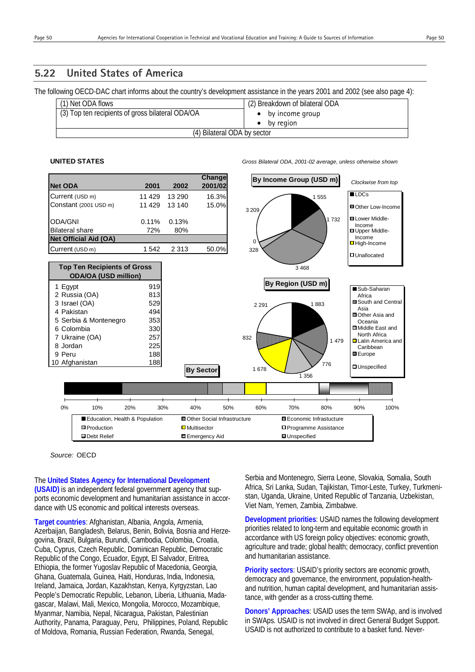# **5.22 United States of America**

The following OECD-DAC chart informs about the country's development assistance in the years 2001 and 2002 (see also page 4):

| (1) Net ODA flows                                | (2) Breakdown of bilateral ODA |
|--------------------------------------------------|--------------------------------|
| (3) Top ten recipients of gross bilateral ODA/OA | $\bullet$ by income group      |
|                                                  | by region                      |
| (4) Bilateral ODA by sector                      |                                |

**UNITED STATES** *Gross Bilateral ODA, 2001-02 average, unless otherwise shown*



*Source:* OECD

The **United States Agency for International Development (USAID)** is an independent federal government agency that supports economic development and humanitarian assistance in accordance with US economic and political interests overseas.

**Target countries**: Afghanistan, Albania, Angola, Armenia, Azerbaijan, Bangladesh, Belarus, Benin, Bolivia, Bosnia and Herzegovina, Brazil, Bulgaria, Burundi, Cambodia, Colombia, Croatia, Cuba, Cyprus, Czech Republic, Dominican Republic, Democratic Republic of the Congo, Ecuador, Egypt, El Salvador, Eritrea, Ethiopia, the former Yugoslav Republic of Macedonia, Georgia, Ghana, Guatemala, Guinea, Haiti, Honduras, India, Indonesia, Ireland, Jamaica, Jordan, Kazakhstan, Kenya, Kyrgyzstan, Lao People's Democratic Republic, Lebanon, Liberia, Lithuania, Madagascar, Malawi, Mali, Mexico, Mongolia, Morocco, Mozambique, Myanmar, Namibia, Nepal, Nicaragua, Pakistan, Palestinian Authority, Panama, Paraguay, Peru, Philippines, Poland, Republic of Moldova, Romania, Russian Federation, Rwanda, Senegal,

Serbia and Montenegro, Sierra Leone, Slovakia, Somalia, South Africa, Sri Lanka, Sudan, Tajikistan, Timor-Leste, Turkey, Turkmenistan, Uganda, Ukraine, United Republic of Tanzania, Uzbekistan, Viet Nam, Yemen, Zambia, Zimbabwe.

**Development priorities**: USAID names the following development priorities related to long-term and equitable economic growth in accordance with US foreign policy objectives: economic growth, agriculture and trade; global health; democracy, conflict prevention and humanitarian assistance.

**Priority sectors**: USAID's priority sectors are economic growth, democracy and governance, the environment, population-healthand nutrition, human capital development, and humanitarian assistance, with gender as a cross-cutting theme.

**Donors' Approaches**: USAID uses the term SWAp, and is involved in SWAps. USAID is not involved in direct General Budget Support. USAID is not authorized to contribute to a basket fund. Never-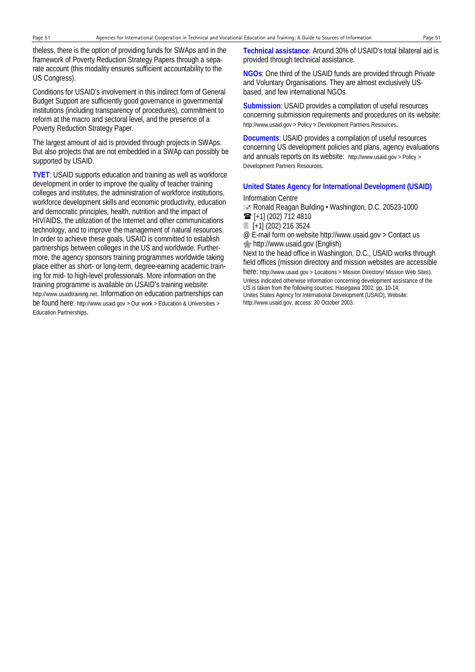theless, there is the option of providing funds for SWAps and in the framework of Poverty Reduction Strategy Papers through a separate account (this modality ensures sufficient accountability to the US Congress).

Conditions for USAID's involvement in this indirect form of General Budget Support are sufficiently good governance in governmental institutions (including transparency of procedures), commitment to reform at the macro and sectoral level, and the presence of a Poverty Reduction Strategy Paper.

The largest amount of aid is provided through projects in SWAps. But also projects that are not embedded in a SWAp can possibly be supported by USAID.

**TVET**: USAID supports education and training as well as workforce development in order to improve the quality of teacher training colleges and institutes, the administration of workforce institutions, workforce development skills and economic productivity, education and democratic principles, health, nutrition and the impact of HIV/AIDS, the utilization of the Internet and other communications technology, and to improve the management of natural resources. In order to achieve these goals, USAID is committed to establish partnerships between colleges in the US and worldwide. Furthermore, the agency sponsors training programmes worldwide taking place either as short- or long-term, degree-earning academic training for mid- to high-level professionals. More information on the training programme is available on USAID's training website: http://www.usaidtraining.net. Information on education partnerships can be found here: http://www.usaid.gov > Our work > Education & Universities > Education Partnerships.

**Technical assistance**: Around 30% of USAID's total bilateral aid is provided through technical assistance.

**NGOs**: One third of the USAID funds are provided through Private and Voluntary Organisations. They are almost exclusively USbased, and few international NGOs.

**Submission**: USAID provides a compilation of useful resources concerning submission requirements and procedures on its website: http://www.usaid.gov > Policy > Development Partners Resources.

**Documents**: USAID provides a compilation of useful resources concerning US development policies and plans, agency evaluations and annuals reports on its website: http://www.usaid.gov > Policy > Development Partners Resources.

#### **United States Agency for International Development (USAID)**

Information Centre **E** Ronald Reagan Building • Washington, D.C. 20523-1000  $\mathbf{\widehat{m}}$  [+1] (202) 712 4810 [+1] (202) 216 3524

@ E-mail form on website http://www.usaid.gov > Contact us http://www.usaid.gov (English)

Next to the head office in Washington, D.C., USAID works through field offices (mission directory and mission websites are accessible here: http://www.usaid.gov > Locations > Mission Directory/ Mission Web Sites). Unless indicated otherwise information concerning development assistance of the US is taken from the following sources: Hasegawa 2002, pp. 10-14; Unites States Agency for International Development (USAID), Website: http://www.usaid.gov, access: 30 October 2003.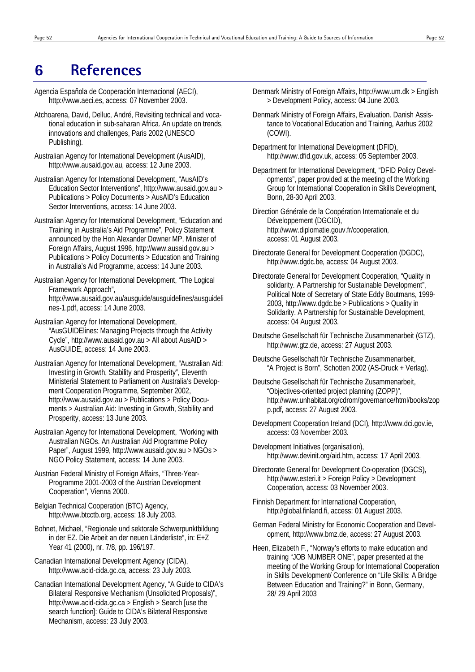# **6 References**

- Agencia Espaňola de Cooperación Internacional (AECI), http://www.aeci.es, access: 07 November 2003.
- Atchoarena, David, Delluc, André, Revisiting technical and vocational education in sub-saharan Africa. An update on trends, innovations and challenges, Paris 2002 (UNESCO Publishing).
- Australian Agency for International Development (AusAID), http://www.ausaid.gov.au, access: 12 June 2003.
- Australian Agency for International Development, "AusAID's Education Sector Interventions", http://www.ausaid.gov.au > Publications > Policy Documents > AusAID's Education Sector Interventions, access: 14 June 2003.
- Australian Agency for International Development, "Education and Training in Australia's Aid Programme", Policy Statement announced by the Hon Alexander Downer MP, Minister of Foreign Affairs, August 1996, http://www.ausaid.gov.au > Publications > Policy Documents > Education and Training in Australia's Aid Programme, access: 14 June 2003.
- Australian Agency for International Development, "The Logical Framework Approach", http://www.ausaid.gov.au/ausguide/ausguidelines/ausguideli nes-1.pdf, access: 14 June 2003.
- Australian Agency for International Development, "AusGUIDElines: Managing Projects through the Activity Cycle", http://www.ausaid.gov.au > All about AusAID > AusGUIDE, access: 14 June 2003.
- Australian Agency for International Development, "Australian Aid: Investing in Growth, Stability and Prosperity", Eleventh Ministerial Statement to Parliament on Australia's Development Cooperation Programme, September 2002, http://www.ausaid.gov.au > Publications > Policy Documents > Australian Aid: Investing in Growth, Stability and Prosperity, access: 13 June 2003.
- Australian Agency for International Development, "Working with Australian NGOs. An Australian Aid Programme Policy Paper", August 1999, http://www.ausaid.gov.au > NGOs > NGO Policy Statement, access: 14 June 2003.
- Austrian Federal Ministry of Foreign Affairs, "Three-Year-Programme 2001-2003 of the Austrian Development Cooperation", Vienna 2000.
- Belgian Technical Cooperation (BTC) Agency, http://www.btcctb.org, access: 18 July 2003.
- Bohnet, Michael, "Regionale und sektorale Schwerpunktbildung in der EZ. Die Arbeit an der neuen Länderliste", in: E+Z Year 41 (2000), nr. 7/8, pp. 196/197.
- Canadian International Development Agency (CIDA), http://www.acid-cida.gc.ca, access: 23 July 2003.
- Canadian International Development Agency, "A Guide to CIDA's Bilateral Responsive Mechanism (Unsolicited Proposals)", http://www.acid-cida.gc.ca > English > Search [use the search function]: Guide to CIDA's Bilateral Responsive Mechanism, access: 23 July 2003.
- Denmark Ministry of Foreign Affairs, http://www.um.dk > English > Development Policy, access: 04 June 2003.
- Denmark Ministry of Foreign Affairs, Evaluation. Danish Assistance to Vocational Education and Training, Aarhus 2002 (COWI).
- Department for International Development (DFID), http://www.dfid.gov.uk, access: 05 September 2003.
- Department for International Development, "DFID Policy Developments", paper provided at the meeting of the Working Group for International Cooperation in Skills Development, Bonn, 28-30 April 2003.
- Direction Générale de la Coopération Internationale et du Développement (DGCID), http://www.diplomatie.gouv.fr/cooperation, access: 01 August 2003.
- Directorate General for Development Cooperation (DGDC), http://www.dgdc.be, access: 04 August 2003.
- Directorate General for Development Cooperation, "Quality in solidarity. A Partnership for Sustainable Development", Political Note of Secretary of State Eddy Boutmans, 1999- 2003, http://www.dgdc.be > Publications > Quality in Solidarity. A Partnership for Sustainable Development, access: 04 August 2003.
- Deutsche Gesellschaft für Technische Zusammenarbeit (GTZ), http://www.gtz.de, access: 27 August 2003.
- Deutsche Gesellschaft für Technische Zusammenarbeit, "A Project is Born", Schotten 2002 (AS-Druck + Verlag).
- Deutsche Gesellschaft für Technische Zusammenarbeit, "Objectives-oriented project planning (ZOPP)", http://www.unhabitat.org/cdrom/governance/html/books/zop p.pdf, access: 27 August 2003.
- Development Cooperation Ireland (DCI), http://www.dci.gov.ie, access: 03 November 2003.
- Development Initiatives (organisation), http://www.devinit.org/aid.htm, access: 17 April 2003.
- Directorate General for Development Co-operation (DGCS), http://www.esteri.it > Foreign Policy > Development Cooperation, access: 03 November 2003.
- Finnish Department for International Cooperation, http://global.finland.fi, access: 01 August 2003.
- German Federal Ministry for Economic Cooperation and Development, http://www.bmz.de, access: 27 August 2003.
- Heen, Elizabeth F., "Norway's efforts to make education and training "JOB NUMBER ONE", paper presented at the meeting of the Working Group for International Cooperation in Skills Development/ Conference on "Life Skills: A Bridge Between Education and Training?" in Bonn, Germany, 28/ 29 April 2003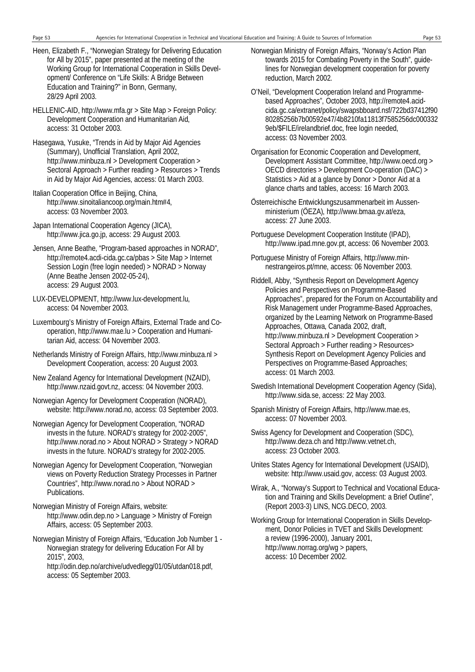- Heen, Elizabeth F., "Norwegian Strategy for Delivering Education for All by 2015", paper presented at the meeting of the Working Group for International Cooperation in Skills Development/ Conference on "Life Skills: A Bridge Between Education and Training?" in Bonn, Germany, 28/29 April 2003.
- HELLENIC-AID, http://www.mfa.gr > Site Map > Foreign Policy: Development Cooperation and Humanitarian Aid, access: 31 October 2003.
- Hasegawa, Yusuke, "Trends in Aid by Major Aid Agencies (Summary), Unofficial Translation, April 2002, http://www.minbuza.nl > Development Cooperation > Sectoral Approach > Further reading > Resources > Trends in Aid by Major Aid Agencies, access: 01 March 2003.
- Italian Cooperation Office in Beijing, China, http://www.sinoitaliancoop.org/main.htm#4, access: 03 November 2003.
- Japan International Cooperation Agency (JICA), http://www.jica.go.jp, access: 29 August 2003.
- Jensen, Anne Beathe, "Program-based approaches in NORAD", http://remote4.acdi-cida.gc.ca/pbas > Site Map > Internet Session Login (free login needed) > NORAD > Norway (Anne Beathe Jensen 2002-05-24), access: 29 August 2003.
- LUX-DEVELOPMENT, http://www.lux-development.lu, access: 04 November 2003.
- Luxembourg's Ministry of Foreign Affairs, External Trade and Cooperation, http://www.mae.lu > Cooperation and Humanitarian Aid, access: 04 November 2003.
- Netherlands Ministry of Foreign Affairs, http://www.minbuza.nl > Development Cooperation, access: 20 August 2003.
- New Zealand Agency for International Development (NZAID), http://www.nzaid.govt.nz, access: 04 November 2003.
- Norwegian Agency for Development Cooperation (NORAD), website: http://www.norad.no, access: 03 September 2003.
- Norwegian Agency for Development Cooperation, "NORAD invests in the future. NORAD's strategy for 2002-2005", http://www.norad.no > About NORAD > Strategy > NORAD invests in the future. NORAD's strategy for 2002-2005.
- Norwegian Agency for Development Cooperation, "Norwegian views on Poverty Reduction Strategy Processes in Partner Countries", http://www.norad.no > About NORAD > Publications.
- Norwegian Ministry of Foreign Affairs, website: http://www.odin.dep.no > Language > Ministry of Foreign Affairs, access: 05 September 2003.
- Norwegian Ministry of Foreign Affairs, "Education Job Number 1 Norwegian strategy for delivering Education For All by 2015", 2003,

http://odin.dep.no/archive/udvedlegg/01/05/utdan018.pdf, access: 05 September 2003.

- Norwegian Ministry of Foreign Affairs, "Norway's Action Plan towards 2015 for Combating Poverty in the South", guidelines for Norwegian development cooperation for poverty reduction, March 2002.
- O'Neil, "Development Cooperation Ireland and Programmebased Approaches", October 2003, http://remote4.acidcida.gc.ca/extranet/policy/swapsbboard.nsf/722bd37412f90 80285256b7b00592e47/4b8210fa11813f7585256dc000332 9eb/\$FILE/irelandbrief.doc, free login needed, access: 03 November 2003.
- Organisation for Economic Cooperation and Development, Development Assistant Committee, http://www.oecd.org > OECD directories > Development Co-operation (DAC) > Statistics > Aid at a glance by Donor > Donor Aid at a glance charts and tables, access: 16 March 2003.
- Österreichische Entwicklungszusammenarbeit im Aussenministerium (ÖEZA), http://www.bmaa.gv.at/eza, access: 27 June 2003.
- Portuguese Development Cooperation Institute (IPAD), http://www.ipad.mne.gov.pt, access: 06 November 2003.
- Portuguese Ministry of Foreign Affairs, http://www.minnestrangeiros.pt/mne, access: 06 November 2003.
- Riddell, Abby, "Synthesis Report on Development Agency Policies and Perspectives on Programme-Based Approaches", prepared for the Forum on Accountability and Risk Management under Programme-Based Approaches, organized by the Learning Network on Programme-Based Approaches, Ottawa, Canada 2002, draft, http://www.minbuza.nl > Development Cooperation > Sectoral Approach > Further reading > Resources> Synthesis Report on Development Agency Policies and Perspectives on Programme-Based Approaches; access: 01 March 2003.
- Swedish International Development Cooperation Agency (Sida), http://www.sida.se, access: 22 May 2003.
- Spanish Ministry of Foreign Affairs, http://www.mae.es, access: 07 November 2003.
- Swiss Agency for Development and Cooperation (SDC), http://www.deza.ch and http://www.vetnet.ch, access: 23 October 2003.
- Unites States Agency for International Development (USAID), website: http://www.usaid.gov, access: 03 August 2003.
- Wirak, A., "Norway's Support to Technical and Vocational Education and Training and Skills Development: a Brief Outline", (Report 2003-3) LINS, NCG.DECO, 2003.
- Working Group for International Cooperation in Skills Development, Donor Policies in TVET and Skills Development: a review (1996-2000), January 2001, http://www.norrag.org/wg > papers, access: 10 December 2002.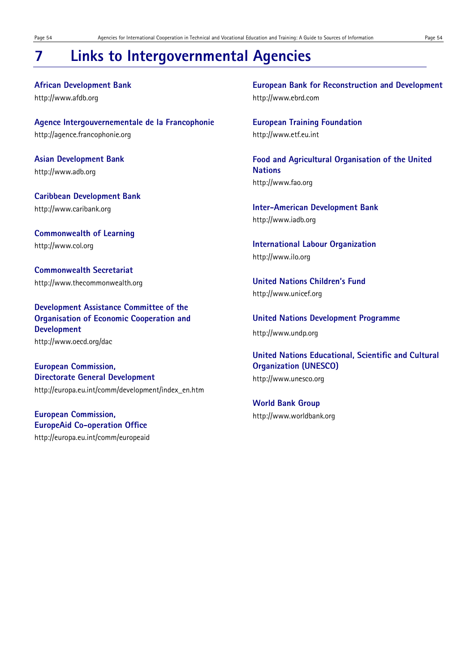# **7 Links to Intergovernmental Agencies**

**African Development Bank**  http://www.afdb.org

**Agence Intergouvernementale de la Francophonie**  http://agence.francophonie.org

**Asian Development Bank**  http://www.adb.org

**Caribbean Development Bank**  http://www.caribank.org

**Commonwealth of Learning**  http://www.col.org

**Commonwealth Secretariat** http://www.thecommonwealth.org

**Development Assistance Committee of the Organisation of Economic Cooperation and Development**  http://www.oecd.org/dac

**European Commission, Directorate General Development** http://europa.eu.int/comm/development/index\_en.htm

**European Commission, EuropeAid Co-operation Office**

http://europa.eu.int/comm/europeaid

**European Bank for Reconstruction and Development** http://www.ebrd.com

**European Training Foundation**  http://www.etf.eu.int

**Food and Agricultural Organisation of the United Nations**  http://www.fao.org

**Inter-American Development Bank**  http://www.iadb.org

**International Labour Organization** http://www.ilo.org

**United Nations Children's Fund**  http://www.unicef.org

**United Nations Development Programme**  http://www.undp.org

**United Nations Educational, Scientific and Cultural Organization (UNESCO)**  http://www.unesco.org

**World Bank Group**  http://www.worldbank.org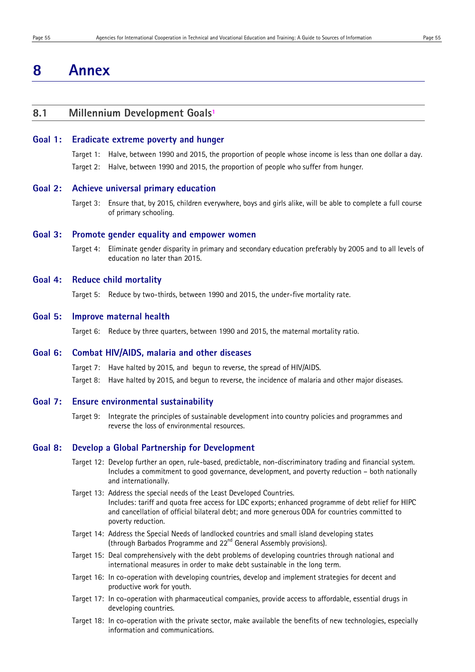# **8 Annex**

## **8.1 Millennium Development Goals1**

#### **Goal 1: Eradicate extreme poverty and hunger**

Target 1: Halve, between 1990 and 2015, the proportion of people whose income is less than one dollar a day. Target 2: Halve, between 1990 and 2015, the proportion of people who suffer from hunger.

#### **Goal 2: Achieve universal primary education**

Target 3: Ensure that, by 2015, children everywhere, boys and girls alike, will be able to complete a full course of primary schooling.

#### **Goal 3: Promote gender equality and empower women**

Target 4: Eliminate gender disparity in primary and secondary education preferably by 2005 and to all levels of education no later than 2015.

### **Goal 4: Reduce child mortality**

Target 5: Reduce by two-thirds, between 1990 and 2015, the under-five mortality rate.

#### **Goal 5: Improve maternal health**

Target 6: Reduce by three quarters, between 1990 and 2015, the maternal mortality ratio.

## **Goal 6: Combat HIV/AIDS, malaria and other diseases**

Target 7: Have halted by 2015, and begun to reverse, the spread of HIV/AIDS. Target 8: Have halted by 2015, and begun to reverse, the incidence of malaria and other major diseases.

#### **Goal 7: Ensure environmental sustainability**

Target 9: Integrate the principles of sustainable development into country policies and programmes and reverse the loss of environmental resources.

#### **Goal 8: Develop a Global Partnership for Development**

- Target 12: Develop further an open, rule-based, predictable, non-discriminatory trading and financial system. Includes a commitment to good governance, development, and poverty reduction – both nationally and internationally.
- Target 13: Address the special needs of the Least Developed Countries. Includes: tariff and quota free access for LDC exports; enhanced programme of debt relief for HIPC and cancellation of official bilateral debt; and more generous ODA for countries committed to poverty reduction.
- Target 14: Address the Special Needs of landlocked countries and small island developing states (through Barbados Programme and 22<sup>nd</sup> General Assembly provisions).
- Target 15: Deal comprehensively with the debt problems of developing countries through national and international measures in order to make debt sustainable in the long term.
- Target 16: In co-operation with developing countries, develop and implement strategies for decent and productive work for youth.
- Target 17: In co-operation with pharmaceutical companies, provide access to affordable, essential drugs in developing countries.
- Target 18: In co-operation with the private sector, make available the benefits of new technologies, especially information and communications.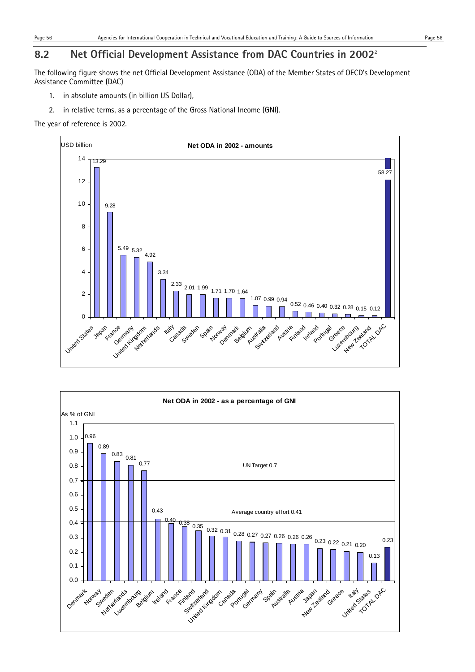# **8.2 Net Official Development Assistance from DAC Countries in 2002**<sup>2</sup>

The following figure shows the net Official Development Assistance (ODA) of the Member States of OECD's Development Assistance Committee (DAC)

- 1. in absolute amounts (in billion US Dollar),
- 2. in relative terms, as a percentage of the Gross National Income (GNI).

The year of reference is 2002.



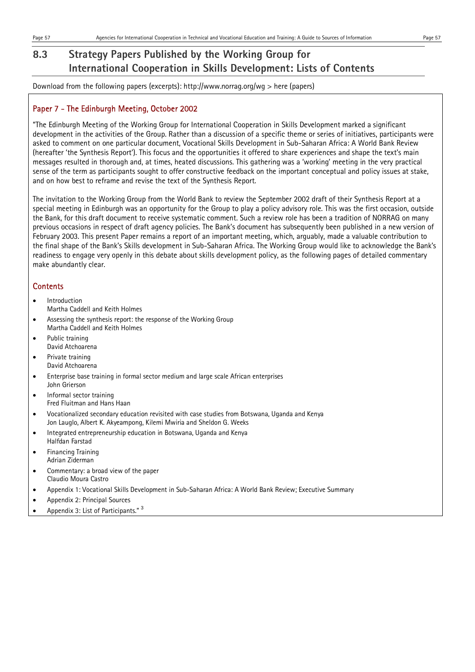Download from the following papers (excerpts): http://www.norrag.org/wg > here (papers)

# Paper 7 - The Edinburgh Meeting, October 2002

"The Edinburgh Meeting of the Working Group for International Cooperation in Skills Development marked a significant development in the activities of the Group. Rather than a discussion of a specific theme or series of initiatives, participants were asked to comment on one particular document, Vocational Skills Development in Sub-Saharan Africa: A World Bank Review (hereafter 'the Synthesis Report'). This focus and the opportunities it offered to share experiences and shape the text's main messages resulted in thorough and, at times, heated discussions. This gathering was a 'working' meeting in the very practical sense of the term as participants sought to offer constructive feedback on the important conceptual and policy issues at stake, and on how best to reframe and revise the text of the Synthesis Report.

The invitation to the Working Group from the World Bank to review the September 2002 draft of their Synthesis Report at a special meeting in Edinburgh was an opportunity for the Group to play a policy advisory role. This was the first occasion, outside the Bank, for this draft document to receive systematic comment. Such a review role has been a tradition of NORRAG on many previous occasions in respect of draft agency policies. The Bank's document has subsequently been published in a new version of February 2003. This present Paper remains a report of an important meeting, which, arguably, made a valuable contribution to the final shape of the Bank's Skills development in Sub-Saharan Africa. The Working Group would like to acknowledge the Bank's readiness to engage very openly in this debate about skills development policy, as the following pages of detailed commentary make abundantly clear.

- Introduction Martha Caddell and Keith Holmes
- Assessing the synthesis report: the response of the Working Group Martha Caddell and Keith Holmes
- Public training David Atchoarena
- Private training David Atchoarena
- Enterprise base training in formal sector medium and large scale African enterprises John Grierson
- Informal sector training Fred Fluitman and Hans Haan
- Vocationalized secondary education revisited with case studies from Botswana, Uganda and Kenya Jon Lauglo, Albert K. Akyeampong, Kilemi Mwiria and Sheldon G. Weeks
- Integrated entrepreneurship education in Botswana, Uganda and Kenya Halfdan Farstad
- Financing Training Adrian Ziderman
- Commentary: a broad view of the paper Claudio Moura Castro
- Appendix 1: Vocational Skills Development in Sub-Saharan Africa: A World Bank Review; Executive Summary
- Appendix 2: Principal Sources
- Appendix 3: List of Participants." <sup>3</sup>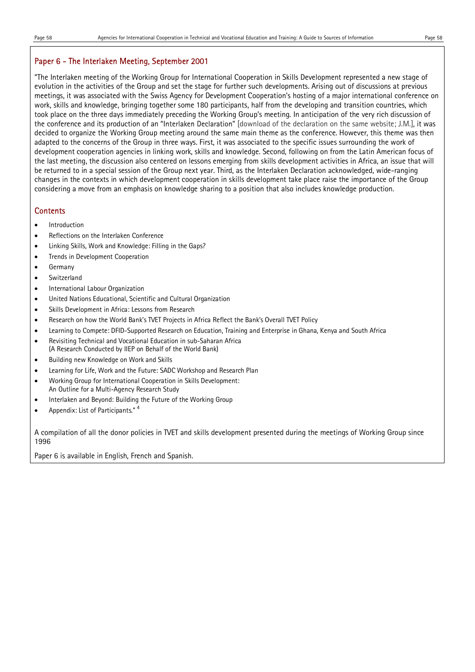### Paper 6 - The Interlaken Meeting, September 2001

"The Interlaken meeting of the Working Group for International Cooperation in Skills Development represented a new stage of evolution in the activities of the Group and set the stage for further such developments. Arising out of discussions at previous meetings, it was associated with the Swiss Agency for Development Cooperation's hosting of a major international conference on work, skills and knowledge, bringing together some 180 participants, half from the developing and transition countries, which took place on the three days immediately preceding the Working Group's meeting. In anticipation of the very rich discussion of the conference and its production of an "Interlaken Declaration" [download of the declaration on the same website; J.M.], it was decided to organize the Working Group meeting around the same main theme as the conference. However, this theme was then adapted to the concerns of the Group in three ways. First, it was associated to the specific issues surrounding the work of development cooperation agencies in linking work, skills and knowledge. Second, following on from the Latin American focus of the last meeting, the discussion also centered on lessons emerging from skills development activities in Africa, an issue that will be returned to in a special session of the Group next year. Third, as the Interlaken Declaration acknowledged, wide-ranging changes in the contexts in which development cooperation in skills development take place raise the importance of the Group considering a move from an emphasis on knowledge sharing to a position that also includes knowledge production.

### **Contents**

- Introduction
- Reflections on the Interlaken Conference
- Linking Skills, Work and Knowledge: Filling in the Gaps?
- Trends in Development Cooperation
- Germany
- Switzerland
- International Labour Organization
- United Nations Educational, Scientific and Cultural Organization
- Skills Development in Africa: Lessons from Research
- Research on how the World Bank's TVET Projects in Africa Reflect the Bank's Overall TVET Policy
- Learning to Compete: DFID-Supported Research on Education, Training and Enterprise in Ghana, Kenya and South Africa
- Revisiting Technical and Vocational Education in sub-Saharan Africa (A Research Conducted by IIEP on Behalf of the World Bank)
- Building new Knowledge on Work and Skills
- Learning for Life, Work and the Future: SADC Workshop and Research Plan
- Working Group for International Cooperation in Skills Development: An Outline for a Multi-Agency Research Study
- Interlaken and Beyond: Building the Future of the Working Group
- Appendix: List of Participants." <sup>4</sup>

A compilation of all the donor policies in TVET and skills development presented during the meetings of Working Group since 1996

Paper 6 is available in English, French and Spanish.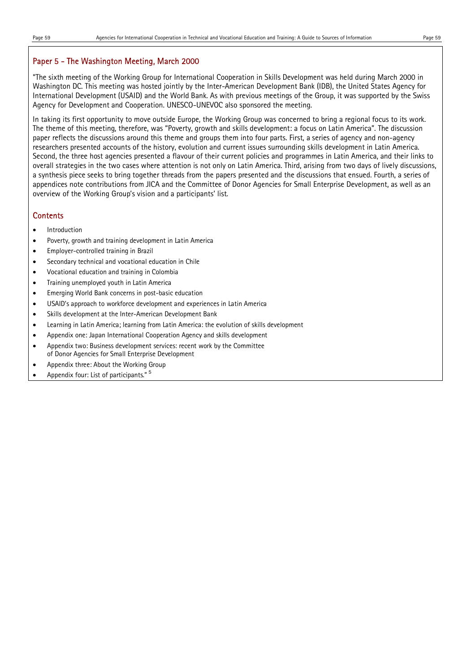### Paper 5 - The Washington Meeting, March 2000

"The sixth meeting of the Working Group for International Cooperation in Skills Development was held during March 2000 in Washington DC. This meeting was hosted jointly by the Inter-American Development Bank (IDB), the United States Agency for International Development (USAID) and the World Bank. As with previous meetings of the Group, it was supported by the Swiss Agency for Development and Cooperation. UNESCO-UNEVOC also sponsored the meeting.

In taking its first opportunity to move outside Europe, the Working Group was concerned to bring a regional focus to its work. The theme of this meeting, therefore, was "Poverty, growth and skills development: a focus on Latin America". The discussion paper reflects the discussions around this theme and groups them into four parts. First, a series of agency and non-agency researchers presented accounts of the history, evolution and current issues surrounding skills development in Latin America. Second, the three host agencies presented a flavour of their current policies and programmes in Latin America, and their links to overall strategies in the two cases where attention is not only on Latin America. Third, arising from two days of lively discussions, a synthesis piece seeks to bring together threads from the papers presented and the discussions that ensued. Fourth, a series of appendices note contributions from JICA and the Committee of Donor Agencies for Small Enterprise Development, as well as an overview of the Working Group's vision and a participants' list.

- Introduction
- Poverty, growth and training development in Latin America
- Employer-controlled training in Brazil
- Secondary technical and vocational education in Chile
- Vocational education and training in Colombia
- Training unemployed youth in Latin America
- Emerging World Bank concerns in post-basic education
- USAID's approach to workforce development and experiences in Latin America
- Skills development at the Inter-American Development Bank
- Learning in Latin America; learning from Latin America: the evolution of skills development
- Appendix one: Japan International Cooperation Agency and skills development
- Appendix two: Business development services: recent work by the Committee of Donor Agencies for Small Enterprise Development
- Appendix three: About the Working Group
- Appendix four: List of participants."<sup>5</sup>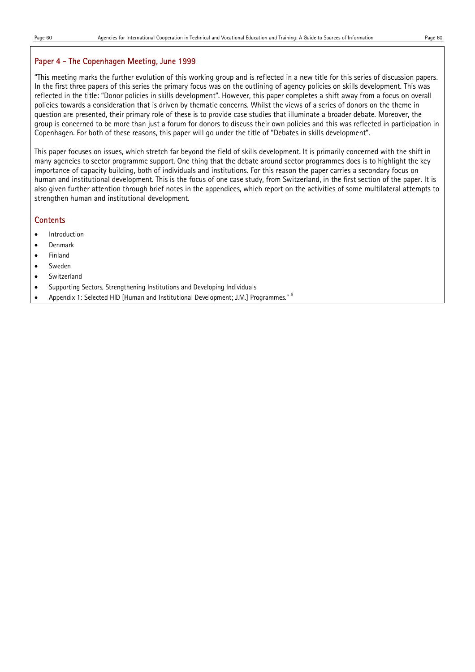# Paper 4 - The Copenhagen Meeting, June 1999

"This meeting marks the further evolution of this working group and is reflected in a new title for this series of discussion papers. In the first three papers of this series the primary focus was on the outlining of agency policies on skills development. This was reflected in the title: "Donor policies in skills development". However, this paper completes a shift away from a focus on overall policies towards a consideration that is driven by thematic concerns. Whilst the views of a series of donors on the theme in question are presented, their primary role of these is to provide case studies that illuminate a broader debate. Moreover, the group is concerned to be more than just a forum for donors to discuss their own policies and this was reflected in participation in Copenhagen. For both of these reasons, this paper will go under the title of "Debates in skills development".

This paper focuses on issues, which stretch far beyond the field of skills development. It is primarily concerned with the shift in many agencies to sector programme support. One thing that the debate around sector programmes does is to highlight the key importance of capacity building, both of individuals and institutions. For this reason the paper carries a secondary focus on human and institutional development. This is the focus of one case study, from Switzerland, in the first section of the paper. It is also given further attention through brief notes in the appendices, which report on the activities of some multilateral attempts to strengthen human and institutional development.

- Introduction
- Denmark
- Finland
- **Sweden**
- Switzerland
- Supporting Sectors, Strengthening Institutions and Developing Individuals
- Appendix 1: Selected HID [Human and Institutional Development; J.M.] Programmes."  $6$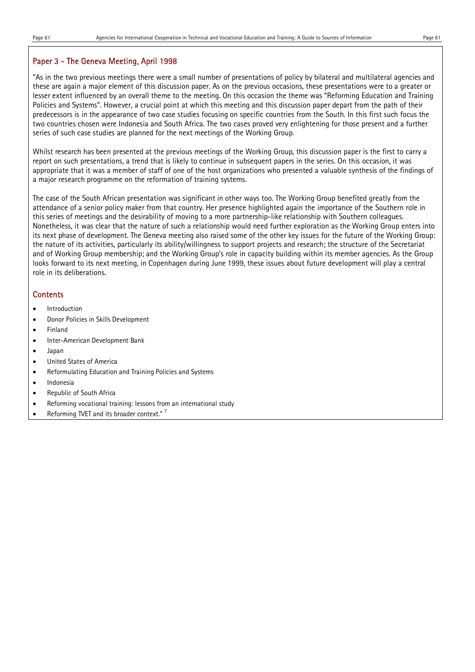### Paper 3 - The Geneva Meeting, April 1998

"As in the two previous meetings there were a small number of presentations of policy by bilateral and multilateral agencies and these are again a major element of this discussion paper. As on the previous occasions, these presentations were to a greater or lesser extent influenced by an overall theme to the meeting. On this occasion the theme was "Reforming Education and Training Policies and Systems". However, a crucial point at which this meeting and this discussion paper depart from the path of their predecessors is in the appearance of two case studies focusing on specific countries from the South. In this first such focus the two countries chosen were Indonesia and South Africa. The two cases proved very enlightening for those present and a further series of such case studies are planned for the next meetings of the Working Group.

Whilst research has been presented at the previous meetings of the Working Group, this discussion paper is the first to carry a report on such presentations, a trend that is likely to continue in subsequent papers in the series. On this occasion, it was appropriate that it was a member of staff of one of the host organizations who presented a valuable synthesis of the findings of a major research programme on the reformation of training systems.

The case of the South African presentation was significant in other ways too. The Working Group benefited greatly from the attendance of a senior policy maker from that country. Her presence highlighted again the importance of the Southern role in this series of meetings and the desirability of moving to a more partnership-like relationship with Southern colleagues. Nonetheless, it was clear that the nature of such a relationship would need further exploration as the Working Group enters into its next phase of development. The Geneva meeting also raised some of the other key issues for the future of the Working Group: the nature of its activities, particularly its ability/willingness to support projects and research; the structure of the Secretariat and of Working Group membership; and the Working Group's role in capacity building within its member agencies. As the Group looks forward to its next meeting, in Copenhagen during June 1999, these issues about future development will play a central role in its deliberations.

- **Introduction**
- Donor Policies in Skills Development
- **Finland**
- Inter-American Development Bank
- Japan
- United States of America
- Reformulating Education and Training Policies and Systems
- **Indonesia**
- Republic of South Africa
- Reforming vocational training: lessons from an international study
- Reforming TVET and its broader context."<sup>7</sup>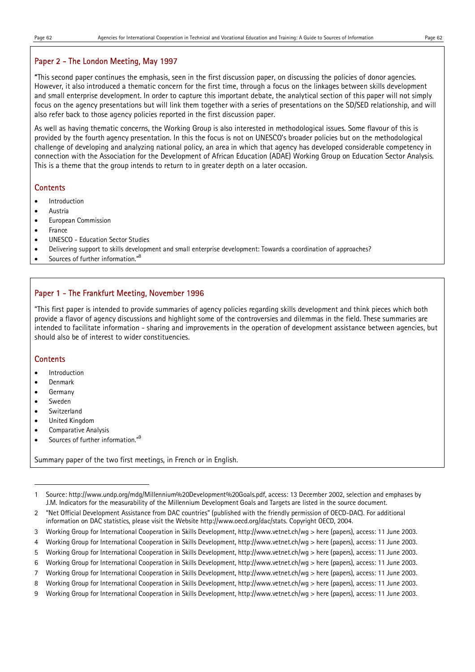### Paper 2 - The London Meeting, May 1997

"This second paper continues the emphasis, seen in the first discussion paper, on discussing the policies of donor agencies. However, it also introduced a thematic concern for the first time, through a focus on the linkages between skills development and small enterprise development. In order to capture this important debate, the analytical section of this paper will not simply focus on the agency presentations but will link them together with a series of presentations on the SD/SED relationship, and will also refer back to those agency policies reported in the first discussion paper.

As well as having thematic concerns, the Working Group is also interested in methodological issues. Some flavour of this is provided by the fourth agency presentation. In this the focus is not on UNESCO's broader policies but on the methodological challenge of developing and analyzing national policy, an area in which that agency has developed considerable competency in connection with the Association for the Development of African Education (ADAE) Working Group on Education Sector Analysis. This is a theme that the group intends to return to in greater depth on a later occasion.

### **Contents**

- Introduction
- Austria
- European Commission
- **France**
- UNESCO Education Sector Studies
- Delivering support to skills development and small enterprise development: Towards a coordination of approaches?
- Sources of further information."<sup>8</sup>

## Paper 1 - The Frankfurt Meeting, November 1996

"This first paper is intended to provide summaries of agency policies regarding skills development and think pieces which both provide a flavor of agency discussions and highlight some of the controversies and dilemmas in the field. These summaries are intended to facilitate information - sharing and improvements in the operation of development assistance between agencies, but should also be of interest to wider constituencies.

### **Contents**

- Introduction
- Denmark
- **Germany**
- Sweden

l

- Switzerland
- United Kingdom
- Comparative Analysis
- Sources of further information."<sup>9</sup>

Summary paper of the two first meetings, in French or in English.

- 6 Working Group for International Cooperation in Skills Development, http://www.vetnet.ch/wg > here (papers), access: 11 June 2003.
- 7 Working Group for International Cooperation in Skills Development, http://www.vetnet.ch/wg > here (papers), access: 11 June 2003.
- 8 Working Group for International Cooperation in Skills Development, http://www.vetnet.ch/wg > here (papers), access: 11 June 2003.
- 9 Working Group for International Cooperation in Skills Development, http://www.vetnet.ch/wg > here (papers), access: 11 June 2003.

<sup>1</sup> Source: http://www.undp.org/mdg/Millennium%20Development%20Goals.pdf, access: 13 December 2002, selection and emphases by J.M. Indicators for the measurability of the Millennium Development Goals and Targets are listed in the source document.

<sup>2 &</sup>quot;Net Official Development Assistance from DAC countries" (published with the friendly permission of OECD-DAC). For additional information on DAC statistics, please visit the Website http://www.oecd.org/dac/stats. Copyright OECD, 2004.

<sup>3</sup> Working Group for International Cooperation in Skills Development, http://www.vetnet.ch/wg > here (papers), access: 11 June 2003.

<sup>4</sup> Working Group for International Cooperation in Skills Development, http://www.vetnet.ch/wg > here (papers), access: 11 June 2003.

<sup>5</sup> Working Group for International Cooperation in Skills Development, http://www.vetnet.ch/wg > here (papers), access: 11 June 2003.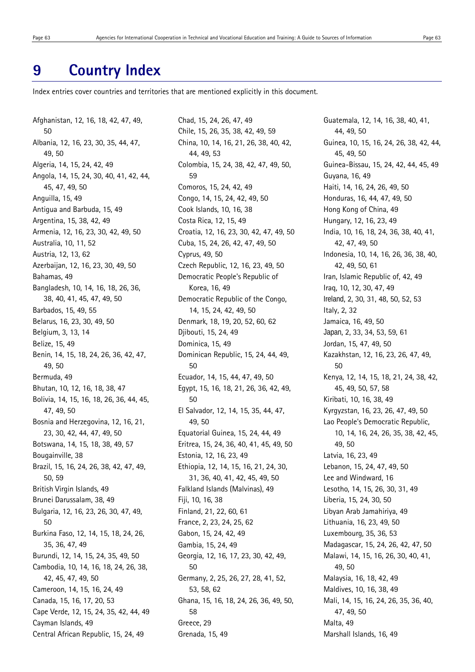# **9 Country Index**

Index entries cover countries and territories that are mentioned explicitly in this document.

Afghanistan, 12, 16, 18, 42, 47, 49, 50 Albania, 12, 16, 23, 30, 35, 44, 47, 49, 50 Algeria, 14, 15, 24, 42, 49 Angola, 14, 15, 24, 30, 40, 41, 42, 44, 45, 47, 49, 50 Anguilla, 15, 49 Antigua and Barbuda, 15, 49 Argentina, 15, 38, 42, 49 Armenia, 12, 16, 23, 30, 42, 49, 50 Australia, 10, 11, 52 Austria, 12, 13, 62 Azerbaijan, 12, 16, 23, 30, 49, 50 Bahamas, 49 Bangladesh, 10, 14, 16, 18, 26, 36, 38, 40, 41, 45, 47, 49, 50 Barbados, 15, 49, 55 Belarus, 16, 23, 30, 49, 50 Belgium, 3, 13, 14 Belize, 15, 49 Benin, 14, 15, 18, 24, 26, 36, 42, 47, 49, 50 Bermuda, 49 Bhutan, 10, 12, 16, 18, 38, 47 Bolivia, 14, 15, 16, 18, 26, 36, 44, 45, 47, 49, 50 Bosnia and Herzegovina, 12, 16, 21, 23, 30, 42, 44, 47, 49, 50 Botswana, 14, 15, 18, 38, 49, 57 Bougainville, 38 Brazil, 15, 16, 24, 26, 38, 42, 47, 49, 50, 59 British Virgin Islands, 49 Brunei Darussalam, 38, 49 Bulgaria, 12, 16, 23, 26, 30, 47, 49, 50 Burkina Faso, 12, 14, 15, 18, 24, 26, 35, 36, 47, 49 Burundi, 12, 14, 15, 24, 35, 49, 50 Cambodia, 10, 14, 16, 18, 24, 26, 38, 42, 45, 47, 49, 50 Cameroon, 14, 15, 16, 24, 49 Canada, 15, 16, 17, 20, 53 Cape Verde, 12, 15, 24, 35, 42, 44, 49 Cayman Islands, 49 Central African Republic, 15, 24, 49

Chad, 15, 24, 26, 47, 49 Chile, 15, 26, 35, 38, 42, 49, 59 China, 10, 14, 16, 21, 26, 38, 40, 42, 44, 49, 53 Colombia, 15, 24, 38, 42, 47, 49, 50, 59 Comoros, 15, 24, 42, 49 Congo, 14, 15, 24, 42, 49, 50 Cook Islands, 10, 16, 38 Costa Rica, 12, 15, 49 Croatia, 12, 16, 23, 30, 42, 47, 49, 50 Cuba, 15, 24, 26, 42, 47, 49, 50 Cyprus, 49, 50 Czech Republic, 12, 16, 23, 49, 50 Democratic People's Republic of Korea, 16, 49 Democratic Republic of the Congo, 14, 15, 24, 42, 49, 50 Denmark, 18, 19, 20, 52, 60, 62 Djibouti, 15, 24, 49 Dominica, 15, 49 Dominican Republic, 15, 24, 44, 49, 50 Ecuador, 14, 15, 44, 47, 49, 50 Egypt, 15, 16, 18, 21, 26, 36, 42, 49, 50 El Salvador, 12, 14, 15, 35, 44, 47, 49, 50 Equatorial Guinea, 15, 24, 44, 49 Eritrea, 15, 24, 36, 40, 41, 45, 49, 50 Estonia, 12, 16, 23, 49 Ethiopia, 12, 14, 15, 16, 21, 24, 30, 31, 36, 40, 41, 42, 45, 49, 50 Falkland Islands (Malvinas), 49 Fiji, 10, 16, 38 Finland, 21, 22, 60, 61 France, 2, 23, 24, 25, 62 Gabon, 15, 24, 42, 49 Gambia, 15, 24, 49 Georgia, 12, 16, 17, 23, 30, 42, 49, 50 Germany, 2, 25, 26, 27, 28, 41, 52, 53, 58, 62 Ghana, 15, 16, 18, 24, 26, 36, 49, 50, 58 Greece, 29 Grenada, 15, 49

Guatemala, 12, 14, 16, 38, 40, 41, 44, 49, 50 Guinea, 10, 15, 16, 24, 26, 38, 42, 44, 45, 49, 50 Guinea-Bissau, 15, 24, 42, 44, 45, 49 Guyana, 16, 49 Haiti, 14, 16, 24, 26, 49, 50 Honduras, 16, 44, 47, 49, 50 Hong Kong of China, 49 Hungary, 12, 16, 23, 49 India, 10, 16, 18, 24, 36, 38, 40, 41, 42, 47, 49, 50 Indonesia, 10, 14, 16, 26, 36, 38, 40, 42, 49, 50, 61 Iran, Islamic Republic of, 42, 49 Iraq, 10, 12, 30, 47, 49 Ireland, 2, 30, 31, 48, 50, 52, 53 Italy, 2, 32 Jamaica, 16, 49, 50 Japan, 2, 33, 34, 53, 59, 61 Jordan, 15, 47, 49, 50 Kazakhstan, 12, 16, 23, 26, 47, 49, 50 Kenya, 12, 14, 15, 18, 21, 24, 38, 42, 45, 49, 50, 57, 58 Kiribati, 10, 16, 38, 49 Kyrgyzstan, 16, 23, 26, 47, 49, 50 Lao People's Democratic Republic, 10, 14, 16, 24, 26, 35, 38, 42, 45, 49, 50 Latvia, 16, 23, 49 Lebanon, 15, 24, 47, 49, 50 Lee and Windward, 16 Lesotho, 14, 15, 26, 30, 31, 49 Liberia, 15, 24, 30, 50 Libyan Arab Jamahiriya, 49 Lithuania, 16, 23, 49, 50 Luxembourg, 35, 36, 53 Madagascar, 15, 24, 26, 42, 47, 50 Malawi, 14, 15, 16, 26, 30, 40, 41, 49, 50 Malaysia, 16, 18, 42, 49 Maldives, 10, 16, 38, 49 Mali, 14, 15, 16, 24, 26, 35, 36, 40, 47, 49, 50 Malta, 49 Marshall Islands, 16, 49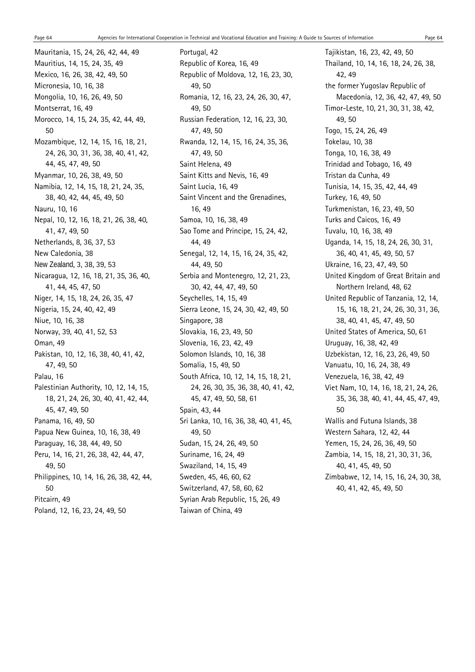Mauritania, 15, 24, 26, 42, 44, 49 Mauritius, 14, 15, 24, 35, 49 Mexico, 16, 26, 38, 42, 49, 50 Micronesia, 10, 16, 38 Mongolia, 10, 16, 26, 49, 50 Montserrat, 16, 49 Morocco, 14, 15, 24, 35, 42, 44, 49, 50 Mozambique, 12, 14, 15, 16, 18, 21, 24, 26, 30, 31, 36, 38, 40, 41, 42, 44, 45, 47, 49, 50 Myanmar, 10, 26, 38, 49, 50 Namibia, 12, 14, 15, 18, 21, 24, 35, 38, 40, 42, 44, 45, 49, 50 Nauru, 10, 16 Nepal, 10, 12, 16, 18, 21, 26, 38, 40, 41, 47, 49, 50 Netherlands, 8, 36, 37, 53 New Caledonia, 38 New Zealand, 3, 38, 39, 53 Nicaragua, 12, 16, 18, 21, 35, 36, 40, 41, 44, 45, 47, 50 Niger, 14, 15, 18, 24, 26, 35, 47 Nigeria, 15, 24, 40, 42, 49 Niue, 10, 16, 38 Norway, 39, 40, 41, 52, 53 Oman, 49 Pakistan, 10, 12, 16, 38, 40, 41, 42, 47, 49, 50 Palau, 16 Palestinian Authority, 10, 12, 14, 15, 18, 21, 24, 26, 30, 40, 41, 42, 44, 45, 47, 49, 50 Panama, 16, 49, 50 Papua New Guinea, 10, 16, 38, 49 Paraguay, 16, 38, 44, 49, 50 Peru, 14, 16, 21, 26, 38, 42, 44, 47, 49, 50 Philippines, 10, 14, 16, 26, 38, 42, 44, 50 Pitcairn, 49 Poland, 12, 16, 23, 24, 49, 50

Portugal, 42 Republic of Korea, 16, 49 Republic of Moldova, 12, 16, 23, 30, 49, 50 Romania, 12, 16, 23, 24, 26, 30, 47, 49, 50 Russian Federation, 12, 16, 23, 30, 47, 49, 50 Rwanda, 12, 14, 15, 16, 24, 35, 36, 47, 49, 50 Saint Helena, 49 Saint Kitts and Nevis, 16, 49 Saint Lucia, 16, 49 Saint Vincent and the Grenadines, 16, 49 Samoa, 10, 16, 38, 49 Sao Tome and Principe, 15, 24, 42, 44, 49 Senegal, 12, 14, 15, 16, 24, 35, 42, 44, 49, 50 Serbia and Montenegro, 12, 21, 23, 30, 42, 44, 47, 49, 50 Seychelles, 14, 15, 49 Sierra Leone, 15, 24, 30, 42, 49, 50 Singapore, 38 Slovakia, 16, 23, 49, 50 Slovenia, 16, 23, 42, 49 Solomon Islands, 10, 16, 38 Somalia, 15, 49, 50 South Africa, 10, 12, 14, 15, 18, 21, 24, 26, 30, 35, 36, 38, 40, 41, 42, 45, 47, 49, 50, 58, 61 Spain, 43, 44 Sri Lanka, 10, 16, 36, 38, 40, 41, 45, 49, 50 Sudan, 15, 24, 26, 49, 50 Suriname, 16, 24, 49 Swaziland, 14, 15, 49 Sweden, 45, 46, 60, 62 Switzerland, 47, 58, 60, 62 Syrian Arab Republic, 15, 26, 49 Taiwan of China, 49

Tajikistan, 16, 23, 42, 49, 50 Thailand, 10, 14, 16, 18, 24, 26, 38, 42, 49 the former Yugoslav Republic of Macedonia, 12, 36, 42, 47, 49, 50 Timor-Leste, 10, 21, 30, 31, 38, 42, 49, 50 Togo, 15, 24, 26, 49 Tokelau, 10, 38 Tonga, 10, 16, 38, 49 Trinidad and Tobago, 16, 49 Tristan da Cunha, 49 Tunisia, 14, 15, 35, 42, 44, 49 Turkey, 16, 49, 50 Turkmenistan, 16, 23, 49, 50 Turks and Caicos, 16, 49 Tuvalu, 10, 16, 38, 49 Uganda, 14, 15, 18, 24, 26, 30, 31, 36, 40, 41, 45, 49, 50, 57 Ukraine, 16, 23, 47, 49, 50 United Kingdom of Great Britain and Northern Ireland, 48, 62 United Republic of Tanzania, 12, 14, 15, 16, 18, 21, 24, 26, 30, 31, 36, 38, 40, 41, 45, 47, 49, 50 United States of America, 50, 61 Uruguay, 16, 38, 42, 49 Uzbekistan, 12, 16, 23, 26, 49, 50 Vanuatu, 10, 16, 24, 38, 49 Venezuela, 16, 38, 42, 49 Viet Nam, 10, 14, 16, 18, 21, 24, 26, 35, 36, 38, 40, 41, 44, 45, 47, 49, 50 Wallis and Futuna Islands, 38 Western Sahara, 12, 42, 44 Yemen, 15, 24, 26, 36, 49, 50 Zambia, 14, 15, 18, 21, 30, 31, 36, 40, 41, 45, 49, 50 Zimbabwe, 12, 14, 15, 16, 24, 30, 38, 40, 41, 42, 45, 49, 50